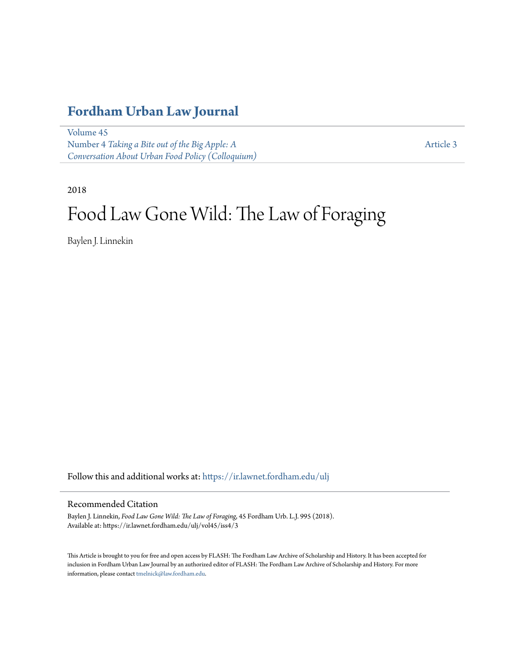# **[Fordham Urban Law Journal](https://ir.lawnet.fordham.edu/ulj?utm_source=ir.lawnet.fordham.edu%2Fulj%2Fvol45%2Fiss4%2F3&utm_medium=PDF&utm_campaign=PDFCoverPages)**

[Volume 45](https://ir.lawnet.fordham.edu/ulj/vol45?utm_source=ir.lawnet.fordham.edu%2Fulj%2Fvol45%2Fiss4%2F3&utm_medium=PDF&utm_campaign=PDFCoverPages) Number 4 *[Taking a Bite out of the Big Apple: A](https://ir.lawnet.fordham.edu/ulj/vol45/iss4?utm_source=ir.lawnet.fordham.edu%2Fulj%2Fvol45%2Fiss4%2F3&utm_medium=PDF&utm_campaign=PDFCoverPages) [Conversation About Urban Food Policy \(Colloquium\)](https://ir.lawnet.fordham.edu/ulj/vol45/iss4?utm_source=ir.lawnet.fordham.edu%2Fulj%2Fvol45%2Fiss4%2F3&utm_medium=PDF&utm_campaign=PDFCoverPages)*

[Article 3](https://ir.lawnet.fordham.edu/ulj/vol45/iss4/3?utm_source=ir.lawnet.fordham.edu%2Fulj%2Fvol45%2Fiss4%2F3&utm_medium=PDF&utm_campaign=PDFCoverPages)

2018

# Food Law Gone Wild: The Law of Foraging

Baylen J. Linnekin

Follow this and additional works at: [https://ir.lawnet.fordham.edu/ulj](https://ir.lawnet.fordham.edu/ulj?utm_source=ir.lawnet.fordham.edu%2Fulj%2Fvol45%2Fiss4%2F3&utm_medium=PDF&utm_campaign=PDFCoverPages)

#### Recommended Citation

Baylen J. Linnekin, *Food Law Gone Wild: The Law of Foraging*, 45 Fordham Urb. L.J. 995 (2018). Available at: https://ir.lawnet.fordham.edu/ulj/vol45/iss4/3

This Article is brought to you for free and open access by FLASH: The Fordham Law Archive of Scholarship and History. It has been accepted for inclusion in Fordham Urban Law Journal by an authorized editor of FLASH: The Fordham Law Archive of Scholarship and History. For more information, please contact [tmelnick@law.fordham.edu](mailto:tmelnick@law.fordham.edu).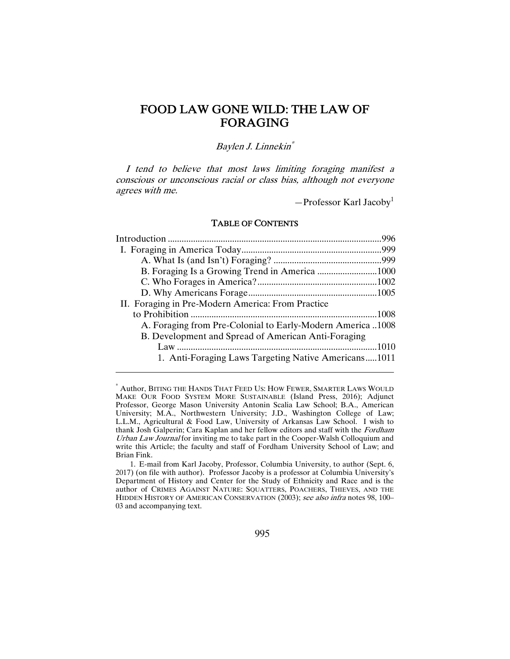# FOOD LAW GONE WILD: THE LAW OF FORAGING

#### Baylen J. Linnekin\*

I tend to believe that most laws limiting foraging manifest a conscious or unconscious racial or class bias, although not everyone agrees with me.

 $-$ Professor Karl Jacoby<sup>1</sup>

#### TABLE OF CONTENTS

| II. Foraging in Pre-Modern America: From Practice          |  |
|------------------------------------------------------------|--|
|                                                            |  |
| A. Foraging from Pre-Colonial to Early-Modern America 1008 |  |
| B. Development and Spread of American Anti-Foraging        |  |
|                                                            |  |
| 1. Anti-Foraging Laws Targeting Native Americans1011       |  |
|                                                            |  |

<sup>\*</sup> Author, BITING THE HANDS THAT FEED US: HOW FEWER, SMARTER LAWS WOULD MAKE OUR FOOD SYSTEM MORE SUSTAINABLE (Island Press, 2016); Adjunct Professor, George Mason University Antonin Scalia Law School; B.A., American University; M.A., Northwestern University; J.D., Washington College of Law; L.L.M., Agricultural & Food Law, University of Arkansas Law School. I wish to thank Josh Galperin; Cara Kaplan and her fellow editors and staff with the Fordham Urban Law Journal for inviting me to take part in the Cooper-Walsh Colloquium and write this Article; the faculty and staff of Fordham University School of Law; and Brian Fink.

 <sup>1.</sup> E-mail from Karl Jacoby, Professor, Columbia University, to author (Sept. 6, 2017) (on file with author). Professor Jacoby is a professor at Columbia University's Department of History and Center for the Study of Ethnicity and Race and is the author of CRIMES AGAINST NATURE: SQUATTERS, POACHERS, THIEVES, AND THE HIDDEN HISTORY OF AMERICAN CONSERVATION (2003); see also infra notes 98, 100– 03 and accompanying text.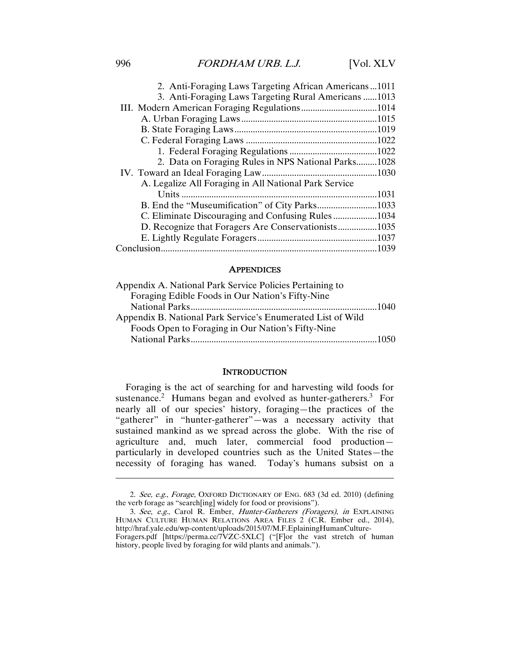### 996 FORDHAM URB. L.J. [Vol. XLV]

| 2. Anti-Foraging Laws Targeting African Americans1011 |       |
|-------------------------------------------------------|-------|
| 3. Anti-Foraging Laws Targeting Rural Americans 1013  |       |
|                                                       |       |
|                                                       |       |
|                                                       |       |
|                                                       |       |
|                                                       |       |
| 2. Data on Foraging Rules in NPS National Parks1028   |       |
|                                                       |       |
| A. Legalize All Foraging in All National Park Service |       |
|                                                       | .1031 |
|                                                       |       |
| C. Eliminate Discouraging and Confusing Rules1034     |       |
| D. Recognize that Foragers Are Conservationists1035   |       |
|                                                       |       |
|                                                       |       |

#### **APPENDICES**

#### **INTRODUCTION**

Foraging is the act of searching for and harvesting wild foods for sustenance.<sup>2</sup> Humans began and evolved as hunter-gatherers.<sup>3</sup> For nearly all of our species' history, foraging—the practices of the "gatherer" in "hunter-gatherer"—was a necessary activity that sustained mankind as we spread across the globe. With the rise of agriculture and, much later, commercial food production particularly in developed countries such as the United States—the necessity of foraging has waned. Today's humans subsist on a

<sup>2.</sup> See, e.g., Forage, OXFORD DICTIONARY OF ENG. 683 (3d ed. 2010) (defining the verb forage as "search[ing] widely for food or provisions").

<sup>3.</sup> See, e.g., Carol R. Ember, Hunter-Gatherers (Foragers), in EXPLAINING HUMAN CULTURE HUMAN RELATIONS AREA FILES 2 (C.R. Ember ed., 2014), http://hraf.yale.edu/wp-content/uploads/2015/07/M.F.EplainingHumanCulture-Foragers.pdf [https://perma.cc/7VZC-5XLC] ("[F]or the vast stretch of human

history, people lived by foraging for wild plants and animals.").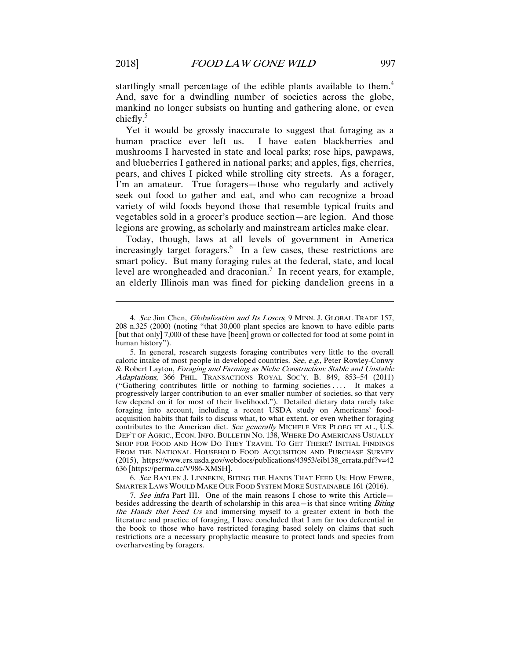startlingly small percentage of the edible plants available to them.<sup>4</sup> And, save for a dwindling number of societies across the globe, mankind no longer subsists on hunting and gathering alone, or even chiefly. $5$ 

Yet it would be grossly inaccurate to suggest that foraging as a human practice ever left us. I have eaten blackberries and mushrooms I harvested in state and local parks; rose hips, pawpaws, and blueberries I gathered in national parks; and apples, figs, cherries, pears, and chives I picked while strolling city streets. As a forager, I'm an amateur. True foragers—those who regularly and actively seek out food to gather and eat, and who can recognize a broad variety of wild foods beyond those that resemble typical fruits and vegetables sold in a grocer's produce section—are legion. And those legions are growing, as scholarly and mainstream articles make clear.

Today, though, laws at all levels of government in America increasingly target foragers.<sup>6</sup> In a few cases, these restrictions are smart policy. But many foraging rules at the federal, state, and local level are wrongheaded and draconian.<sup>7</sup> In recent years, for example, an elderly Illinois man was fined for picking dandelion greens in a

6. See BAYLEN J. LINNEKIN, BITING THE HANDS THAT FEED US: HOW FEWER, SMARTER LAWS WOULD MAKE OUR FOOD SYSTEM MORE SUSTAINABLE 161 (2016).

7. See infra Part III. One of the main reasons I chose to write this Article besides addressing the dearth of scholarship in this area-is that since writing Biting the Hands that Feed Us and immersing myself to a greater extent in both the literature and practice of foraging, I have concluded that I am far too deferential in the book to those who have restricted foraging based solely on claims that such restrictions are a necessary prophylactic measure to protect lands and species from overharvesting by foragers.

<sup>4.</sup> See Jim Chen, Globalization and Its Losers, 9 MINN. J. GLOBAL TRADE 157, 208 n.325 (2000) (noting "that 30,000 plant species are known to have edible parts [but that only] 7,000 of these have [been] grown or collected for food at some point in human history").

 <sup>5.</sup> In general, research suggests foraging contributes very little to the overall caloric intake of most people in developed countries. See, e.g., Peter Rowley-Conwy & Robert Layton, Foraging and Farming as Niche Construction: Stable and Unstable Adaptations, 366 PHIL. TRANSACTIONS ROYAL SOC'Y. B. 849, 853-54 (2011) ("Gathering contributes little or nothing to farming societies . . . . It makes a progressively larger contribution to an ever smaller number of societies, so that very few depend on it for most of their livelihood."). Detailed dietary data rarely take foraging into account, including a recent USDA study on Americans' foodacquisition habits that fails to discuss what, to what extent, or even whether foraging contributes to the American diet. See generally MICHELE VER PLOEG ET AL., U.S. DEP'T OF AGRIC., ECON. INFO. BULLETIN NO. 138, WHERE DO AMERICANS USUALLY SHOP FOR FOOD AND HOW DO THEY TRAVEL TO GET THERE? INITIAL FINDINGS FROM THE NATIONAL HOUSEHOLD FOOD ACQUISITION AND PURCHASE SURVEY (2015), https://www.ers.usda.gov/webdocs/publications/43953/eib138\_errata.pdf?v=42 636 [https://perma.cc/V986-XMSH].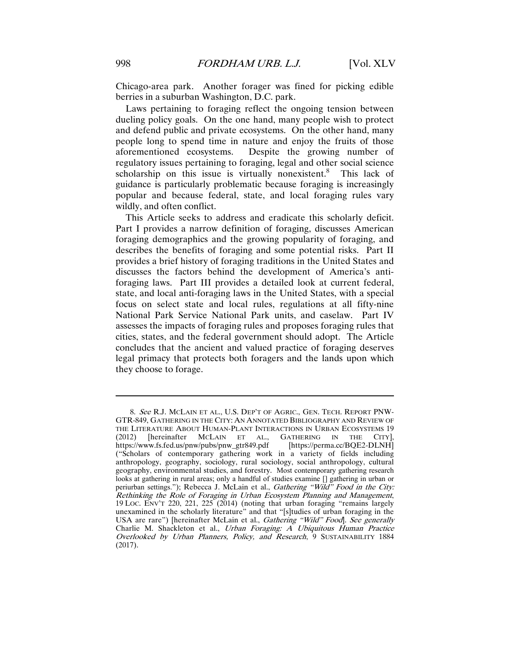Chicago-area park. Another forager was fined for picking edible berries in a suburban Washington, D.C. park.

Laws pertaining to foraging reflect the ongoing tension between dueling policy goals. On the one hand, many people wish to protect and defend public and private ecosystems. On the other hand, many people long to spend time in nature and enjoy the fruits of those aforementioned ecosystems. Despite the growing number of regulatory issues pertaining to foraging, legal and other social science scholarship on this issue is virtually nonexistent.<sup>8</sup> This lack of guidance is particularly problematic because foraging is increasingly popular and because federal, state, and local foraging rules vary wildly, and often conflict.

This Article seeks to address and eradicate this scholarly deficit. Part I provides a narrow definition of foraging, discusses American foraging demographics and the growing popularity of foraging, and describes the benefits of foraging and some potential risks. Part II provides a brief history of foraging traditions in the United States and discusses the factors behind the development of America's antiforaging laws. Part III provides a detailed look at current federal, state, and local anti-foraging laws in the United States, with a special focus on select state and local rules, regulations at all fifty-nine National Park Service National Park units, and caselaw. Part IV assesses the impacts of foraging rules and proposes foraging rules that cities, states, and the federal government should adopt. The Article concludes that the ancient and valued practice of foraging deserves legal primacy that protects both foragers and the lands upon which they choose to forage.

<sup>8.</sup> See R.J. MCLAIN ET AL., U.S. DEP'T OF AGRIC., GEN. TECH. REPORT PNW-GTR-849, GATHERING IN THE CITY: AN ANNOTATED BIBLIOGRAPHY AND REVIEW OF THE LITERATURE ABOUT HUMAN-PLANT INTERACTIONS IN URBAN ECOSYSTEMS 19 (2012) [hereinafter MCLAIN ET AL., GATHERING IN THE CITY], https://www.fs.fed.us/pnw/pubs/pnw\_gtr849.pdf [https://perma.cc/BQE2-DLNH] ("Scholars of contemporary gathering work in a variety of fields including anthropology, geography, sociology, rural sociology, social anthropology, cultural geography, environmental studies, and forestry. Most contemporary gathering research looks at gathering in rural areas; only a handful of studies examine [] gathering in urban or periurban settings."); Rebecca J. McLain et al., Gathering "Wild" Food in the City: Rethinking the Role of Foraging in Urban Ecosystem Planning and Management, 19 LOC. ENV'T 220, 221, 225 (2014) (noting that urban foraging "remains largely unexamined in the scholarly literature" and that "[s]tudies of urban foraging in the USA are rare") [hereinafter McLain et al., *Gathering "Wild" Food*]. See generally Charlie M. Shackleton et al., Urban Foraging: A Ubiquitous Human Practice Overlooked by Urban Planners, Policy, and Research, 9 SUSTAINABILITY 1884 (2017).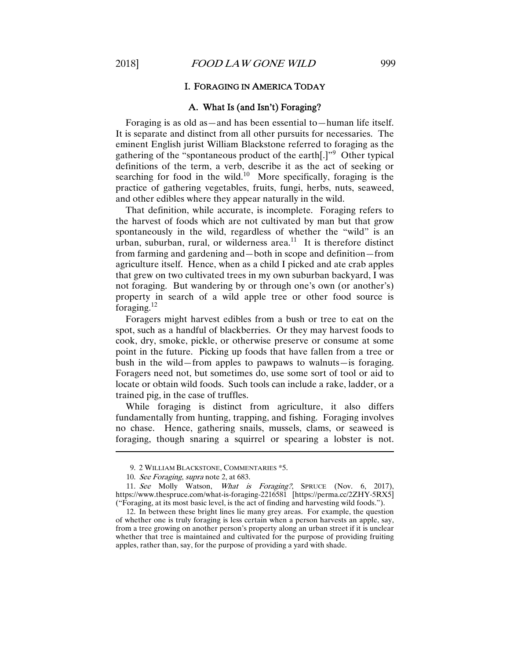#### I. FORAGING IN AMERICA TODAY

#### A. What Is (and Isn't) Foraging?

Foraging is as old as—and has been essential to—human life itself. It is separate and distinct from all other pursuits for necessaries. The eminent English jurist William Blackstone referred to foraging as the gathering of the "spontaneous product of the earth[.]"<sup>9</sup> Other typical definitions of the term, a verb, describe it as the act of seeking or searching for food in the wild.<sup>10</sup> More specifically, foraging is the practice of gathering vegetables, fruits, fungi, herbs, nuts, seaweed, and other edibles where they appear naturally in the wild.

That definition, while accurate, is incomplete. Foraging refers to the harvest of foods which are not cultivated by man but that grow spontaneously in the wild, regardless of whether the "wild" is an urban, suburban, rural, or wilderness area. $^{11}$  It is therefore distinct from farming and gardening and—both in scope and definition—from agriculture itself. Hence, when as a child I picked and ate crab apples that grew on two cultivated trees in my own suburban backyard, I was not foraging. But wandering by or through one's own (or another's) property in search of a wild apple tree or other food source is foraging.<sup>12</sup>

Foragers might harvest edibles from a bush or tree to eat on the spot, such as a handful of blackberries. Or they may harvest foods to cook, dry, smoke, pickle, or otherwise preserve or consume at some point in the future. Picking up foods that have fallen from a tree or bush in the wild—from apples to pawpaws to walnuts—is foraging. Foragers need not, but sometimes do, use some sort of tool or aid to locate or obtain wild foods. Such tools can include a rake, ladder, or a trained pig, in the case of truffles.

While foraging is distinct from agriculture, it also differs fundamentally from hunting, trapping, and fishing. Foraging involves no chase. Hence, gathering snails, mussels, clams, or seaweed is foraging, though snaring a squirrel or spearing a lobster is not.

 <sup>9. 2</sup> WILLIAM BLACKSTONE, COMMENTARIES \*5.

<sup>10.</sup> See Foraging, supra note 2, at 683.

<sup>11.</sup> See Molly Watson, What is Foraging?, SPRUCE (Nov. 6, 2017), https://www.thespruce.com/what-is-foraging-2216581 [https://perma.cc/2ZHY-5RX5] ("Foraging, at its most basic level, is the act of finding and harvesting wild foods.").

 <sup>12.</sup> In between these bright lines lie many grey areas. For example, the question of whether one is truly foraging is less certain when a person harvests an apple, say, from a tree growing on another person's property along an urban street if it is unclear whether that tree is maintained and cultivated for the purpose of providing fruiting apples, rather than, say, for the purpose of providing a yard with shade.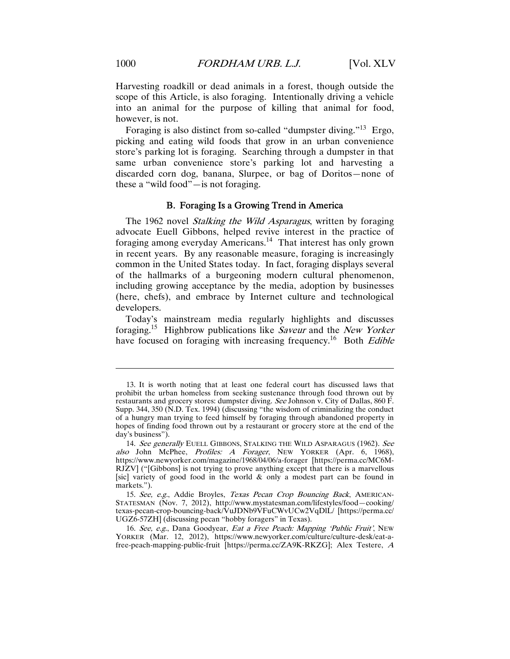Harvesting roadkill or dead animals in a forest, though outside the scope of this Article, is also foraging. Intentionally driving a vehicle into an animal for the purpose of killing that animal for food, however, is not.

Foraging is also distinct from so-called "dumpster diving."<sup>13</sup> Ergo, picking and eating wild foods that grow in an urban convenience store's parking lot is foraging. Searching through a dumpster in that same urban convenience store's parking lot and harvesting a discarded corn dog, banana, Slurpee, or bag of Doritos—none of these a "wild food"—is not foraging.

#### B. Foraging Is a Growing Trend in America

The 1962 novel Stalking the Wild Asparagus, written by foraging advocate Euell Gibbons, helped revive interest in the practice of foraging among everyday Americans.<sup>14</sup> That interest has only grown in recent years. By any reasonable measure, foraging is increasingly common in the United States today. In fact, foraging displays several of the hallmarks of a burgeoning modern cultural phenomenon, including growing acceptance by the media, adoption by businesses (here, chefs), and embrace by Internet culture and technological developers.

Today's mainstream media regularly highlights and discusses foraging.<sup>15</sup> Highbrow publications like *Saveur* and the *New Yorker* have focused on foraging with increasing frequency.<sup>16</sup> Both *Edible* 

 <sup>13.</sup> It is worth noting that at least one federal court has discussed laws that prohibit the urban homeless from seeking sustenance through food thrown out by restaurants and grocery stores: dumpster diving. See Johnson v. City of Dallas, 860 F. Supp. 344, 350 (N.D. Tex. 1994) (discussing "the wisdom of criminalizing the conduct of a hungry man trying to feed himself by foraging through abandoned property in hopes of finding food thrown out by a restaurant or grocery store at the end of the day's business").

<sup>14.</sup> See generally EUELL GIBBONS, STALKING THE WILD ASPARAGUS (1962). See also John McPhee, Profiles: A Forager, NEW YORKER (Apr. 6, 1968), https://www.newyorker.com/magazine/1968/04/06/a-forager [https://perma.cc/MC6M-RJZV] ("[Gibbons] is not trying to prove anything except that there is a marvellous [sic] variety of good food in the world  $\&$  only a modest part can be found in markets.").

<sup>15.</sup> See, e.g., Addie Broyles, Texas Pecan Crop Bouncing Back, AMERICAN-STATESMAN (Nov. 7, 2012), http://www.mystatesman.com/lifestyles/food—cooking/ texas-pecan-crop-bouncing-back/VuJDNb9VFuCWvUCw2VqDlL/ [https://perma.cc/ UGZ6-57ZH] (discussing pecan "hobby foragers" in Texas).

<sup>16.</sup> See, e.g., Dana Goodyear, Eat a Free Peach: Mapping 'Public Fruit', NEW YORKER (Mar. 12, 2012), https://www.newyorker.com/culture/culture-desk/eat-afree-peach-mapping-public-fruit [https://perma.cc/ZA9K-RKZG]; Alex Testere, A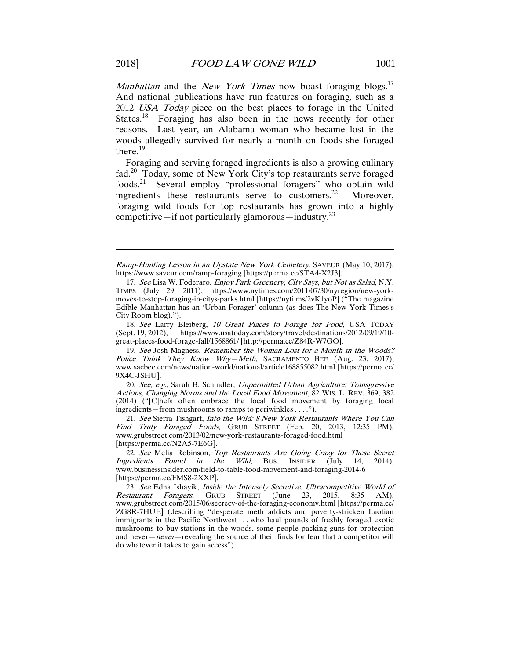*Manhattan* and the *New York Times* now boast foraging blogs.<sup>17</sup> And national publications have run features on foraging, such as a 2012 *USA Today* piece on the best places to forage in the United States.<sup>18</sup> Foraging has also been in the news recently for other reasons. Last year, an Alabama woman who became lost in the woods allegedly survived for nearly a month on foods she foraged there.<sup>19</sup>

Foraging and serving foraged ingredients is also a growing culinary fad.20 Today, some of New York City's top restaurants serve foraged foods.21 Several employ "professional foragers" who obtain wild ingredients these restaurants serve to customers.<sup>22</sup> Moreover, foraging wild foods for top restaurants has grown into a highly competitive—if not particularly glamorous—industry.<sup>23</sup>

18. See Larry Bleiberg, 10 Great Places to Forage for Food, USA TODAY (Sept. 19, 2012), https://www.usatoday.com/story/travel/destinations/2012/09/19/10 great-places-food-forage-fall/1568861/ [http://perma.cc/Z84R-W7GQ].

19. See Josh Magness, Remember the Woman Lost for a Month in the Woods? Police Think They Know Why-Meth, SACRAMENTO BEE (Aug. 23, 2017), www.sacbee.com/news/nation-world/national/article168855082.html [https://perma.cc/ 9X4C-JSHU].

20. See, e.g., Sarah B. Schindler, Unpermitted Urban Agriculture: Transgressive Actions, Changing Norms and the Local Food Movement, 82 WIS. L. REV. 369, 382 (2014) ("[C]hefs often embrace the local food movement by foraging local ingredients—from mushrooms to ramps to periwinkles . . . .").

 21. See Sierra Tishgart, Into the Wild: 8 New York Restaurants Where You Can Find Truly Foraged Foods, GRUB STREET (Feb. 20, 2013, 12:35 PM), www.grubstreet.com/2013/02/new-york-restaurants-foraged-food.html [https://perma.cc/N2A5-7E6G].

22. See Melia Robinson, Top Restaurants Are Going Crazy for These Secret Ingredients Found in the Wild, BUS. INSIDER (July 14, 2014), www.businessinsider.com/field-to-table-food-movement-and-foraging-2014-6 [https://perma.cc/FMS8-2XXP].

23. See Edna Ishayik, *Inside the Intensely Secretive, Ultracompetitive World of Restaurant Foragers*, GRUB STREET (June 23, 2015, 8:35 AM), GRUB STREET (June 23, 2015, 8:35 AM), www.grubstreet.com/2015/06/secrecy-of-the-foraging-economy.html [https://perma.cc/ ZG8R-7HUE] (describing "desperate meth addicts and poverty-stricken Laotian immigrants in the Pacific Northwest . . . who haul pounds of freshly foraged exotic mushrooms to buy-stations in the woods, some people packing guns for protection and never—never—revealing the source of their finds for fear that a competitor will do whatever it takes to gain access").

Ramp-Hunting Lesson in an Upstate New York Cemetery, SAVEUR (May 10, 2017), https://www.saveur.com/ramp-foraging [https://perma.cc/STA4-X2J3].

<sup>17.</sup> See Lisa W. Foderaro, Enjoy Park Greenery, City Says, but Not as Salad, N.Y. TIMES (July 29, 2011), https://www.nytimes.com/2011/07/30/nyregion/new-yorkmoves-to-stop-foraging-in-citys-parks.html [https://nyti.ms/2vK1yoP] ("The magazine Edible Manhattan has an 'Urban Forager' column (as does The New York Times's City Room blog).").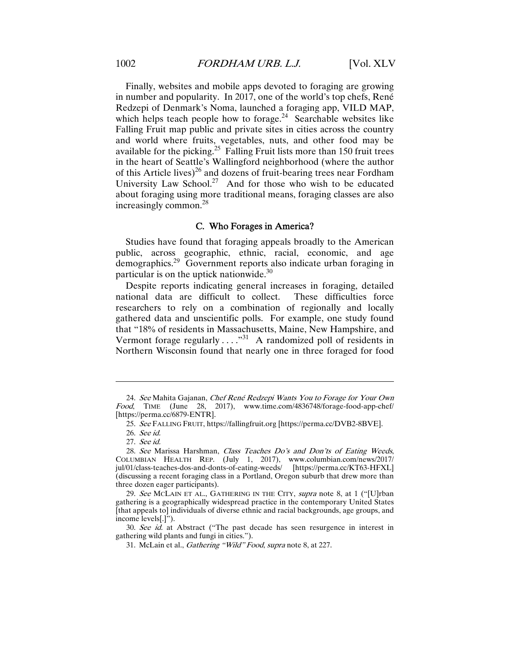Finally, websites and mobile apps devoted to foraging are growing in number and popularity. In 2017, one of the world's top chefs, René Redzepi of Denmark's Noma, launched a foraging app, VILD MAP, which helps teach people how to forage.<sup>24</sup> Searchable websites like Falling Fruit map public and private sites in cities across the country and world where fruits, vegetables, nuts, and other food may be available for the picking.<sup>25</sup> Falling Fruit lists more than 150 fruit trees in the heart of Seattle's Wallingford neighborhood (where the author of this Article lives)<sup>26</sup> and dozens of fruit-bearing trees near Fordham University Law School.<sup>27</sup> And for those who wish to be educated about foraging using more traditional means, foraging classes are also increasingly common.<sup>28</sup>

#### C. Who Forages in America?

Studies have found that foraging appeals broadly to the American public, across geographic, ethnic, racial, economic, and age demographics.29 Government reports also indicate urban foraging in particular is on the uptick nationwide.<sup>30</sup>

Despite reports indicating general increases in foraging, detailed national data are difficult to collect. These difficulties force researchers to rely on a combination of regionally and locally gathered data and unscientific polls. For example, one study found that "18% of residents in Massachusetts, Maine, New Hampshire, and Vermont forage regularly . . . . "<sup>31</sup> A randomized poll of residents in Northern Wisconsin found that nearly one in three foraged for food

<sup>24.</sup> See Mahita Gajanan, Chef René Redzepi Wants You to Forage for Your Own Food, TIME (June 28, 2017), www.time.com/4836748/forage-food-app-chef/ [https://perma.cc/6879-ENTR].

<sup>25.</sup> See FALLING FRUIT, https://fallingfruit.org [https://perma.cc/DVB2-8BVE].

<sup>26.</sup> See id.

<sup>27.</sup> See id.

 <sup>28.</sup> See Marissa Harshman, Class Teaches Do's and Don'ts of Eating Weeds, COLUMBIAN HEALTH REP. (July 1, 2017), www.columbian.com/news/2017/ jul/01/class-teaches-dos-and-donts-of-eating-weeds/ [https://perma.cc/KT63-HFXL] (discussing a recent foraging class in a Portland, Oregon suburb that drew more than three dozen eager participants).

<sup>29.</sup> See MCLAIN ET AL., GATHERING IN THE CITY, supra note 8, at 1 ("[U]rban gathering is a geographically widespread practice in the contemporary United States [that appeals to] individuals of diverse ethnic and racial backgrounds, age groups, and income levels[.]").

<sup>30.</sup> See id. at Abstract ("The past decade has seen resurgence in interest in gathering wild plants and fungi in cities.").

<sup>31.</sup> McLain et al., Gathering "Wild" Food, supra note 8, at 227.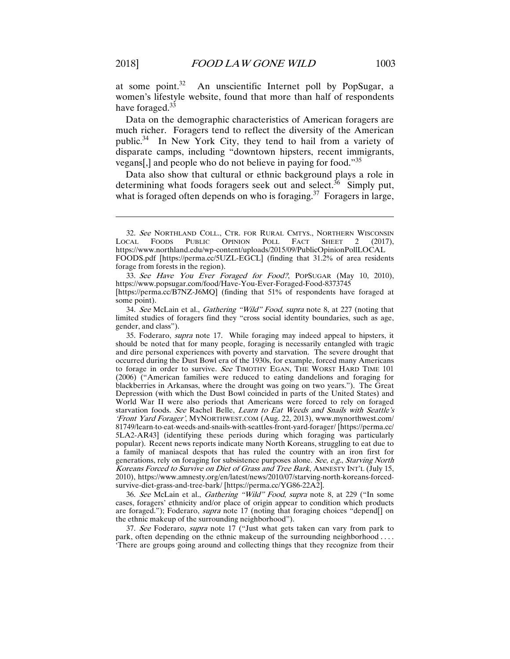at some point. $32$  An unscientific Internet poll by PopSugar, a women's lifestyle website, found that more than half of respondents have foraged.<sup>33</sup>

Data on the demographic characteristics of American foragers are much richer. Foragers tend to reflect the diversity of the American public.<sup>34</sup> In New York City, they tend to hail from a variety of disparate camps, including "downtown hipsters, recent immigrants, vegans[,] and people who do not believe in paying for food."<sup>35</sup>

Data also show that cultural or ethnic background plays a role in determining what foods foragers seek out and select.<sup>36</sup> Simply put, what is foraged often depends on who is foraging.<sup>37</sup> Foragers in large,

33. See Have You Ever Foraged for Food?, POPSUGAR (May 10, 2010), https://www.popsugar.com/food/Have-You-Ever-Foraged-Food-8373745 [https://perma.cc/B7NZ-J6MQ] (finding that 51% of respondents have foraged at

34. See McLain et al., Gathering "Wild" Food, supra note 8, at 227 (noting that limited studies of foragers find they "cross social identity boundaries, such as age, gender, and class").

35. Foderaro, supra note 17. While foraging may indeed appeal to hipsters, it should be noted that for many people, foraging is necessarily entangled with tragic and dire personal experiences with poverty and starvation. The severe drought that occurred during the Dust Bowl era of the 1930s, for example, forced many Americans to forage in order to survive. See TIMOTHY EGAN, THE WORST HARD TIME 101 (2006) ("American families were reduced to eating dandelions and foraging for blackberries in Arkansas, where the drought was going on two years."). The Great Depression (with which the Dust Bowl coincided in parts of the United States) and World War II were also periods that Americans were forced to rely on foraged starvation foods. See Rachel Belle, Learn to Eat Weeds and Snails with Seattle's 'Front Yard Forager', MYNORTHWEST.COM (Aug. 22, 2013), www.mynorthwest.com/ 81749/learn-to-eat-weeds-and-snails-with-seattles-front-yard-forager/ [https://perma.cc/ 5LA2-AR43] (identifying these periods during which foraging was particularly popular). Recent news reports indicate many North Koreans, struggling to eat due to a family of maniacal despots that has ruled the country with an iron first for generations, rely on foraging for subsistence purposes alone. See, e.g., Starving North Koreans Forced to Survive on Diet of Grass and Tree Bark, AMNESTY INT'L (July 15, 2010), https://www.amnesty.org/en/latest/news/2010/07/starving-north-koreans-forcedsurvive-diet-grass-and-tree-bark/ [https://perma.cc/YG86-22A2].

36. See McLain et al., Gathering "Wild" Food, supra note 8, at 229 ("In some cases, foragers' ethnicity and/or place of origin appear to condition which products are foraged."); Foderaro, supra note 17 (noting that foraging choices "depend[] on the ethnic makeup of the surrounding neighborhood").

37. See Foderaro, supra note 17 ("Just what gets taken can vary from park to park, often depending on the ethnic makeup of the surrounding neighborhood .... 'There are groups going around and collecting things that they recognize from their

 $\overline{a}$ 

some point).

<sup>32.</sup> See NORTHLAND COLL., CTR. FOR RURAL CMTYS., NORTHERN WISCONSIN<br>CAL FOODS PUBLIC OPINION POLL FACT SHEET 2 (2017), LOCAL FOODS PUBLIC https://www.northland.edu/wp-content/uploads/2015/09/PublicOpinionPollLOCAL FOODS.pdf [https://perma.cc/5UZL-EGCL] (finding that 31.2% of area residents forage from forests in the region).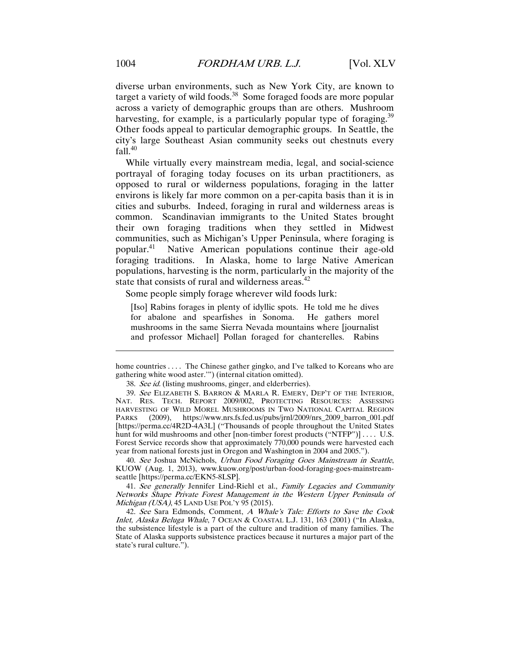diverse urban environments, such as New York City, are known to target a variety of wild foods.<sup>38</sup> Some foraged foods are more popular across a variety of demographic groups than are others. Mushroom harvesting, for example, is a particularly popular type of foraging.<sup>39</sup> Other foods appeal to particular demographic groups. In Seattle, the city's large Southeast Asian community seeks out chestnuts every  $fall.<sup>40</sup>$ 

While virtually every mainstream media, legal, and social-science portrayal of foraging today focuses on its urban practitioners, as opposed to rural or wilderness populations, foraging in the latter environs is likely far more common on a per-capita basis than it is in cities and suburbs. Indeed, foraging in rural and wilderness areas is common. Scandinavian immigrants to the United States brought their own foraging traditions when they settled in Midwest communities, such as Michigan's Upper Peninsula, where foraging is popular.41 Native American populations continue their age-old foraging traditions. In Alaska, home to large Native American populations, harvesting is the norm, particularly in the majority of the state that consists of rural and wilderness areas. $42$ 

Some people simply forage wherever wild foods lurk:

[Iso] Rabins forages in plenty of idyllic spots. He told me he dives for abalone and spearfishes in Sonoma. He gathers morel mushrooms in the same Sierra Nevada mountains where [journalist and professor Michael] Pollan foraged for chanterelles. Rabins

40. See Joshua McNichols, Urban Food Foraging Goes Mainstream in Seattle, KUOW (Aug. 1, 2013), www.kuow.org/post/urban-food-foraging-goes-mainstreamseattle [https://perma.cc/EKN5-8LSP].

41. See generally Jennifer Lind-Riehl et al., Family Legacies and Community Networks Shape Private Forest Management in the Western Upper Peninsula of Michigan (USA), 45 LAND USE POL'Y 95 (2015).

 42. See Sara Edmonds, Comment, A Whale's Tale: Efforts to Save the Cook Inlet, Alaska Beluga Whale, 7 OCEAN & COASTAL L.J. 131, 163 (2001) ("In Alaska, the subsistence lifestyle is a part of the culture and tradition of many families. The State of Alaska supports subsistence practices because it nurtures a major part of the state's rural culture.").

home countries . . . . The Chinese gather gingko, and I've talked to Koreans who are gathering white wood aster.'") (internal citation omitted).

<sup>38.</sup> See id. (listing mushrooms, ginger, and elderberries).

 <sup>39.</sup> See ELIZABETH S. BARRON & MARLA R. EMERY, DEP'T OF THE INTERIOR, NAT. RES. TECH. REPORT 2009/002, PROTECTING RESOURCES: ASSESSING HARVESTING OF WILD MOREL MUSHROOMS IN TWO NATIONAL CAPITAL REGION PARKS (2009), https://www.nrs.fs.fed.us/pubs/jrnl/2009/nrs\_2009\_barron\_001.pdf [https://perma.cc/4R2D-4A3L] ("Thousands of people throughout the United States hunt for wild mushrooms and other [non-timber forest products ("NTFP")] .... U.S. Forest Service records show that approximately 770,000 pounds were harvested each year from national forests just in Oregon and Washington in 2004 and 2005.").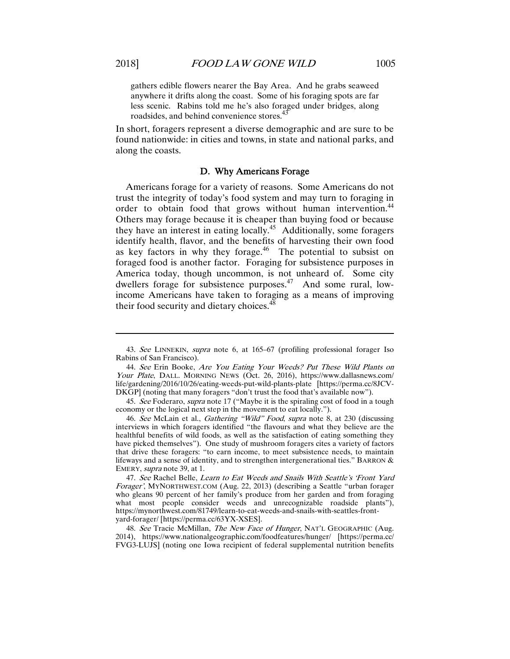gathers edible flowers nearer the Bay Area. And he grabs seaweed anywhere it drifts along the coast. Some of his foraging spots are far less scenic. Rabins told me he's also foraged under bridges, along roadsides, and behind convenience stores.<sup>43</sup>

In short, foragers represent a diverse demographic and are sure to be found nationwide: in cities and towns, in state and national parks, and along the coasts.

#### D. Why Americans Forage

Americans forage for a variety of reasons. Some Americans do not trust the integrity of today's food system and may turn to foraging in order to obtain food that grows without human intervention.<sup>44</sup> Others may forage because it is cheaper than buying food or because they have an interest in eating locally.<sup>45</sup> Additionally, some foragers identify health, flavor, and the benefits of harvesting their own food as key factors in why they forage. $46$  The potential to subsist on foraged food is another factor. Foraging for subsistence purposes in America today, though uncommon, is not unheard of. Some city dwellers forage for subsistence purposes.<sup>47</sup> And some rural, lowincome Americans have taken to foraging as a means of improving their food security and dietary choices.<sup>48</sup>

47. See Rachel Belle, Learn to Eat Weeds and Snails With Seattle's 'Front Yard Forager', MYNORTHWEST.COM (Aug. 22, 2013) (describing a Seattle "urban forager who gleans 90 percent of her family's produce from her garden and from foraging what most people consider weeds and unrecognizable roadside plants"), https://mynorthwest.com/81749/learn-to-eat-weeds-and-snails-with-seattles-frontyard-forager/ [https://perma.cc/63YX-XSES].

48. See Tracie McMillan, The New Face of Hunger, NAT'L GEOGRAPHIC (Aug. 2014), https://www.nationalgeographic.com/foodfeatures/hunger/ [https://perma.cc/ FVG3-LUJS] (noting one Iowa recipient of federal supplemental nutrition benefits

<sup>43.</sup> See LINNEKIN, supra note 6, at 165–67 (profiling professional forager Iso Rabins of San Francisco).

<sup>44.</sup> See Erin Booke, Are You Eating Your Weeds? Put These Wild Plants on Your Plate, DALL. MORNING NEWS (Oct. 26, 2016), https://www.dallasnews.com/ life/gardening/2016/10/26/eating-weeds-put-wild-plants-plate [https://perma.cc/8JCV-DKGP] (noting that many foragers "don't trust the food that's available now").

<sup>45.</sup> See Foderaro, supra note 17 ("Maybe it is the spiraling cost of food in a tough economy or the logical next step in the movement to eat locally.").

<sup>46.</sup> See McLain et al., Gathering "Wild" Food, supra note 8, at 230 (discussing interviews in which foragers identified "the flavours and what they believe are the healthful benefits of wild foods, as well as the satisfaction of eating something they have picked themselves"). One study of mushroom foragers cites a variety of factors that drive these foragers: "to earn income, to meet subsistence needs, to maintain lifeways and a sense of identity, and to strengthen intergenerational ties." BARRON & EMERY, supra note 39, at 1.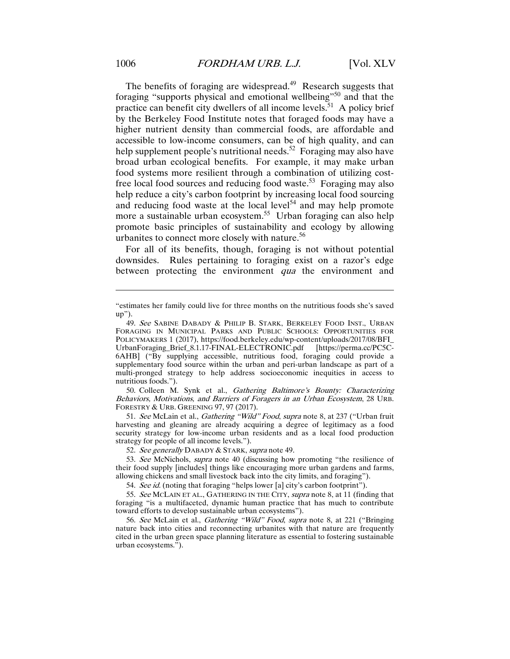The benefits of foraging are widespread.<sup>49</sup> Research suggests that foraging "supports physical and emotional wellbeing"50 and that the practice can benefit city dwellers of all income levels. $51$  A policy brief by the Berkeley Food Institute notes that foraged foods may have a higher nutrient density than commercial foods, are affordable and accessible to low-income consumers, can be of high quality, and can help supplement people's nutritional needs.<sup>52</sup> Foraging may also have broad urban ecological benefits. For example, it may make urban food systems more resilient through a combination of utilizing costfree local food sources and reducing food waste.<sup>53</sup> Foraging may also help reduce a city's carbon footprint by increasing local food sourcing and reducing food waste at the local level<sup>54</sup> and may help promote more a sustainable urban ecosystem.<sup>55</sup> Urban foraging can also help promote basic principles of sustainability and ecology by allowing urbanites to connect more closely with nature.<sup>56</sup>

For all of its benefits, though, foraging is not without potential downsides. Rules pertaining to foraging exist on a razor's edge between protecting the environment *qua* the environment and

 50. Colleen M. Synk et al., Gathering Baltimore's Bounty: Characterizing Behaviors, Motivations, and Barriers of Foragers in an Urban Ecosystem, 28 URB. FORESTRY & URB. GREENING 97, 97 (2017).

51. See McLain et al., Gathering "Wild" Food, supra note 8, at 237 ("Urban fruit harvesting and gleaning are already acquiring a degree of legitimacy as a food security strategy for low-income urban residents and as a local food production strategy for people of all income levels.").

52. See generally DABADY & STARK, supra note 49.

53. See McNichols, supra note 40 (discussing how promoting "the resilience of their food supply [includes] things like encouraging more urban gardens and farms, allowing chickens and small livestock back into the city limits, and foraging").

54. See id. (noting that foraging "helps lower [a] city's carbon footprint").

55. See MCLAIN ET AL., GATHERING IN THE CITY, supra note 8, at 11 (finding that foraging "is a multifaceted, dynamic human practice that has much to contribute toward efforts to develop sustainable urban ecosystems").

56. See McLain et al., Gathering "Wild" Food, supra note 8, at 221 ("Bringing nature back into cities and reconnecting urbanites with that nature are frequently cited in the urban green space planning literature as essential to fostering sustainable urban ecosystems.").

<sup>&</sup>quot;estimates her family could live for three months on the nutritious foods she's saved up").

<sup>49.</sup> See SABINE DABADY & PHILIP B. STARK, BERKELEY FOOD INST., URBAN FORAGING IN MUNICIPAL PARKS AND PUBLIC SCHOOLS: OPPORTUNITIES FOR POLICYMAKERS 1 (2017), https://food.berkeley.edu/wp-content/uploads/2017/08/BFI\_ UrbanForaging\_Brief\_8.1.17-FINAL-ELECTRONIC.pdf [https://perma.cc/PC5C-6AHB] ("By supplying accessible, nutritious food, foraging could provide a supplementary food source within the urban and peri-urban landscape as part of a multi-pronged strategy to help address socioeconomic inequities in access to nutritious foods.").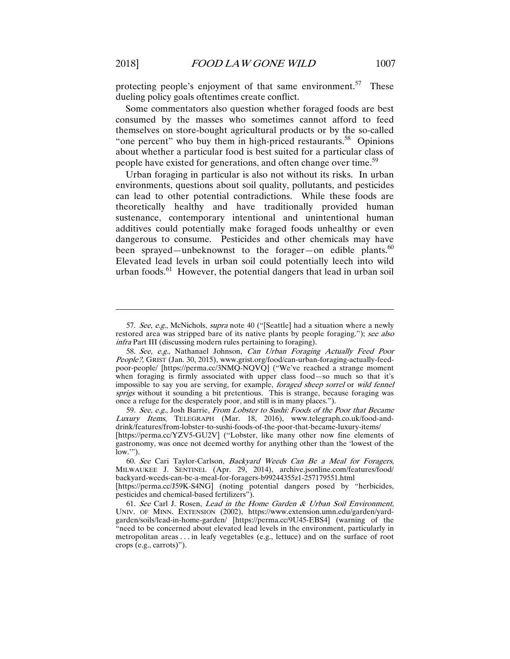protecting people's enjoyment of that same environment.<sup>57</sup> These dueling policy goals oftentimes create conflict.

Some commentators also question whether foraged foods are best consumed by the masses who sometimes cannot afford to feed themselves on store-bought agricultural products or by the so-called "one percent" who buy them in high-priced restaurants. $58$  Opinions about whether a particular food is best suited for a particular class of people have existed for generations, and often change over time.<sup>59</sup>

Urban foraging in particular is also not without its risks. In urban environments, questions about soil quality, pollutants, and pesticides can lead to other potential contradictions. While these foods are theoretically healthy and have traditionally provided human sustenance, contemporary intentional and unintentional human additives could potentially make foraged foods unhealthy or even dangerous to consume. Pesticides and other chemicals may have been sprayed—unbeknownst to the forager—on edible plants.<sup>60</sup> Elevated lead levels in urban soil could potentially leech into wild urban foods. $61$  However, the potential dangers that lead in urban soil

59. See, e.g., Josh Barrie, From Lobster to Sushi: Foods of the Poor that Became Luxury Items, TELEGRAPH (Mar. 18, 2016), www.telegraph.co.uk/food-anddrink/features/from-lobster-to-sushi-foods-of-the-poor-that-became-luxury-items/

<sup>57.</sup> See, e.g., McNichols, supra note 40 ("[Seattle] had a situation where a newly restored area was stripped bare of its native plants by people foraging."); see also infra Part III (discussing modern rules pertaining to foraging).

<sup>58.</sup> See, e.g., Nathanael Johnson, Can Urban Foraging Actually Feed Poor People?, GRIST (Jan. 30, 2015), www.grist.org/food/can-urban-foraging-actually-feedpoor-people/ [https://perma.cc/3NMQ-NQVQ] ("We've reached a strange moment when foraging is firmly associated with upper class food—so much so that it's impossible to say you are serving, for example, foraged sheep sorrel or wild fennel sprigs without it sounding a bit pretentious. This is strange, because foraging was once a refuge for the desperately poor, and still is in many places.").

<sup>[</sup>https://perma.cc/YZV5-GU2V] ("Lobster, like many other now fine elements of gastronomy, was once not deemed worthy for anything other than the 'lowest of the  $\overline{\text{low}}$ .").

<sup>60.</sup> See Cari Taylor-Carlson, Backyard Weeds Can Be a Meal for Foragers, MILWAUKEE J. SENTINEL (Apr. 29, 2014), archive.jsonline.com/features/food/ backyard-weeds-can-be-a-meal-for-foragers-b99244355z1-257179551.html

<sup>[</sup>https://perma.cc/J59K-S4NG] (noting potential dangers posed by "herbicides, pesticides and chemical-based fertilizers").

<sup>61.</sup> See Carl J. Rosen, Lead in the Home Garden & Urban Soil Environment, UNIV. OF MINN. EXTENSION (2002), https://www.extension.umn.edu/garden/yardgarden/soils/lead-in-home-garden/ [https://perma.cc/9U45-EBS4] (warning of the "need to be concerned about elevated lead levels in the environment, particularly in metropolitan areas . . . in leafy vegetables (e.g., lettuce) and on the surface of root crops (e.g., carrots)").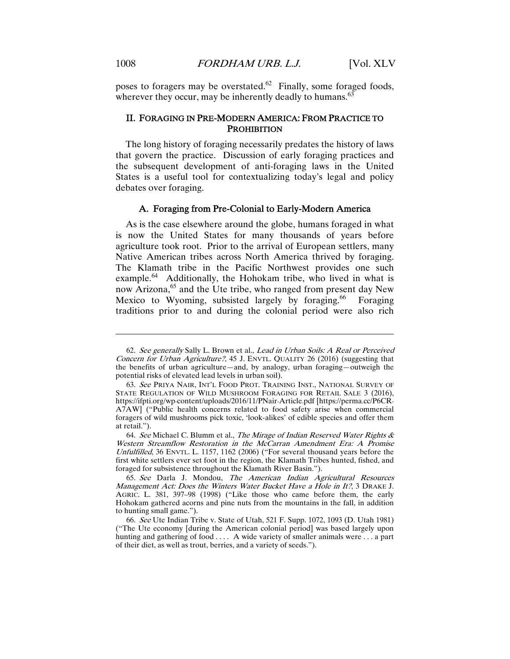poses to foragers may be overstated. $62$  Finally, some foraged foods, wherever they occur, may be inherently deadly to humans. $63$ 

#### II. FORAGING IN PRE-MODERN AMERICA: FROM PRACTICE TO **PROHIBITION**

The long history of foraging necessarily predates the history of laws that govern the practice. Discussion of early foraging practices and the subsequent development of anti-foraging laws in the United States is a useful tool for contextualizing today's legal and policy debates over foraging.

#### A. Foraging from Pre-Colonial to Early-Modern America

As is the case elsewhere around the globe, humans foraged in what is now the United States for many thousands of years before agriculture took root. Prior to the arrival of European settlers, many Native American tribes across North America thrived by foraging. The Klamath tribe in the Pacific Northwest provides one such example.<sup>64</sup> Additionally, the Hohokam tribe, who lived in what is now Arizona,<sup>65</sup> and the Ute tribe, who ranged from present day New Mexico to Wyoming, subsisted largely by foraging.<sup>66</sup> Foraging traditions prior to and during the colonial period were also rich

<sup>62.</sup> See generally Sally L. Brown et al., Lead in Urban Soils: A Real or Perceived Concern for Urban Agriculture?, 45 J. ENVTL. QUALITY 26 (2016) (suggesting that the benefits of urban agriculture—and, by analogy, urban foraging—outweigh the potential risks of elevated lead levels in urban soil).

<sup>63.</sup> See PRIYA NAIR, INT'L FOOD PROT. TRAINING INST., NATIONAL SURVEY OF STATE REGULATION OF WILD MUSHROOM FORAGING FOR RETAIL SALE 3 (2016), https://ifpti.org/wp-content/uploads/2016/11/PNair-Article.pdf [https://perma.cc/P6CR-A7AW] ("Public health concerns related to food safety arise when commercial foragers of wild mushrooms pick toxic, 'look-alikes' of edible species and offer them at retail.").

<sup>64.</sup> See Michael C. Blumm et al., The Mirage of Indian Reserved Water Rights & Western Streamflow Restoration in the McCarran Amendment Era: A Promise Unfulfilled, 36 ENVTL. L. 1157, 1162 (2006) ("For several thousand years before the first white settlers ever set foot in the region, the Klamath Tribes hunted, fished, and foraged for subsistence throughout the Klamath River Basin.").

<sup>65.</sup> See Darla J. Mondou, The American Indian Agricultural Resources Management Act: Does the Winters Water Bucket Have a Hole in It?, 3 DRAKE J. AGRIC. L. 381, 397–98 (1998) ("Like those who came before them, the early Hohokam gathered acorns and pine nuts from the mountains in the fall, in addition to hunting small game.").

<sup>66.</sup> See Ute Indian Tribe v. State of Utah, 521 F. Supp. 1072, 1093 (D. Utah 1981) ("The Ute economy [during the American colonial period] was based largely upon hunting and gathering of food . . . . A wide variety of smaller animals were . . . a part of their diet, as well as trout, berries, and a variety of seeds.").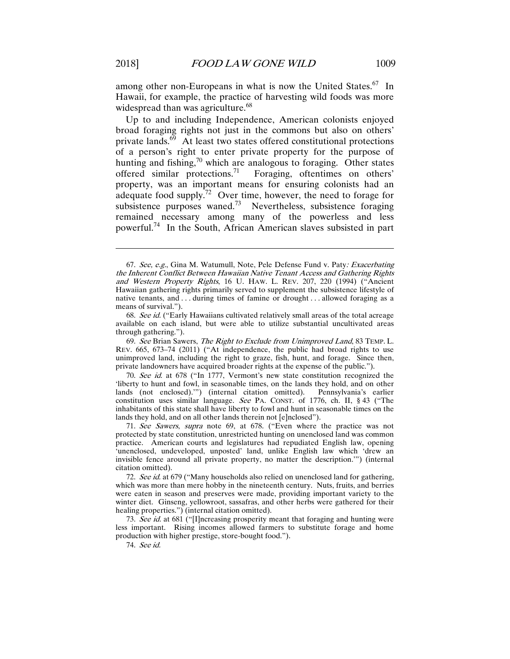among other non-Europeans in what is now the United States.<sup>67</sup> In Hawaii, for example, the practice of harvesting wild foods was more widespread than was agriculture.<sup>68</sup>

Up to and including Independence, American colonists enjoyed broad foraging rights not just in the commons but also on others' private lands. $69$  At least two states offered constitutional protections of a person's right to enter private property for the purpose of hunting and fishing, $70$  which are analogous to foraging. Other states offered similar protections.71 Foraging, oftentimes on others' property, was an important means for ensuring colonists had an adequate food supply.<sup>72</sup> Over time, however, the need to forage for subsistence purposes waned.<sup>73</sup> Nevertheless, subsistence foraging remained necessary among many of the powerless and less powerful.74 In the South, African American slaves subsisted in part

70. See id. at 678 ("In 1777, Vermont's new state constitution recognized the 'liberty to hunt and fowl, in seasonable times, on the lands they hold, and on other lands (not enclosed).'") (internal citation omitted). Pennsylvania's earlier constitution uses similar language. See PA. CONST. of 1776, ch. II, § 43 ("The inhabitants of this state shall have liberty to fowl and hunt in seasonable times on the lands they hold, and on all other lands therein not [e]nclosed").

71. See Sawers, supra note 69, at 678. ("Even where the practice was not protected by state constitution, unrestricted hunting on unenclosed land was common practice. American courts and legislatures had repudiated English law, opening 'unenclosed, undeveloped, unposted' land, unlike English law which 'drew an invisible fence around all private property, no matter the description.'") (internal citation omitted).

74. See id.

<sup>67.</sup> See, e.g., Gina M. Watumull, Note, Pele Defense Fund v. Paty: Exacerbating the Inherent Conflict Between Hawaiian Native Tenant Access and Gathering Rights and Western Property Rights, 16 U. HAW. L. REV. 207, 220 (1994) ("Ancient Hawaiian gathering rights primarily served to supplement the subsistence lifestyle of native tenants, and . . . during times of famine or drought . . . allowed foraging as a means of survival.").

<sup>68.</sup> See id. ("Early Hawaiians cultivated relatively small areas of the total acreage available on each island, but were able to utilize substantial uncultivated areas through gathering.").

<sup>69.</sup> See Brian Sawers, The Right to Exclude from Unimproved Land, 83 TEMP. L. REV. 665, 673–74 (2011) ("At independence, the public had broad rights to use unimproved land, including the right to graze, fish, hunt, and forage. Since then, private landowners have acquired broader rights at the expense of the public.").

<sup>72.</sup> See id. at 679 ("Many households also relied on unenclosed land for gathering, which was more than mere hobby in the nineteenth century. Nuts, fruits, and berries were eaten in season and preserves were made, providing important variety to the winter diet. Ginseng, yellowroot, sassafras, and other herbs were gathered for their healing properties.") (internal citation omitted).

<sup>73.</sup> See id. at 681 ("[I]ncreasing prosperity meant that foraging and hunting were less important. Rising incomes allowed farmers to substitute forage and home production with higher prestige, store-bought food.").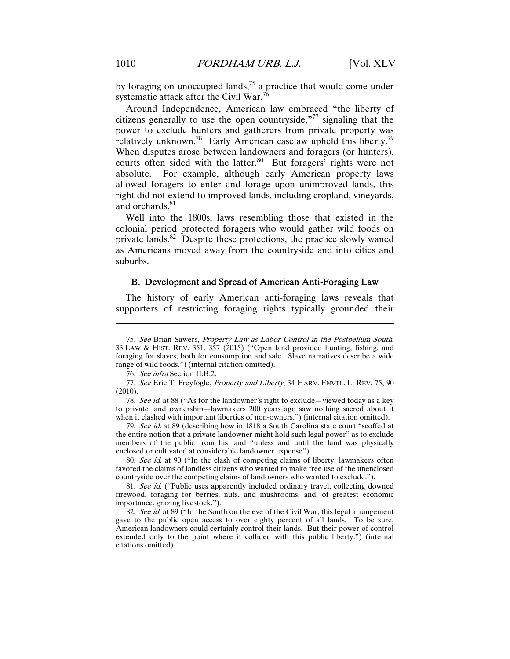by foraging on unoccupied lands, $75$  a practice that would come under systematic attack after the Civil War.<sup>7</sup>

Around Independence, American law embraced "the liberty of citizens generally to use the open countryside,  $\frac{1}{77}$  signaling that the power to exclude hunters and gatherers from private property was relatively unknown.<sup>78</sup> Early American caselaw upheld this liberty.<sup>79</sup> When disputes arose between landowners and foragers (or hunters), courts often sided with the latter.<sup>80</sup> But foragers' rights were not absolute. For example, although early American property laws allowed foragers to enter and forage upon unimproved lands, this right did not extend to improved lands, including cropland, vineyards, and orchards.<sup>81</sup>

Well into the 1800s, laws resembling those that existed in the colonial period protected foragers who would gather wild foods on private lands.<sup>82</sup> Despite these protections, the practice slowly waned as Americans moved away from the countryside and into cities and suburbs.

#### B. Development and Spread of American Anti-Foraging Law

The history of early American anti-foraging laws reveals that supporters of restricting foraging rights typically grounded their

78. See id. at 88 ("As for the landowner's right to exclude—viewed today as a key to private land ownership—lawmakers 200 years ago saw nothing sacred about it when it clashed with important liberties of non-owners.") (internal citation omitted).

79. See id. at 89 (describing how in 1818 a South Carolina state court "scoffed at the entire notion that a private landowner might hold such legal power" as to exclude members of the public from his land "unless and until the land was physically enclosed or cultivated at considerable landowner expense").

80. See id. at 90 ("In the clash of competing claims of liberty, lawmakers often favored the claims of landless citizens who wanted to make free use of the unenclosed countryside over the competing claims of landowners who wanted to exclude.").

81. See id. ("Public uses apparently included ordinary travel, collecting downed firewood, foraging for berries, nuts, and mushrooms, and, of greatest economic importance, grazing livestock.").

82. See id. at 89 ("In the South on the eve of the Civil War, this legal arrangement gave to the public open access to over eighty percent of all lands. To be sure, American landowners could certainly control their lands. But their power of control extended only to the point where it collided with this public liberty.") (internal citations omitted).

<sup>75.</sup> See Brian Sawers, Property Law as Labor Control in the Postbellum South, 33 LAW & HIST. REV. 351, 357 (2015) ("Open land provided hunting, fishing, and foraging for slaves, both for consumption and sale. Slave narratives describe a wide range of wild foods.") (internal citation omitted).

<sup>76.</sup> See infra Section II.B.2.

<sup>77.</sup> See Eric T. Freyfogle, Property and Liberty, 34 HARV. ENVTL. L. REV. 75, 90 (2010).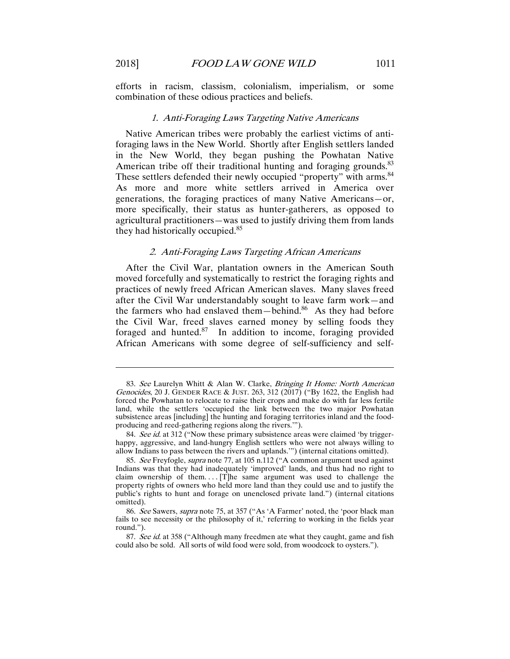efforts in racism, classism, colonialism, imperialism, or some combination of these odious practices and beliefs.

#### 1. Anti-Foraging Laws Targeting Native Americans

Native American tribes were probably the earliest victims of antiforaging laws in the New World. Shortly after English settlers landed in the New World, they began pushing the Powhatan Native American tribe off their traditional hunting and foraging grounds.<sup>83</sup> These settlers defended their newly occupied "property" with arms.<sup>84</sup> As more and more white settlers arrived in America over generations, the foraging practices of many Native Americans—or, more specifically, their status as hunter-gatherers, as opposed to agricultural practitioners—was used to justify driving them from lands they had historically occupied.<sup>85</sup>

#### 2. Anti-Foraging Laws Targeting African Americans

After the Civil War, plantation owners in the American South moved forcefully and systematically to restrict the foraging rights and practices of newly freed African American slaves. Many slaves freed after the Civil War understandably sought to leave farm work—and the farmers who had enslaved them—behind.<sup>86</sup> As they had before the Civil War, freed slaves earned money by selling foods they foraged and hunted. $87$  In addition to income, foraging provided African Americans with some degree of self-sufficiency and self-

<sup>83.</sup> See Laurelyn Whitt & Alan W. Clarke, Bringing It Home: North American Genocides, 20 J. GENDER RACE & JUST. 263, 312 (2017) ("By 1622, the English had forced the Powhatan to relocate to raise their crops and make do with far less fertile land, while the settlers 'occupied the link between the two major Powhatan subsistence areas [including] the hunting and foraging territories inland and the foodproducing and reed-gathering regions along the rivers.'").

<sup>84.</sup> See id. at 312 ("Now these primary subsistence areas were claimed 'by triggerhappy, aggressive, and land-hungry English settlers who were not always willing to allow Indians to pass between the rivers and uplands.'") (internal citations omitted).

<sup>85.</sup> See Freyfogle, supra note 77, at 105 n.112 ("A common argument used against Indians was that they had inadequately 'improved' lands, and thus had no right to claim ownership of them.... $[T]$ he same argument was used to challenge the property rights of owners who held more land than they could use and to justify the public's rights to hunt and forage on unenclosed private land.") (internal citations omitted).

<sup>86.</sup> See Sawers, supra note 75, at 357 ("As 'A Farmer' noted, the 'poor black man fails to see necessity or the philosophy of it,' referring to working in the fields year round.").

<sup>87.</sup> See id. at 358 ("Although many freedmen ate what they caught, game and fish could also be sold. All sorts of wild food were sold, from woodcock to oysters.").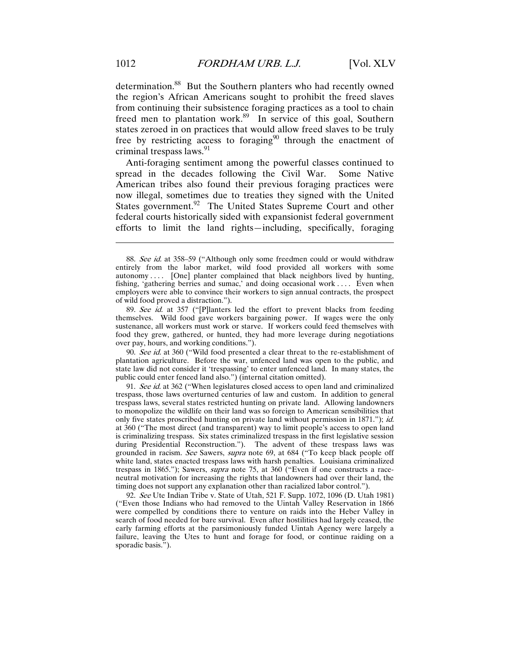determination.<sup>88</sup> But the Southern planters who had recently owned the region's African Americans sought to prohibit the freed slaves from continuing their subsistence foraging practices as a tool to chain freed men to plantation work.<sup>89</sup> In service of this goal, Southern states zeroed in on practices that would allow freed slaves to be truly free by restricting access to foraging<sup>90</sup> through the enactment of criminal trespass laws. $91$ 

Anti-foraging sentiment among the powerful classes continued to spread in the decades following the Civil War. Some Native American tribes also found their previous foraging practices were now illegal, sometimes due to treaties they signed with the United States government.<sup>92</sup> The United States Supreme Court and other federal courts historically sided with expansionist federal government efforts to limit the land rights—including, specifically, foraging

89. See id. at 357 ("[P]lanters led the effort to prevent blacks from feeding themselves. Wild food gave workers bargaining power. If wages were the only sustenance, all workers must work or starve. If workers could feed themselves with food they grew, gathered, or hunted, they had more leverage during negotiations over pay, hours, and working conditions.").

90. See id. at 360 ("Wild food presented a clear threat to the re-establishment of plantation agriculture. Before the war, unfenced land was open to the public, and state law did not consider it 'trespassing' to enter unfenced land. In many states, the public could enter fenced land also.") (internal citation omitted).

91. See id. at 362 ("When legislatures closed access to open land and criminalized trespass, those laws overturned centuries of law and custom. In addition to general trespass laws, several states restricted hunting on private land. Allowing landowners to monopolize the wildlife on their land was so foreign to American sensibilities that only five states proscribed hunting on private land without permission in 1871."); id. at 360 ("The most direct (and transparent) way to limit people's access to open land is criminalizing trespass. Six states criminalized trespass in the first legislative session during Presidential Reconstruction."). The advent of these trespass laws was grounded in racism. See Sawers, supra note 69, at 684 ("To keep black people off white land, states enacted trespass laws with harsh penalties. Louisiana criminalized trespass in 1865."); Sawers, supra note 75, at 360 ("Even if one constructs a raceneutral motivation for increasing the rights that landowners had over their land, the timing does not support any explanation other than racialized labor control.").

92. See Ute Indian Tribe v. State of Utah, 521 F. Supp. 1072, 1096 (D. Utah 1981) ("Even those Indians who had removed to the Uintah Valley Reservation in 1866 were compelled by conditions there to venture on raids into the Heber Valley in search of food needed for bare survival. Even after hostilities had largely ceased, the early farming efforts at the parsimoniously funded Uintah Agency were largely a failure, leaving the Utes to hunt and forage for food, or continue raiding on a sporadic basis.").

<sup>88.</sup> See id. at 358–59 ("Although only some freedmen could or would withdraw entirely from the labor market, wild food provided all workers with some autonomy .... [One] planter complained that black neighbors lived by hunting, fishing, 'gathering berries and sumac,' and doing occasional work . . . . Even when employers were able to convince their workers to sign annual contracts, the prospect of wild food proved a distraction.").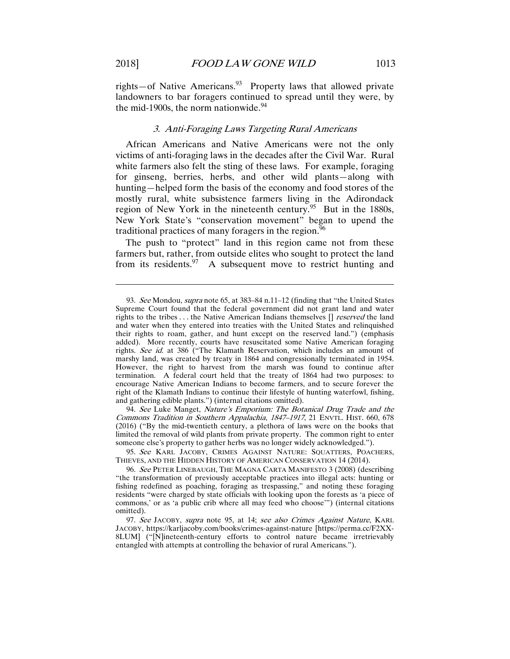rights—of Native Americans. $93$  Property laws that allowed private landowners to bar foragers continued to spread until they were, by the mid-1900s, the norm nationwide. $94$ 

#### 3. Anti-Foraging Laws Targeting Rural Americans

African Americans and Native Americans were not the only victims of anti-foraging laws in the decades after the Civil War. Rural white farmers also felt the sting of these laws. For example, foraging for ginseng, berries, herbs, and other wild plants—along with hunting—helped form the basis of the economy and food stores of the mostly rural, white subsistence farmers living in the Adirondack region of New York in the nineteenth century.<sup>95</sup> But in the 1880s, New York State's "conservation movement" began to upend the traditional practices of many foragers in the region.<sup>96</sup>

The push to "protect" land in this region came not from these farmers but, rather, from outside elites who sought to protect the land from its residents.  $97$  A subsequent move to restrict hunting and

 94. See Luke Manget, Nature's Emporium: The Botanical Drug Trade and the Commons Tradition in Southern Appalachia, 1847–1917, 21 ENVTL. HIST. 660, 678 (2016) ("By the mid-twentieth century, a plethora of laws were on the books that limited the removal of wild plants from private property. The common right to enter someone else's property to gather herbs was no longer widely acknowledged.").

95. See KARL JACOBY, CRIMES AGAINST NATURE: SQUATTERS, POACHERS, THIEVES, AND THE HIDDEN HISTORY OF AMERICAN CONSERVATION 14 (2014).

<sup>93.</sup> See Mondou, supra note 65, at 383–84 n.11–12 (finding that "the United States Supreme Court found that the federal government did not grant land and water rights to the tribes . . . the Native American Indians themselves  $\left[ \right]$  *reserved* the land and water when they entered into treaties with the United States and relinquished their rights to roam, gather, and hunt except on the reserved land.") (emphasis added). More recently, courts have resuscitated some Native American foraging rights. See id. at 386 ("The Klamath Reservation, which includes an amount of marshy land, was created by treaty in 1864 and congressionally terminated in 1954. However, the right to harvest from the marsh was found to continue after termination. A federal court held that the treaty of 1864 had two purposes: to encourage Native American Indians to become farmers, and to secure forever the right of the Klamath Indians to continue their lifestyle of hunting waterfowl, fishing, and gathering edible plants.") (internal citations omitted).

 <sup>96.</sup> See PETER LINEBAUGH, THE MAGNA CARTA MANIFESTO 3 (2008) (describing "the transformation of previously acceptable practices into illegal acts: hunting or fishing redefined as poaching, foraging as trespassing," and noting these foraging residents "were charged by state officials with looking upon the forests as 'a piece of commons,' or as 'a public crib where all may feed who choose'") (internal citations omitted).

<sup>97.</sup> See JACOBY, supra note 95, at 14; see also Crimes Against Nature, KARL JACOBY, https://karljacoby.com/books/crimes-against-nature [https://perma.cc/F2XX-8LUM] ("[N]ineteenth-century efforts to control nature became irretrievably entangled with attempts at controlling the behavior of rural Americans.").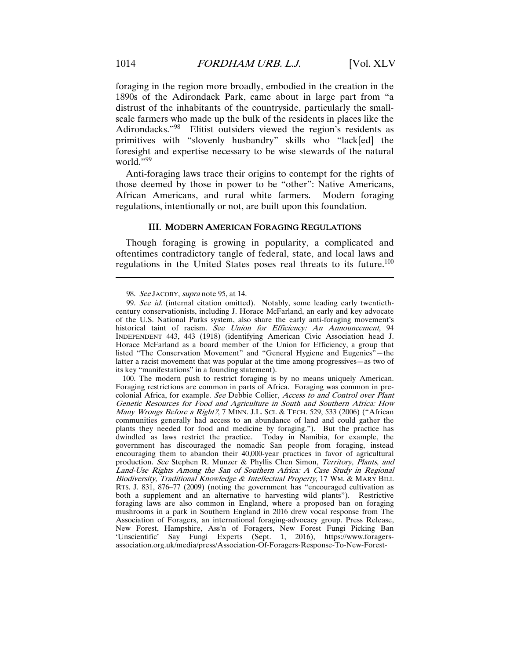foraging in the region more broadly, embodied in the creation in the 1890s of the Adirondack Park, came about in large part from "a distrust of the inhabitants of the countryside, particularly the smallscale farmers who made up the bulk of the residents in places like the Adirondacks."<sup>98</sup> Elitist outsiders viewed the region's residents as primitives with "slovenly husbandry" skills who "lack[ed] the foresight and expertise necessary to be wise stewards of the natural world.",99

Anti-foraging laws trace their origins to contempt for the rights of those deemed by those in power to be "other": Native Americans, African Americans, and rural white farmers. Modern foraging regulations, intentionally or not, are built upon this foundation.

#### III. MODERN AMERICAN FORAGING REGULATIONS

Though foraging is growing in popularity, a complicated and oftentimes contradictory tangle of federal, state, and local laws and regulations in the United States poses real threats to its future.<sup>100</sup>

<sup>98.</sup> See JACOBY, supra note 95, at 14.

<sup>99.</sup> See id. (internal citation omitted). Notably, some leading early twentiethcentury conservationists, including J. Horace McFarland, an early and key advocate of the U.S. National Parks system, also share the early anti-foraging movement's historical taint of racism. See Union for Efficiency: An Announcement, 94 INDEPENDENT 443, 443 (1918) (identifying American Civic Association head J. Horace McFarland as a board member of the Union for Efficiency, a group that listed "The Conservation Movement" and "General Hygiene and Eugenics"—the latter a racist movement that was popular at the time among progressives—as two of its key "manifestations" in a founding statement).

 <sup>100.</sup> The modern push to restrict foraging is by no means uniquely American. Foraging restrictions are common in parts of Africa. Foraging was common in precolonial Africa, for example. See Debbie Collier, Access to and Control over Plant Genetic Resources for Food and Agriculture in South and Southern Africa: How Many Wrongs Before a Right?, 7 MINN. J.L. SCI. & TECH. 529, 533 (2006) ("African communities generally had access to an abundance of land and could gather the plants they needed for food and medicine by foraging."). But the practice has dwindled as laws restrict the practice. Today in Namibia, for example, the government has discouraged the nomadic San people from foraging, instead encouraging them to abandon their 40,000-year practices in favor of agricultural production. See Stephen R. Munzer & Phyllis Chen Simon, Territory, Plants, and Land-Use Rights Among the San of Southern Africa: A Case Study in Regional Biodiversity, Traditional Knowledge & Intellectual Property, 17 WM. & MARY BILL RTS. J. 831, 876–77 (2009) (noting the government has "encouraged cultivation as both a supplement and an alternative to harvesting wild plants"). Restrictive foraging laws are also common in England, where a proposed ban on foraging mushrooms in a park in Southern England in 2016 drew vocal response from The Association of Foragers, an international foraging-advocacy group. Press Release, New Forest, Hampshire, Ass'n of Foragers, New Forest Fungi Picking Ban 'Unscientific' Say Fungi Experts (Sept. 1, 2016), https://www.foragersassociation.org.uk/media/press/Association-Of-Foragers-Response-To-New-Forest-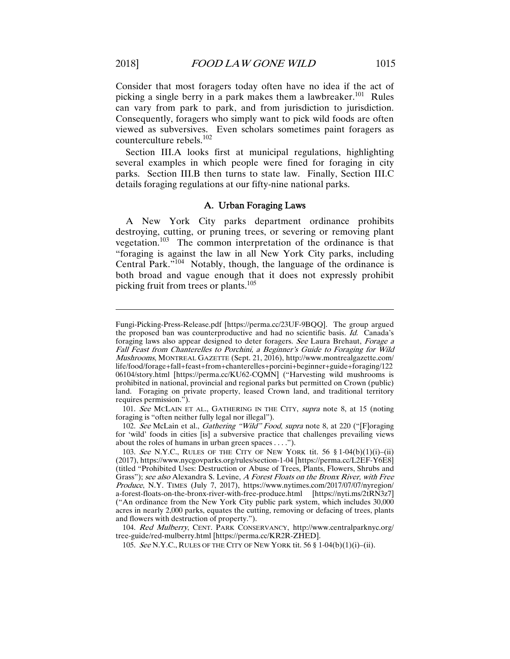Consider that most foragers today often have no idea if the act of picking a single berry in a park makes them a lawbreaker.<sup>101</sup> Rules can vary from park to park, and from jurisdiction to jurisdiction. Consequently, foragers who simply want to pick wild foods are often viewed as subversives. Even scholars sometimes paint foragers as counterculture rebels.<sup>102</sup>

Section III.A looks first at municipal regulations, highlighting several examples in which people were fined for foraging in city parks. Section III.B then turns to state law. Finally, Section III.C details foraging regulations at our fifty-nine national parks.

#### A. Urban Foraging Laws

A New York City parks department ordinance prohibits destroying, cutting, or pruning trees, or severing or removing plant vegetation.103 The common interpretation of the ordinance is that "foraging is against the law in all New York City parks, including Central Park."104 Notably, though, the language of the ordinance is both broad and vague enough that it does not expressly prohibit picking fruit from trees or plants.<sup>105</sup>

104. Red Mulberry, CENT. PARK CONSERVANCY, http://www.centralparknyc.org/ tree-guide/red-mulberry.html [https://perma.cc/KR2R-ZHED].

105. See N.Y.C., RULES OF THE CITY OF NEW YORK tit. 56 § 1-04(b)(1)(i)–(ii).

Fungi-Picking-Press-Release.pdf [https://perma.cc/23UF-9BQQ]. The group argued the proposed ban was counterproductive and had no scientific basis. Id. Canada's foraging laws also appear designed to deter foragers. See Laura Brehaut, Forage a Fall Feast from Chanterelles to Porchini, a Beginner's Guide to Foraging for Wild Mushrooms, MONTREAL GAZETTE (Sept. 21, 2016), http://www.montrealgazette.com/ life/food/forage+fall+feast+from+chanterelles+porcini+beginner+guide+foraging/122 06104/story.html [https://perma.cc/KU62-CQMN] ("Harvesting wild mushrooms is prohibited in national, provincial and regional parks but permitted on Crown (public) land. Foraging on private property, leased Crown land, and traditional territory requires permission.").

<sup>101.</sup> See MCLAIN ET AL., GATHERING IN THE CITY, supra note 8, at 15 (noting foraging is "often neither fully legal nor illegal").

 <sup>102.</sup> See McLain et al., Gathering "Wild" Food, supra note 8, at 220 ("[F]oraging for 'wild' foods in cities [is] a subversive practice that challenges prevailing views about the roles of humans in urban green spaces . . . .").

<sup>103.</sup> See N.Y.C., RULES OF THE CITY OF NEW YORK tit. 56  $$1-04(b)(1)(i)-(ii)$ (2017), https://www.nycgovparks.org/rules/section-1-04 [https://perma.cc/L2EF-Y6E8] (titled "Prohibited Uses: Destruction or Abuse of Trees, Plants, Flowers, Shrubs and Grass"); see also Alexandra S. Levine, A Forest Floats on the Bronx River, with Free Produce, N.Y. TIMES (July 7, 2017), https://www.nytimes.com/2017/07/07/nyregion/ a-forest-floats-on-the-bronx-river-with-free-produce.html [https://nyti.ms/2tRN3z7] ("An ordinance from the New York City public park system, which includes 30,000 acres in nearly 2,000 parks, equates the cutting, removing or defacing of trees, plants and flowers with destruction of property.").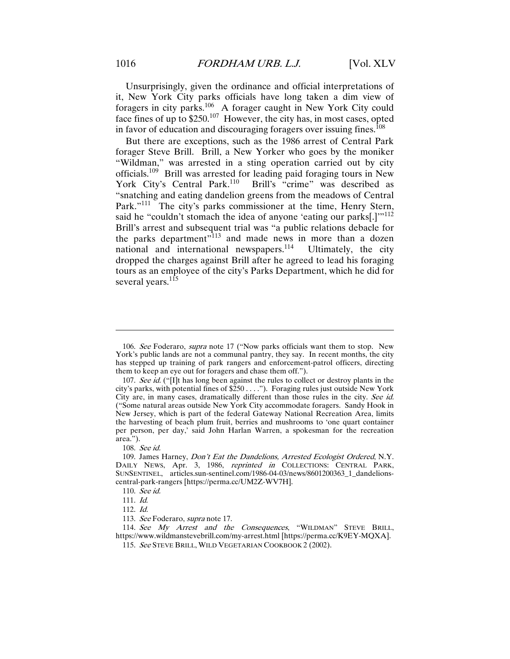Unsurprisingly, given the ordinance and official interpretations of it, New York City parks officials have long taken a dim view of foragers in city parks.106 A forager caught in New York City could face fines of up to \$250.107 However, the city has, in most cases, opted in favor of education and discouraging foragers over issuing fines.<sup>108</sup>

But there are exceptions, such as the 1986 arrest of Central Park forager Steve Brill. Brill, a New Yorker who goes by the moniker "Wildman," was arrested in a sting operation carried out by city officials.109 Brill was arrested for leading paid foraging tours in New York City's Central Park.<sup>110</sup> Brill's "crime" was described as "snatching and eating dandelion greens from the meadows of Central Park."<sup>111</sup> The city's parks commissioner at the time, Henry Stern, said he "couldn't stomach the idea of anyone 'eating our parks[.]'"<sup>112</sup> Brill's arrest and subsequent trial was "a public relations debacle for the parks department"113 and made news in more than a dozen national and international newspapers. $114$  Ultimately, the city dropped the charges against Brill after he agreed to lead his foraging tours as an employee of the city's Parks Department, which he did for several years.<sup>115</sup>

108. See id.

<sup>106.</sup> See Foderaro, supra note 17 ("Now parks officials want them to stop. New York's public lands are not a communal pantry, they say. In recent months, the city has stepped up training of park rangers and enforcement-patrol officers, directing them to keep an eye out for foragers and chase them off.").

<sup>107.</sup> See id. ("[I]t has long been against the rules to collect or destroy plants in the city's parks, with potential fines of \$250 . . . ."). Foraging rules just outside New York City are, in many cases, dramatically different than those rules in the city. See id. ("Some natural areas outside New York City accommodate foragers. Sandy Hook in New Jersey, which is part of the federal Gateway National Recreation Area, limits the harvesting of beach plum fruit, berries and mushrooms to 'one quart container per person, per day,' said John Harlan Warren, a spokesman for the recreation area.").

<sup>109.</sup> James Harney, *Don't Eat the Dandelions, Arrested Ecologist Ordered*, N.Y. DAILY NEWS, Apr. 3, 1986, reprinted in COLLECTIONS: CENTRAL PARK, SUNSENTINEL, articles.sun-sentinel.com/1986-04-03/news/8601200363\_1\_dandelionscentral-park-rangers [https://perma.cc/UM2Z-WV7H].

<sup>110.</sup> See id.

<sup>111.</sup> Id.

<sup>112.</sup> Id.

<sup>113.</sup> See Foderaro, supra note 17.

<sup>114.</sup> See My Arrest and the Consequences, "WILDMAN" STEVE BRILL, https://www.wildmanstevebrill.com/my-arrest.html [https://perma.cc/K9EY-MQXA].

 <sup>115.</sup> See STEVE BRILL, WILD VEGETARIAN COOKBOOK 2 (2002).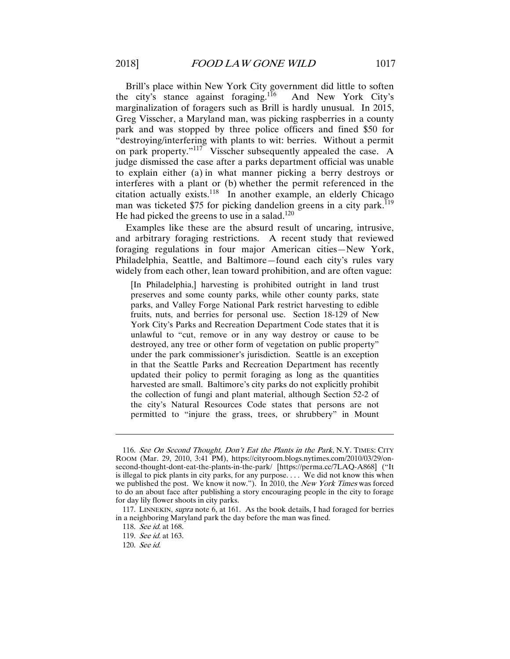Brill's place within New York City government did little to soften<br>e city's stance against foraging.<sup>116</sup> And New York City's the city's stance against foraging.<sup>116</sup> marginalization of foragers such as Brill is hardly unusual. In 2015, Greg Visscher, a Maryland man, was picking raspberries in a county park and was stopped by three police officers and fined \$50 for "destroying/interfering with plants to wit: berries. Without a permit on park property."<sup>117</sup> Visscher subsequently appealed the case. A judge dismissed the case after a parks department official was unable to explain either (a) in what manner picking a berry destroys or interferes with a plant or (b) whether the permit referenced in the citation actually exists.<sup>118</sup> In another example, an elderly Chicago man was ticketed \$75 for picking dandelion greens in a city park.<sup>119</sup> He had picked the greens to use in a salad.<sup>120</sup>

Examples like these are the absurd result of uncaring, intrusive, and arbitrary foraging restrictions. A recent study that reviewed foraging regulations in four major American cities—New York, Philadelphia, Seattle, and Baltimore—found each city's rules vary widely from each other, lean toward prohibition, and are often vague:

[In Philadelphia,] harvesting is prohibited outright in land trust preserves and some county parks, while other county parks, state parks, and Valley Forge National Park restrict harvesting to edible fruits, nuts, and berries for personal use. Section 18-129 of New York City's Parks and Recreation Department Code states that it is unlawful to "cut, remove or in any way destroy or cause to be destroyed, any tree or other form of vegetation on public property" under the park commissioner's jurisdiction. Seattle is an exception in that the Seattle Parks and Recreation Department has recently updated their policy to permit foraging as long as the quantities harvested are small. Baltimore's city parks do not explicitly prohibit the collection of fungi and plant material, although Section 52-2 of the city's Natural Resources Code states that persons are not permitted to "injure the grass, trees, or shrubbery" in Mount

<sup>116.</sup> See On Second Thought, Don't Eat the Plants in the Park, N.Y. TIMES: CITY ROOM (Mar. 29, 2010, 3:41 PM), https://cityroom.blogs.nytimes.com/2010/03/29/onsecond-thought-dont-eat-the-plants-in-the-park/ [https://perma.cc/7LAQ-A868] ("It is illegal to pick plants in city parks, for any purpose. . . . We did not know this when we published the post. We know it now."). In 2010, the New York Times was forced to do an about face after publishing a story encouraging people in the city to forage for day lily flower shoots in city parks.

 <sup>117.</sup> LINNEKIN, supra note 6, at 161. As the book details, I had foraged for berries in a neighboring Maryland park the day before the man was fined.

<sup>118.</sup> See id. at 168.

<sup>119.</sup> See id. at 163.

<sup>120.</sup> See id.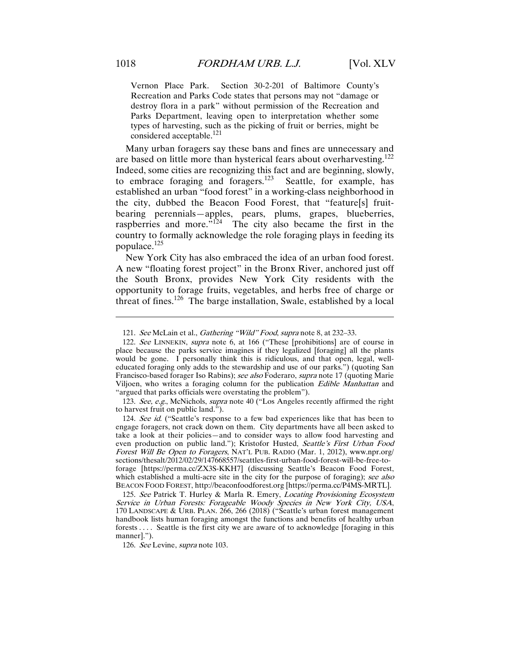Vernon Place Park. Section 30-2-201 of Baltimore County's Recreation and Parks Code states that persons may not "damage or destroy flora in a park" without permission of the Recreation and Parks Department, leaving open to interpretation whether some types of harvesting, such as the picking of fruit or berries, might be considered acceptable.<sup>121</sup>

Many urban foragers say these bans and fines are unnecessary and are based on little more than hysterical fears about overharvesting.122 Indeed, some cities are recognizing this fact and are beginning, slowly, to embrace foraging and foragers. $123$  Seattle, for example, has established an urban "food forest" in a working-class neighborhood in the city, dubbed the Beacon Food Forest, that "feature[s] fruitbearing perennials—apples, pears, plums, grapes, blueberries, raspberries and more." $124$  The city also became the first in the country to formally acknowledge the role foraging plays in feeding its populace.<sup>125</sup>

New York City has also embraced the idea of an urban food forest. A new "floating forest project" in the Bronx River, anchored just off the South Bronx, provides New York City residents with the opportunity to forage fruits, vegetables, and herbs free of charge or threat of fines.<sup>126</sup> The barge installation, Swale, established by a local

123. See, e.g., McNichols, *supra* note 40 ("Los Angeles recently affirmed the right to harvest fruit on public land.").

124. See id. ("Seattle's response to a few bad experiences like that has been to engage foragers, not crack down on them. City departments have all been asked to take a look at their policies—and to consider ways to allow food harvesting and even production on public land."); Kristofor Husted, Seattle's First Urban Food Forest Will Be Open to Foragers, NAT'L PUB. RADIO (Mar. 1, 2012), www.npr.org/ sections/thesalt/2012/02/29/147668557/seattles-first-urban-food-forest-will-be-free-toforage [https://perma.cc/ZX3S-KKH7] (discussing Seattle's Beacon Food Forest, which established a multi-acre site in the city for the purpose of foraging); see also BEACON FOOD FOREST, http://beaconfoodforest.org [https://perma.cc/P4MS-MRTL].

125. See Patrick T. Hurley & Marla R. Emery, Locating Provisioning Ecosystem Service in Urban Forests: Forageable Woody Species in New York City, USA, 170 LANDSCAPE & URB. PLAN. 266, 266 (2018) ("Seattle's urban forest management handbook lists human foraging amongst the functions and benefits of healthy urban forests . . . . Seattle is the first city we are aware of to acknowledge [foraging in this manner].").

126. See Levine, supra note 103.

<sup>121.</sup> See McLain et al., Gathering "Wild" Food, supra note 8, at 232–33.

 <sup>122.</sup> See LINNEKIN, supra note 6, at 166 ("These [prohibitions] are of course in place because the parks service imagines if they legalized [foraging] all the plants would be gone. I personally think this is ridiculous, and that open, legal, welleducated foraging only adds to the stewardship and use of our parks.") (quoting San Francisco-based forager Iso Rabins); see also Foderaro, supra note 17 (quoting Marie Viljoen, who writes a foraging column for the publication Edible Manhattan and "argued that parks officials were overstating the problem").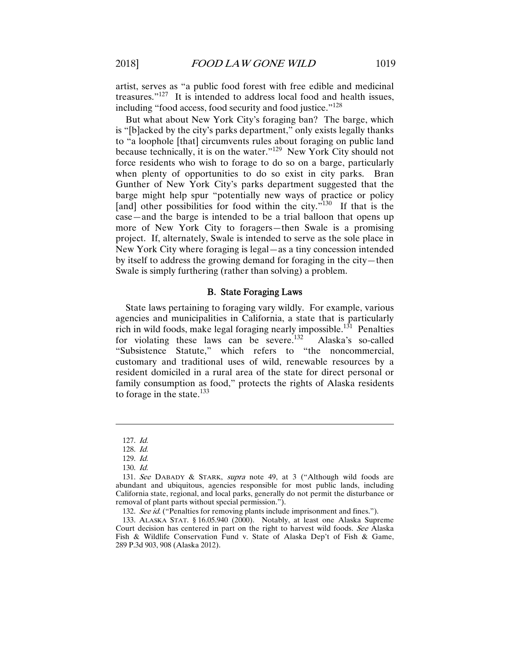artist, serves as "a public food forest with free edible and medicinal treasures."127 It is intended to address local food and health issues, including "food access, food security and food justice."<sup>128</sup>

But what about New York City's foraging ban? The barge, which is "[b]acked by the city's parks department," only exists legally thanks to "a loophole [that] circumvents rules about foraging on public land because technically, it is on the water."129 New York City should not force residents who wish to forage to do so on a barge, particularly when plenty of opportunities to do so exist in city parks. Bran Gunther of New York City's parks department suggested that the barge might help spur "potentially new ways of practice or policy [and] other possibilities for food within the city."<sup>130</sup> If that is the case—and the barge is intended to be a trial balloon that opens up more of New York City to foragers—then Swale is a promising project. If, alternately, Swale is intended to serve as the sole place in New York City where foraging is legal—as a tiny concession intended by itself to address the growing demand for foraging in the city—then Swale is simply furthering (rather than solving) a problem.

#### B. State Foraging Laws

State laws pertaining to foraging vary wildly. For example, various agencies and municipalities in California, a state that is particularly rich in wild foods, make legal foraging nearly impossible.<sup>131</sup> Penalties for violating these laws can be severe.<sup>132</sup> Alaska's so-called "Subsistence Statute," which refers to "the noncommercial, customary and traditional uses of wild, renewable resources by a resident domiciled in a rural area of the state for direct personal or family consumption as food," protects the rights of Alaska residents to forage in the state.<sup>133</sup>

<sup>127.</sup> Id.

<sup>128.</sup> Id.

<sup>129.</sup> Id.

<sup>130.</sup> Id.

<sup>131.</sup> See DABADY & STARK, supra note 49, at 3 ("Although wild foods are abundant and ubiquitous, agencies responsible for most public lands, including California state, regional, and local parks, generally do not permit the disturbance or removal of plant parts without special permission.").

<sup>132.</sup> See id. ("Penalties for removing plants include imprisonment and fines.").

 <sup>133.</sup> ALASKA STAT. § 16.05.940 (2000). Notably, at least one Alaska Supreme Court decision has centered in part on the right to harvest wild foods. See Alaska Fish & Wildlife Conservation Fund v. State of Alaska Dep't of Fish & Game, 289 P.3d 903, 908 (Alaska 2012).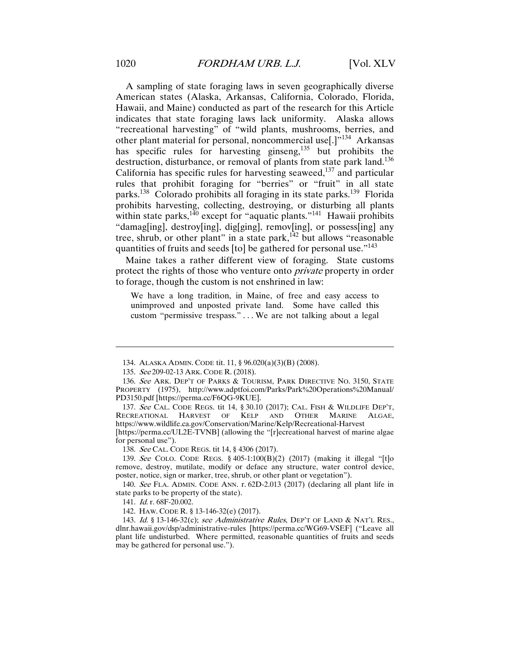A sampling of state foraging laws in seven geographically diverse American states (Alaska, Arkansas, California, Colorado, Florida, Hawaii, and Maine) conducted as part of the research for this Article indicates that state foraging laws lack uniformity. Alaska allows "recreational harvesting" of "wild plants, mushrooms, berries, and other plant material for personal, noncommercial use[.]"<sup>134</sup> Arkansas has specific rules for harvesting ginseng,<sup>135</sup> but prohibits the destruction, disturbance, or removal of plants from state park land.<sup>136</sup> California has specific rules for harvesting seaweed, $137$  and particular rules that prohibit foraging for "berries" or "fruit" in all state parks.<sup>138</sup> Colorado prohibits all foraging in its state parks.<sup>139</sup> Florida prohibits harvesting, collecting, destroying, or disturbing all plants within state parks, $140$  except for "aquatic plants."<sup>141</sup> Hawaii prohibits "damag[ing], destroy[ing], dig[ging], remov[ing], or possess[ing] any tree, shrub, or other plant" in a state park, $142$  but allows "reasonable quantities of fruits and seeds [to] be gathered for personal use."<sup>143</sup>

Maine takes a rather different view of foraging. State customs protect the rights of those who venture onto *private* property in order to forage, though the custom is not enshrined in law:

We have a long tradition, in Maine, of free and easy access to unimproved and unposted private land. Some have called this custom "permissive trespass." . . . We are not talking about a legal

137. See CAL. CODE REGS. tit 14, § 30.10 (2017); CAL. FISH & WILDLIFE DEP'T, RECREATIONAL HARVEST OF KELP AND OTHER MARINE ALGAE, https://www.wildlife.ca.gov/Conservation/Marine/Kelp/Recreational-Harvest [https://perma.cc/UL2E-TVNB] (allowing the "[r]ecreational harvest of marine algae

for personal use").

 $\overline{a}$ 

138. See CAL. CODE REGS. tit 14, § 4306 (2017).

139. See COLO. CODE REGS. § 405-1:100(B)(2) (2017) (making it illegal "[t]o remove, destroy, mutilate, modify or deface any structure, water control device, poster, notice, sign or marker, tree, shrub, or other plant or vegetation").

 140. See FLA. ADMIN. CODE ANN. r. 62D-2.013 (2017) (declaring all plant life in state parks to be property of the state).

 <sup>134.</sup> ALASKA ADMIN. CODE tit. 11, § 96.020(a)(3)(B) (2008).

<sup>135.</sup> See 209-02-13 ARK. CODE R. (2018).

<sup>136.</sup> See ARK. DEP'T OF PARKS & TOURISM, PARK DIRECTIVE NO. 3150, STATE PROPERTY (1975), http://www.adptfoi.com/Parks/Park%20Operations%20Manual/ PD3150.pdf [https://perma.cc/F6QG-9KUE].

<sup>141.</sup> Id. r. 68F-20.002.

 <sup>142.</sup> HAW. CODE R. § 13-146-32(e) (2017).

<sup>143.</sup> Id. § 13-146-32(c); see Administrative Rules, DEP'T OF LAND & NAT'L RES., dlnr.hawaii.gov/dsp/administrative-rules [https://perma.cc/WG69-VSEF] ("Leave all plant life undisturbed. Where permitted, reasonable quantities of fruits and seeds may be gathered for personal use.").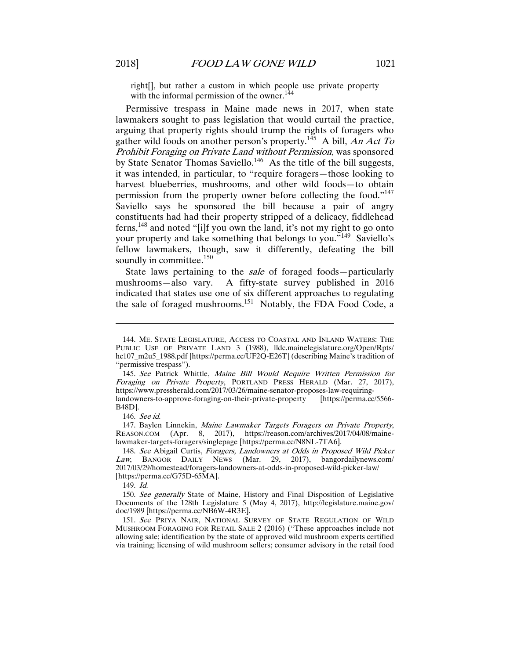right[], but rather a custom in which people use private property with the informal permission of the owner. $144$ 

Permissive trespass in Maine made news in 2017, when state lawmakers sought to pass legislation that would curtail the practice, arguing that property rights should trump the rights of foragers who gather wild foods on another person's property.<sup>145</sup> A bill, An Act To Prohibit Foraging on Private Land without Permission, was sponsored by State Senator Thomas Saviello.<sup>146</sup> As the title of the bill suggests, it was intended, in particular, to "require foragers—those looking to harvest blueberries, mushrooms, and other wild foods-to obtain permission from the property owner before collecting the food."147 Saviello says he sponsored the bill because a pair of angry constituents had had their property stripped of a delicacy, fiddlehead ferns,  $148$  and noted "[i]f you own the land, it's not my right to go onto your property and take something that belongs to you."<sup>149</sup> Saviello's fellow lawmakers, though, saw it differently, defeating the bill soundly in committee.<sup>150</sup>

State laws pertaining to the *sale* of foraged foods—particularly mushrooms—also vary. A fifty-state survey published in 2016 indicated that states use one of six different approaches to regulating the sale of foraged mushrooms.151 Notably, the FDA Food Code, a

 $\overline{a}$ 

149. Id.

 <sup>144.</sup> ME. STATE LEGISLATURE, ACCESS TO COASTAL AND INLAND WATERS: THE PUBLIC USE OF PRIVATE LAND 3 (1988), lldc.mainelegislature.org/Open/Rpts/ hc107\_m2u5\_1988.pdf [https://perma.cc/UF2Q-E26T] (describing Maine's tradition of "permissive trespass").

<sup>145.</sup> See Patrick Whittle, Maine Bill Would Require Written Permission for Foraging on Private Property, PORTLAND PRESS HERALD (Mar. 27, 2017), https://www.pressherald.com/2017/03/26/maine-senator-proposes-law-requiringlandowners-to-approve-foraging-on-their-private-property B48D].

<sup>146.</sup> See id.

<sup>147.</sup> Baylen Linnekin, Maine Lawmaker Targets Foragers on Private Property, REASON.COM (Apr. 8, 2017), https://reason.com/archives/2017/04/08/mainelawmaker-targets-foragers/singlepage [https://perma.cc/N8NL-7TA6].

<sup>148.</sup> See Abigail Curtis, Foragers, Landowners at Odds in Proposed Wild Picker Law, BANGOR DAILY NEWS (Mar. 29, 2017), bangordailynews.com/ 2017/03/29/homestead/foragers-landowners-at-odds-in-proposed-wild-picker-law/ [https://perma.cc/G75D-65MA].

<sup>150.</sup> See generally State of Maine, History and Final Disposition of Legislative Documents of the 128th Legislature 5 (May 4, 2017), http://legislature.maine.gov/ doc/1989 [https://perma.cc/NB6W-4R3E].

<sup>151.</sup> See PRIYA NAIR, NATIONAL SURVEY OF STATE REGULATION OF WILD MUSHROOM FORAGING FOR RETAIL SALE 2 (2016) ("These approaches include not allowing sale; identification by the state of approved wild mushroom experts certified via training; licensing of wild mushroom sellers; consumer advisory in the retail food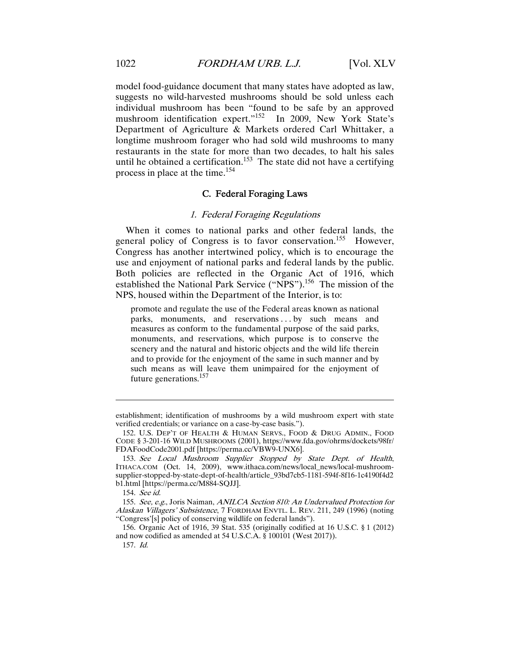model food-guidance document that many states have adopted as law, suggests no wild-harvested mushrooms should be sold unless each individual mushroom has been "found to be safe by an approved mushroom identification expert."<sup>152</sup> In 2009, New York State's Department of Agriculture & Markets ordered Carl Whittaker, a longtime mushroom forager who had sold wild mushrooms to many restaurants in the state for more than two decades, to halt his sales until he obtained a certification.<sup>153</sup> The state did not have a certifying process in place at the time.<sup>154</sup>

#### C. Federal Foraging Laws

#### 1. Federal Foraging Regulations

When it comes to national parks and other federal lands, the general policy of Congress is to favor conservation.<sup>155</sup> However, Congress has another intertwined policy, which is to encourage the use and enjoyment of national parks and federal lands by the public. Both policies are reflected in the Organic Act of 1916, which established the National Park Service ("NPS").<sup>156</sup> The mission of the NPS, housed within the Department of the Interior, is to:

promote and regulate the use of the Federal areas known as national parks, monuments, and reservations ... by such means and measures as conform to the fundamental purpose of the said parks, monuments, and reservations, which purpose is to conserve the scenery and the natural and historic objects and the wild life therein and to provide for the enjoyment of the same in such manner and by such means as will leave them unimpaired for the enjoyment of future generations.157

establishment; identification of mushrooms by a wild mushroom expert with state verified credentials; or variance on a case-by-case basis.").

 <sup>152.</sup> U.S. DEP'T OF HEALTH & HUMAN SERVS., FOOD & DRUG ADMIN., FOOD CODE § 3-201-16 WILD MUSHROOMS (2001), https://www.fda.gov/ohrms/dockets/98fr/ FDAFoodCode2001.pdf [https://perma.cc/VBW9-UNX6].

<sup>153.</sup> See Local Mushroom Supplier Stopped by State Dept. of Health, ITHACA.COM (Oct. 14, 2009), www.ithaca.com/news/local\_news/local-mushroomsupplier-stopped-by-state-dept-of-health/article\_93bd7cb5-1181-594f-8f16-1c4190f4d2 b1.html [https://perma.cc/M884-SQJJ].

<sup>154.</sup> See id.

<sup>155.</sup> See, e.g., Joris Naiman, ANILCA Section 810: An Undervalued Protection for Alaskan Villagers' Subsistence, 7 FORDHAM ENVTL. L. REV. 211, 249 (1996) (noting "Congress'[s] policy of conserving wildlife on federal lands").

 <sup>156.</sup> Organic Act of 1916, 39 Stat. 535 (originally codified at 16 U.S.C. § 1 (2012) and now codified as amended at 54 U.S.C.A. § 100101 (West 2017)).

<sup>157.</sup> Id.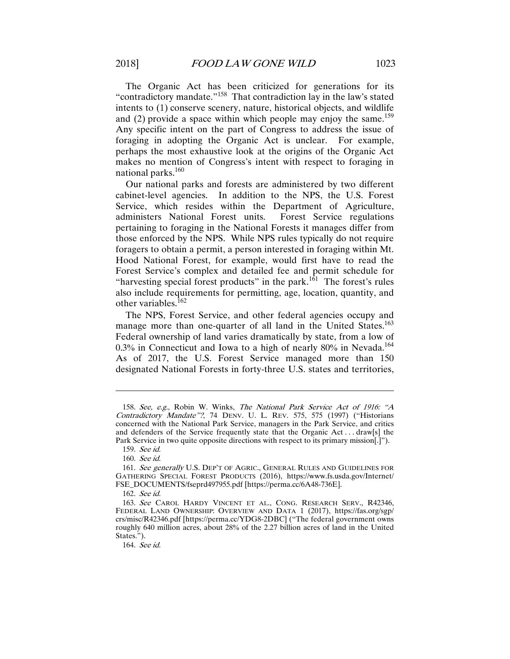The Organic Act has been criticized for generations for its "contradictory mandate."158 That contradiction lay in the law's stated intents to (1) conserve scenery, nature, historical objects, and wildlife and (2) provide a space within which people may enjoy the same.<sup>159</sup> Any specific intent on the part of Congress to address the issue of foraging in adopting the Organic Act is unclear. For example, perhaps the most exhaustive look at the origins of the Organic Act makes no mention of Congress's intent with respect to foraging in national parks.<sup>160</sup>

Our national parks and forests are administered by two different cabinet-level agencies. In addition to the NPS, the U.S. Forest Service, which resides within the Department of Agriculture, administers National Forest units. Forest Service regulations pertaining to foraging in the National Forests it manages differ from those enforced by the NPS. While NPS rules typically do not require foragers to obtain a permit, a person interested in foraging within Mt. Hood National Forest, for example, would first have to read the Forest Service's complex and detailed fee and permit schedule for "harvesting special forest products" in the park.<sup>1 $\dot{6}$ 1</sup> The forest's rules also include requirements for permitting, age, location, quantity, and other variables.<sup>162</sup>

The NPS, Forest Service, and other federal agencies occupy and manage more than one-quarter of all land in the United States.<sup>163</sup> Federal ownership of land varies dramatically by state, from a low of 0.3% in Connecticut and Iowa to a high of nearly 80% in Nevada.<sup>164</sup> As of 2017, the U.S. Forest Service managed more than 150 designated National Forests in forty-three U.S. states and territories,

<sup>158.</sup> See, e.g., Robin W. Winks, The National Park Service Act of 1916: "A Contradictory Mandate"?, 74 DENV. U. L. REV. 575, 575 (1997) ("Historians concerned with the National Park Service, managers in the Park Service, and critics and defenders of the Service frequently state that the Organic Act . . . draw[s] the Park Service in two quite opposite directions with respect to its primary mission.]").

<sup>159.</sup> See id.

<sup>160.</sup> See id.

<sup>161.</sup> See generally U.S. DEP'T OF AGRIC., GENERAL RULES AND GUIDELINES FOR GATHERING SPECIAL FOREST PRODUCTS (2016), https://www.fs.usda.gov/Internet/ FSE\_DOCUMENTS/fseprd497955.pdf [https://perma.cc/6A48-736E].

<sup>162.</sup> See id.

 <sup>163.</sup> See CAROL HARDY VINCENT ET AL., CONG. RESEARCH SERV., R42346, FEDERAL LAND OWNERSHIP: OVERVIEW AND DATA 1 (2017), https://fas.org/sgp/ crs/misc/R42346.pdf [https://perma.cc/YDG8-2DBC] ("The federal government owns roughly 640 million acres, about 28% of the 2.27 billion acres of land in the United States.").

<sup>164.</sup> See id.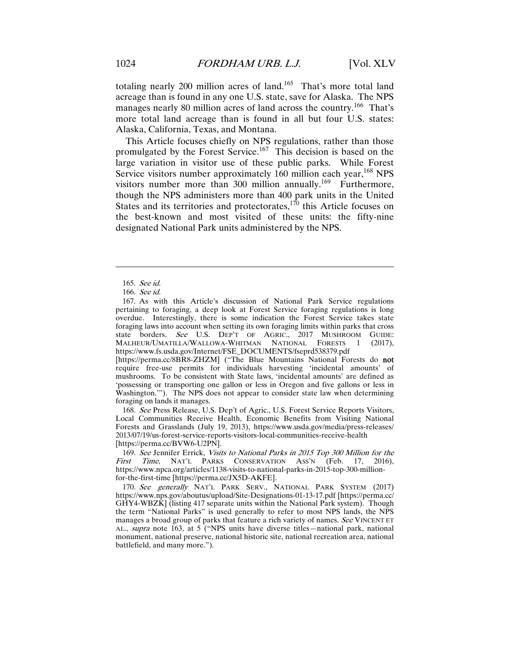totaling nearly 200 million acres of land.<sup>165</sup> That's more total land acreage than is found in any one U.S. state, save for Alaska. The NPS manages nearly 80 million acres of land across the country.<sup>166</sup> That's more total land acreage than is found in all but four U.S. states: Alaska, California, Texas, and Montana.

This Article focuses chiefly on NPS regulations, rather than those promulgated by the Forest Service.167 This decision is based on the large variation in visitor use of these public parks. While Forest Service visitors number approximately 160 million each year,  $^{168}$  NPS visitors number more than  $300$  million annually.<sup>169</sup> Furthermore, though the NPS administers more than 400 park units in the United States and its territories and protectorates, $170$  this Article focuses on the best-known and most visited of these units: the fifty-nine designated National Park units administered by the NPS.

 $\overline{a}$ 

 167. As with this Article's discussion of National Park Service regulations pertaining to foraging, a deep look at Forest Service foraging regulations is long overdue. Interestingly, there is some indication the Forest Service takes state foraging laws into account when setting its own foraging limits within parks that cross state borders. See U.S. DEP'T OF AGRIC., 2017 MUSHROOM GUIDE: MALHEUR/UMATILLA/WALLOWA-WHITMAN NATIONAL FORESTS 1 (2017), https://www.fs.usda.gov/Internet/FSE\_DOCUMENTS/fseprd538379.pdf

[https://perma.cc/8BR8-ZHZM] ("The Blue Mountains National Forests do not require free-use permits for individuals harvesting 'incidental amounts' of mushrooms. To be consistent with State laws, 'incidental amounts' are defined as 'possessing or transporting one gallon or less in Oregon and five gallons or less in Washington.'"). The NPS does not appear to consider state law when determining foraging on lands it manages.

168. See Press Release, U.S. Dep't of Agric., U.S. Forest Service Reports Visitors, Local Communities Receive Health, Economic Benefits from Visiting National Forests and Grasslands (July 19, 2013), https://www.usda.gov/media/press-releases/ 2013/07/19/us-forest-service-reports-visitors-local-communities-receive-health [https://perma.cc/BVW6-U2PN].

169. See Jennifer Errick, Visits to National Parks in 2015 Top 300 Million for the First Time, NAT'L PARKS CONSERVATION ASS'N (Feb. 17, 2016), https://www.npca.org/articles/1138-visits-to-national-parks-in-2015-top-300-millionfor-the-first-time [https://perma.cc/JX5D-AKFE].

170. See generally NAT'L PARK SERV., NATIONAL PARK SYSTEM (2017) https://www.nps.gov/aboutus/upload/Site-Designations-01-13-17.pdf [https://perma.cc/ GHY4-WBZK] (listing 417 separate units within the National Park system). Though the term "National Parks" is used generally to refer to most NPS lands, the NPS manages a broad group of parks that feature a rich variety of names. See VINCENT ET AL., supra note 163, at 5 ("NPS units have diverse titles—national park, national monument, national preserve, national historic site, national recreation area, national battlefield, and many more.").

<sup>165.</sup> See id.

<sup>166.</sup> See id.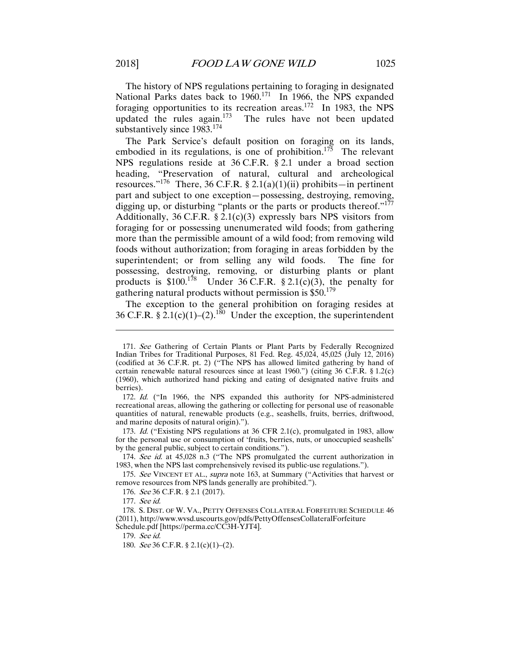The history of NPS regulations pertaining to foraging in designated National Parks dates back to 1960.<sup>171</sup> In 1966, the NPS expanded foraging opportunities to its recreation areas.<sup>172</sup> In 1983, the NPS updated the rules again.<sup>173</sup> The rules have not been updated substantively since 1983.<sup>174</sup>

The Park Service's default position on foraging on its lands, embodied in its regulations, is one of prohibition.<sup>175</sup> The relevant NPS regulations reside at 36 C.F.R. § 2.1 under a broad section heading, "Preservation of natural, cultural and archeological resources."<sup>176</sup> There, 36 C.F.R. § 2.1(a)(1)(ii) prohibits—in pertinent part and subject to one exception—possessing, destroying, removing, digging up, or disturbing "plants or the parts or products thereof."<sup>177</sup> Additionally,  $36$  C.F.R.  $\S$  2.1(c)(3) expressly bars NPS visitors from foraging for or possessing unenumerated wild foods; from gathering more than the permissible amount of a wild food; from removing wild foods without authorization; from foraging in areas forbidden by the superintendent; or from selling any wild foods. The fine for possessing, destroying, removing, or disturbing plants or plant products is  $$100.<sup>178</sup>$  Under 36 C.F.R.  $$2.1(c)(3)$ , the penalty for gathering natural products without permission is  $$50.<sup>179</sup>$ 

The exception to the general prohibition on foraging resides at 36 C.F.R. § 2.1(c)(1)–(2).<sup>180</sup> Under the exception, the superintendent

173. Id. ("Existing NPS regulations at 36 CFR 2.1(c), promulgated in 1983, allow for the personal use or consumption of 'fruits, berries, nuts, or unoccupied seashells' by the general public, subject to certain conditions.").

174. See id. at 45,028 n.3 ("The NPS promulgated the current authorization in 1983, when the NPS last comprehensively revised its public-use regulations.").

175. See VINCENT ET AL., supra note 163, at Summary ("Activities that harvest or remove resources from NPS lands generally are prohibited.").

176. See 36 C.F.R. § 2.1 (2017).

 $\overline{a}$ 

 178. S. DIST. OF W. VA., PETTY OFFENSES COLLATERAL FORFEITURE SCHEDULE 46 (2011), http://www.wvsd.uscourts.gov/pdfs/PettyOffensesCollateralForfeiture Schedule.pdf [https://perma.cc/CC3H-YJT4].

179. See id.

180. See 36 C.F.R. § 2.1(c)(1)–(2).

<sup>171.</sup> See Gathering of Certain Plants or Plant Parts by Federally Recognized Indian Tribes for Traditional Purposes, 81 Fed. Reg. 45,024, 45,025 (July 12, 2016) (codified at 36 C.F.R. pt. 2) ("The NPS has allowed limited gathering by hand of certain renewable natural resources since at least 1960.") (citing 36 C.F.R. § 1.2(c) (1960), which authorized hand picking and eating of designated native fruits and berries).

<sup>172.</sup> Id. ("In 1966, the NPS expanded this authority for NPS-administered recreational areas, allowing the gathering or collecting for personal use of reasonable quantities of natural, renewable products (e.g., seashells, fruits, berries, driftwood, and marine deposits of natural origin).").

<sup>177.</sup> See id.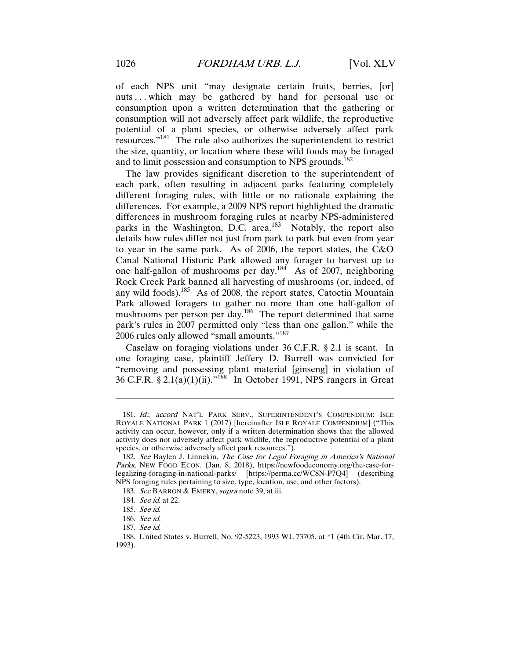of each NPS unit "may designate certain fruits, berries, [or] nuts... which may be gathered by hand for personal use or consumption upon a written determination that the gathering or consumption will not adversely affect park wildlife, the reproductive potential of a plant species, or otherwise adversely affect park resources."181 The rule also authorizes the superintendent to restrict the size, quantity, or location where these wild foods may be foraged and to limit possession and consumption to NPS grounds.<sup>182</sup>

The law provides significant discretion to the superintendent of each park, often resulting in adjacent parks featuring completely different foraging rules, with little or no rationale explaining the differences. For example, a 2009 NPS report highlighted the dramatic differences in mushroom foraging rules at nearby NPS-administered parks in the Washington, D.C. area. $^{183}$  Notably, the report also details how rules differ not just from park to park but even from year to year in the same park. As of 2006, the report states, the C&O Canal National Historic Park allowed any forager to harvest up to one half-gallon of mushrooms per day.<sup>184</sup> As of 2007, neighboring Rock Creek Park banned all harvesting of mushrooms (or, indeed, of any wild foods).185 As of 2008, the report states, Catoctin Mountain Park allowed foragers to gather no more than one half-gallon of mushrooms per person per day.<sup>186</sup> The report determined that same park's rules in 2007 permitted only "less than one gallon," while the 2006 rules only allowed "small amounts."<sup>187</sup>

Caselaw on foraging violations under 36 C.F.R. § 2.1 is scant. In one foraging case, plaintiff Jeffery D. Burrell was convicted for "removing and possessing plant material [ginseng] in violation of  $36$  C.F.R. § 2.1(a)(1)(ii)."<sup>188</sup> In October 1991, NPS rangers in Great

<sup>181.</sup> Id.; accord NAT'L PARK SERV., SUPERINTENDENT'S COMPENDIUM: ISLE ROYALE NATIONAL PARK 1 (2017) [hereinafter ISLE ROYALE COMPENDIUM] ("This activity can occur, however, only if a written determination shows that the allowed activity does not adversely affect park wildlife, the reproductive potential of a plant species, or otherwise adversely affect park resources.").

<sup>182.</sup> See Baylen J. Linnekin, The Case for Legal Foraging in America's National Parks, NEW FOOD ECON. (Jan. 8, 2018), https://newfoodeconomy.org/the-case-forlegalizing-foraging-in-national-parks/ [https://perma.cc/WC8N-P7Q4] (describing NPS foraging rules pertaining to size, type, location, use, and other factors).

<sup>183.</sup> See BARRON & EMERY, *supra* note 39, at iii.

<sup>184.</sup> *See id.* at 22.

<sup>185.</sup> See id.

<sup>186.</sup> See id.

<sup>187.</sup> See id.

 <sup>188.</sup> United States v. Burrell, No. 92-5223, 1993 WL 73705, at \*1 (4th Cir. Mar. 17, 1993).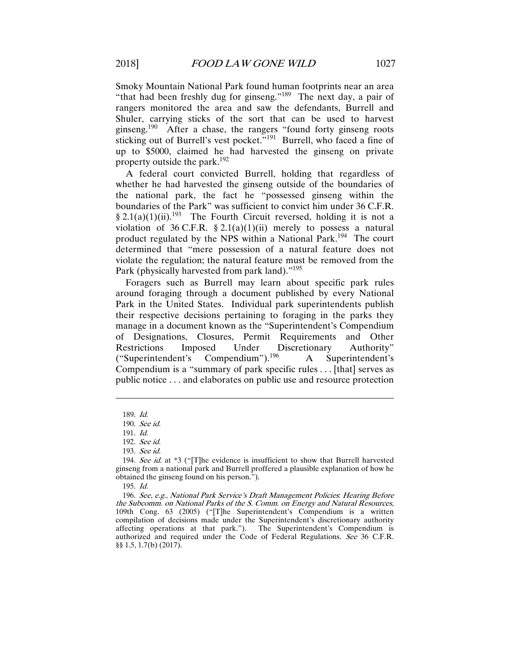Smoky Mountain National Park found human footprints near an area "that had been freshly dug for ginseng."<sup>189</sup> The next day, a pair of rangers monitored the area and saw the defendants, Burrell and Shuler, carrying sticks of the sort that can be used to harvest ginseng.190 After a chase, the rangers "found forty ginseng roots sticking out of Burrell's vest pocket."<sup>191</sup> Burrell, who faced a fine of up to \$5000, claimed he had harvested the ginseng on private property outside the park.<sup>192</sup>

A federal court convicted Burrell, holding that regardless of whether he had harvested the ginseng outside of the boundaries of the national park, the fact he "possessed ginseng within the boundaries of the Park" was sufficient to convict him under 36 C.F.R. § 2.1(a)(1)(ii).193 The Fourth Circuit reversed, holding it is not a violation of 36 C.F.R.  $\S 2.1(a)(1)(ii)$  merely to possess a natural product regulated by the NPS within a National Park.194 The court determined that "mere possession of a natural feature does not violate the regulation; the natural feature must be removed from the Park (physically harvested from park land)."<sup>195</sup>

Foragers such as Burrell may learn about specific park rules around foraging through a document published by every National Park in the United States. Individual park superintendents publish their respective decisions pertaining to foraging in the parks they manage in a document known as the "Superintendent's Compendium of Designations, Closures, Permit Requirements and Other Restrictions Imposed Under Discretionary Authority" ("Superintendent's Compendium").196 A Superintendent's Compendium is a "summary of park specific rules . . . [that] serves as public notice . . . and elaborates on public use and resource protection

<sup>189.</sup> Id.

<sup>190.</sup> See id.

<sup>191.</sup> Id.

<sup>192.</sup> See id.

<sup>193.</sup> See id.

<sup>194.</sup> See id. at  $*3$  ("[T]he evidence is insufficient to show that Burrell harvested ginseng from a national park and Burrell proffered a plausible explanation of how he obtained the ginseng found on his person.").

<sup>195.</sup> Id.

<sup>196.</sup> See, e.g., National Park Service's Draft Management Policies: Hearing Before the Subcomm. on National Parks of the S. Comm. on Energy and Natural Resources, 109th Cong. 63 (2005) ("[T]he Superintendent's Compendium is a written compilation of decisions made under the Superintendent's discretionary authority affecting operations at that park."). The Superintendent's Compendium is authorized and required under the Code of Federal Regulations. See 36 C.F.R. §§ 1.5, 1.7(b) (2017).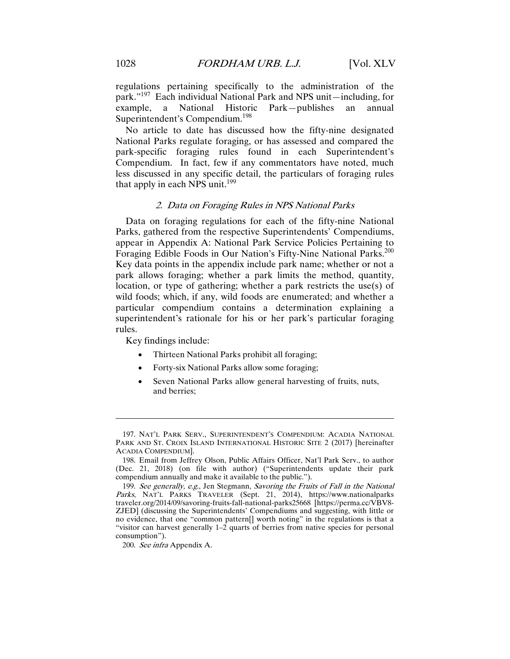regulations pertaining specifically to the administration of the park."197 Each individual National Park and NPS unit—including, for example, a National Historic Park—publishes an annual Superintendent's Compendium.<sup>198</sup>

No article to date has discussed how the fifty-nine designated National Parks regulate foraging, or has assessed and compared the park-specific foraging rules found in each Superintendent's Compendium. In fact, few if any commentators have noted, much less discussed in any specific detail, the particulars of foraging rules that apply in each NPS unit.<sup>199</sup>

#### 2. Data on Foraging Rules in NPS National Parks

Data on foraging regulations for each of the fifty-nine National Parks, gathered from the respective Superintendents' Compendiums, appear in Appendix A: National Park Service Policies Pertaining to Foraging Edible Foods in Our Nation's Fifty-Nine National Parks.<sup>200</sup> Key data points in the appendix include park name; whether or not a park allows foraging; whether a park limits the method, quantity, location, or type of gathering; whether a park restricts the use(s) of wild foods; which, if any, wild foods are enumerated; and whether a particular compendium contains a determination explaining a superintendent's rationale for his or her park's particular foraging rules.

Key findings include:

- Thirteen National Parks prohibit all foraging;
- Forty-six National Parks allow some foraging;
- Seven National Parks allow general harvesting of fruits, nuts, and berries;

<sup>197.</sup> NAT'L PARK SERV., SUPERINTENDENT'S COMPENDIUM: ACADIA NATIONAL PARK AND ST. CROIX ISLAND INTERNATIONAL HISTORIC SITE 2 (2017) [hereinafter ACADIA COMPENDIUM].

 <sup>198.</sup> Email from Jeffrey Olson, Public Affairs Officer, Nat'l Park Serv., to author (Dec. 21, 2018) (on file with author) ("Superintendents update their park compendium annually and make it available to the public.").

<sup>199.</sup> See generally, e.g., Jen Stegmann, Savoring the Fruits of Fall in the National Parks, NAT'L PARKS TRAVELER (Sept. 21, 2014), https://www.nationalparks traveler.org/2014/09/savoring-fruits-fall-national-parks25668 [https://perma.cc/VBV8- ZJED] (discussing the Superintendents' Compendiums and suggesting, with little or no evidence, that one "common pattern[] worth noting" in the regulations is that a "visitor can harvest generally  $1-\overline{2}$  quarts of berries from native species for personal consumption").

<sup>200.</sup> See infra Appendix A.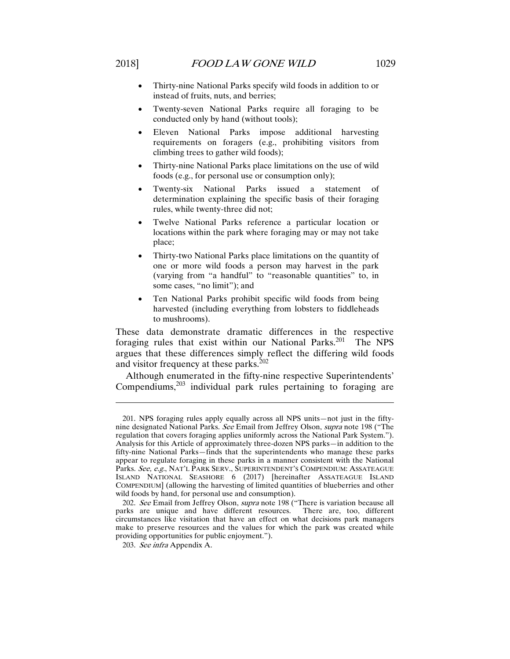- Thirty-nine National Parks specify wild foods in addition to or instead of fruits, nuts, and berries;
- Twenty-seven National Parks require all foraging to be conducted only by hand (without tools);
- Eleven National Parks impose additional harvesting requirements on foragers (e.g., prohibiting visitors from climbing trees to gather wild foods);
- Thirty-nine National Parks place limitations on the use of wild foods (e.g., for personal use or consumption only);
- Twenty-six National Parks issued a statement of determination explaining the specific basis of their foraging rules, while twenty-three did not;
- Twelve National Parks reference a particular location or locations within the park where foraging may or may not take place;
- Thirty-two National Parks place limitations on the quantity of one or more wild foods a person may harvest in the park (varying from "a handful" to "reasonable quantities" to, in some cases, "no limit"); and
- Ten National Parks prohibit specific wild foods from being harvested (including everything from lobsters to fiddleheads to mushrooms).

These data demonstrate dramatic differences in the respective foraging rules that exist within our National Parks.<sup>201</sup> The NPS argues that these differences simply reflect the differing wild foods and visitor frequency at these parks.<sup>202</sup>

Although enumerated in the fifty-nine respective Superintendents' Compendiums, $203$  individual park rules pertaining to foraging are

 <sup>201.</sup> NPS foraging rules apply equally across all NPS units—not just in the fiftynine designated National Parks. See Email from Jeffrey Olson, supra note 198 ("The regulation that covers foraging applies uniformly across the National Park System."). Analysis for this Article of approximately three-dozen NPS parks—in addition to the fifty-nine National Parks—finds that the superintendents who manage these parks appear to regulate foraging in these parks in a manner consistent with the National Parks. See, e.g., NAT'L PARK SERV., SUPERINTENDENT'S COMPENDIUM: ASSATEAGUE ISLAND NATIONAL SEASHORE 6 (2017) [hereinafter ASSATEAGUE ISLAND COMPENDIUM] (allowing the harvesting of limited quantities of blueberries and other wild foods by hand, for personal use and consumption).

<sup>202.</sup> See Email from Jeffrey Olson, supra note 198 ("There is variation because all parks are unique and have different resources. There are, too, different circumstances like visitation that have an effect on what decisions park managers make to preserve resources and the values for which the park was created while providing opportunities for public enjoyment.").

<sup>203.</sup> See infra Appendix A.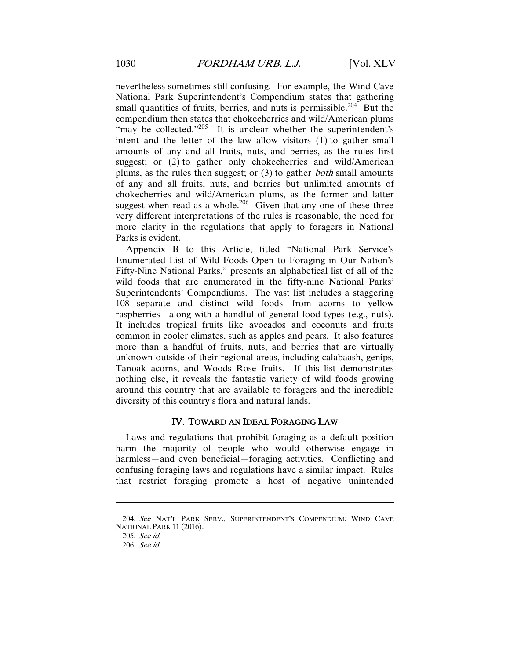nevertheless sometimes still confusing. For example, the Wind Cave National Park Superintendent's Compendium states that gathering small quantities of fruits, berries, and nuts is permissible.<sup>204</sup> But the compendium then states that chokecherries and wild/American plums "may be collected."<sup>205</sup> It is unclear whether the superintendent's intent and the letter of the law allow visitors (1) to gather small amounts of any and all fruits, nuts, and berries, as the rules first suggest; or (2) to gather only choke cherries and wild/American plums, as the rules then suggest; or (3) to gather both small amounts of any and all fruits, nuts, and berries but unlimited amounts of chokecherries and wild/American plums, as the former and latter suggest when read as a whole.<sup>206</sup> Given that any one of these three very different interpretations of the rules is reasonable, the need for more clarity in the regulations that apply to foragers in National Parks is evident.

Appendix B to this Article, titled "National Park Service's Enumerated List of Wild Foods Open to Foraging in Our Nation's Fifty-Nine National Parks," presents an alphabetical list of all of the wild foods that are enumerated in the fifty-nine National Parks' Superintendents' Compendiums. The vast list includes a staggering 108 separate and distinct wild foods—from acorns to yellow raspberries—along with a handful of general food types (e.g., nuts). It includes tropical fruits like avocados and coconuts and fruits common in cooler climates, such as apples and pears. It also features more than a handful of fruits, nuts, and berries that are virtually unknown outside of their regional areas, including calabaash, genips, Tanoak acorns, and Woods Rose fruits. If this list demonstrates nothing else, it reveals the fantastic variety of wild foods growing around this country that are available to foragers and the incredible diversity of this country's flora and natural lands.

#### IV. TOWARD AN IDEAL FORAGING LAW

Laws and regulations that prohibit foraging as a default position harm the majority of people who would otherwise engage in harmless—and even beneficial—foraging activities. Conflicting and confusing foraging laws and regulations have a similar impact. Rules that restrict foraging promote a host of negative unintended

<sup>204.</sup> See NAT'L PARK SERV., SUPERINTENDENT'S COMPENDIUM: WIND CAVE NATIONAL PARK 11 (2016).

<sup>205.</sup> See id.

<sup>206.</sup> See id.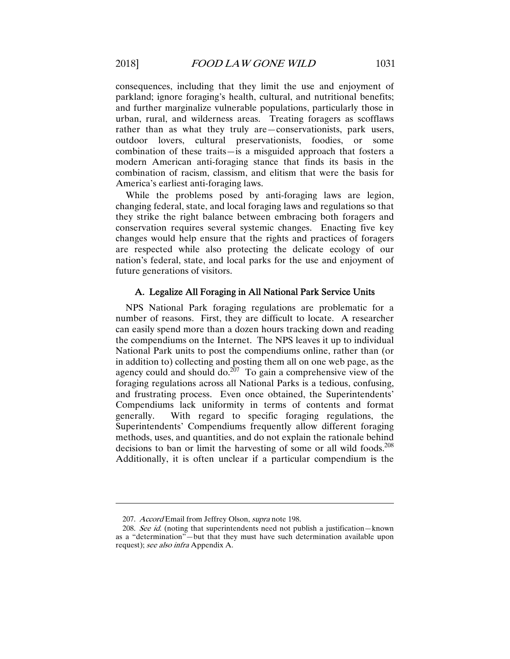consequences, including that they limit the use and enjoyment of parkland; ignore foraging's health, cultural, and nutritional benefits; and further marginalize vulnerable populations, particularly those in urban, rural, and wilderness areas. Treating foragers as scofflaws rather than as what they truly are—conservationists, park users, outdoor lovers, cultural preservationists, foodies, or some combination of these traits—is a misguided approach that fosters a modern American anti-foraging stance that finds its basis in the combination of racism, classism, and elitism that were the basis for America's earliest anti-foraging laws.

While the problems posed by anti-foraging laws are legion, changing federal, state, and local foraging laws and regulations so that they strike the right balance between embracing both foragers and conservation requires several systemic changes. Enacting five key changes would help ensure that the rights and practices of foragers are respected while also protecting the delicate ecology of our nation's federal, state, and local parks for the use and enjoyment of future generations of visitors.

#### A. Legalize All Foraging in All National Park Service Units

NPS National Park foraging regulations are problematic for a number of reasons. First, they are difficult to locate. A researcher can easily spend more than a dozen hours tracking down and reading the compendiums on the Internet. The NPS leaves it up to individual National Park units to post the compendiums online, rather than (or in addition to) collecting and posting them all on one web page, as the agency could and should do. $2^{67}$  To gain a comprehensive view of the foraging regulations across all National Parks is a tedious, confusing, and frustrating process. Even once obtained, the Superintendents' Compendiums lack uniformity in terms of contents and format generally. With regard to specific foraging regulations, the Superintendents' Compendiums frequently allow different foraging methods, uses, and quantities, and do not explain the rationale behind decisions to ban or limit the harvesting of some or all wild foods.<sup>208</sup> Additionally, it is often unclear if a particular compendium is the

<sup>207.</sup> Accord Email from Jeffrey Olson, supra note 198.

<sup>208.</sup> See id. (noting that superintendents need not publish a justification—known as a "determination"—but that they must have such determination available upon request); see also infra Appendix A.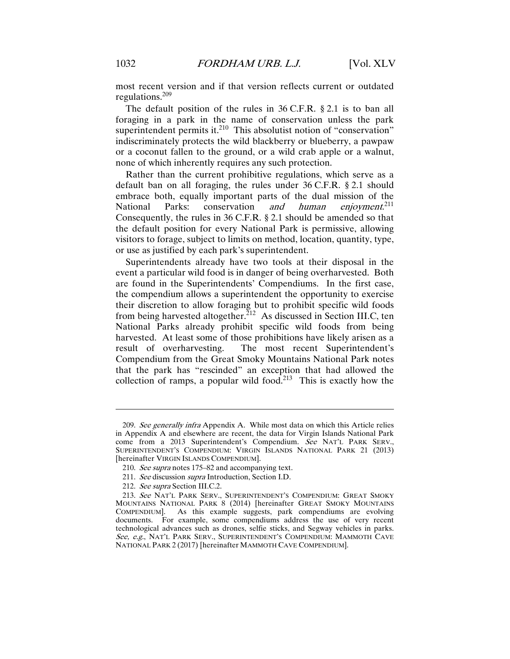most recent version and if that version reflects current or outdated regulations.<sup>209</sup>

The default position of the rules in 36 C.F.R. § 2.1 is to ban all foraging in a park in the name of conservation unless the park superintendent permits it. $^{210}$  This absolutist notion of "conservation" indiscriminately protects the wild blackberry or blueberry, a pawpaw or a coconut fallen to the ground, or a wild crab apple or a walnut, none of which inherently requires any such protection.

Rather than the current prohibitive regulations, which serve as a default ban on all foraging, the rules under 36 C.F.R. § 2.1 should embrace both, equally important parts of the dual mission of the National Parks: conservation and human enjoyment. $211$ Consequently, the rules in 36 C.F.R. § 2.1 should be amended so that the default position for every National Park is permissive, allowing visitors to forage, subject to limits on method, location, quantity, type, or use as justified by each park's superintendent.

Superintendents already have two tools at their disposal in the event a particular wild food is in danger of being overharvested. Both are found in the Superintendents' Compendiums. In the first case, the compendium allows a superintendent the opportunity to exercise their discretion to allow foraging but to prohibit specific wild foods from being harvested altogether.<sup>212</sup> As discussed in Section III.C, ten National Parks already prohibit specific wild foods from being harvested. At least some of those prohibitions have likely arisen as a result of overharvesting. The most recent Superintendent's Compendium from the Great Smoky Mountains National Park notes that the park has "rescinded" an exception that had allowed the collection of ramps, a popular wild food.<sup>213</sup> This is exactly how the

<sup>209.</sup> See generally infra Appendix A. While most data on which this Article relies in Appendix A and elsewhere are recent, the data for Virgin Islands National Park come from a 2013 Superintendent's Compendium. See NAT'L PARK SERV., SUPERINTENDENT'S COMPENDIUM: VIRGIN ISLANDS NATIONAL PARK 21 (2013) [hereinafter VIRGIN ISLANDS COMPENDIUM].

<sup>210.</sup> See supra notes 175–82 and accompanying text.

<sup>211.</sup> See discussion supra Introduction, Section I.D.

<sup>212.</sup> See supra Section III.C.2.

<sup>213.</sup> See NAT'L PARK SERV., SUPERINTENDENT'S COMPENDIUM: GREAT SMOKY MOUNTAINS NATIONAL PARK 8 (2014) [hereinafter GREAT SMOKY MOUNTAINS COMPENDIUM]. As this example suggests, park compendiums are evolving documents. For example, some compendiums address the use of very recent technological advances such as drones, selfie sticks, and Segway vehicles in parks. See, e.g., NAT'L PARK SERV., SUPERINTENDENT'S COMPENDIUM: MAMMOTH CAVE NATIONAL PARK 2 (2017) [hereinafter MAMMOTH CAVE COMPENDIUM].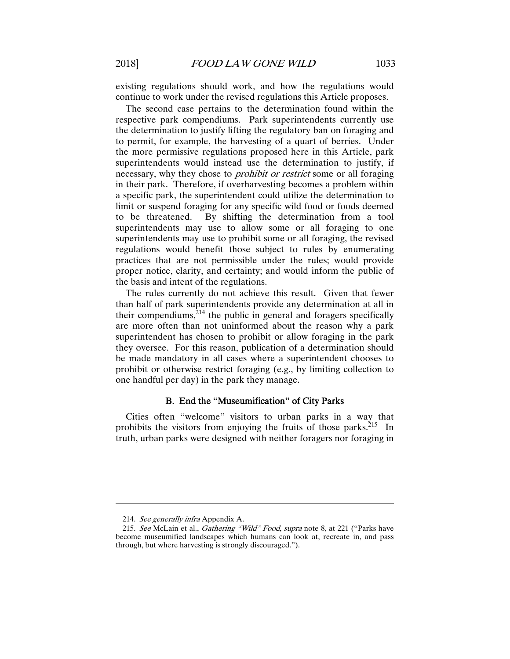existing regulations should work, and how the regulations would continue to work under the revised regulations this Article proposes.

The second case pertains to the determination found within the respective park compendiums. Park superintendents currently use the determination to justify lifting the regulatory ban on foraging and to permit, for example, the harvesting of a quart of berries. Under the more permissive regulations proposed here in this Article, park superintendents would instead use the determination to justify, if necessary, why they chose to *prohibit or restrict* some or all foraging in their park. Therefore, if overharvesting becomes a problem within a specific park, the superintendent could utilize the determination to limit or suspend foraging for any specific wild food or foods deemed to be threatened. By shifting the determination from a tool superintendents may use to allow some or all foraging to one superintendents may use to prohibit some or all foraging, the revised regulations would benefit those subject to rules by enumerating practices that are not permissible under the rules; would provide proper notice, clarity, and certainty; and would inform the public of the basis and intent of the regulations.

The rules currently do not achieve this result. Given that fewer than half of park superintendents provide any determination at all in their compendiums, $2^{14}$  the public in general and foragers specifically are more often than not uninformed about the reason why a park superintendent has chosen to prohibit or allow foraging in the park they oversee. For this reason, publication of a determination should be made mandatory in all cases where a superintendent chooses to prohibit or otherwise restrict foraging (e.g., by limiting collection to one handful per day) in the park they manage.

#### B. End the "Museumification" of City Parks

Cities often "welcome" visitors to urban parks in a way that prohibits the visitors from enjoying the fruits of those parks. $^{215}$  In truth, urban parks were designed with neither foragers nor foraging in

<sup>214.</sup> See generally infra Appendix A.

<sup>215.</sup> See McLain et al., Gathering "Wild" Food, supra note 8, at 221 ("Parks have become museumified landscapes which humans can look at, recreate in, and pass through, but where harvesting is strongly discouraged.").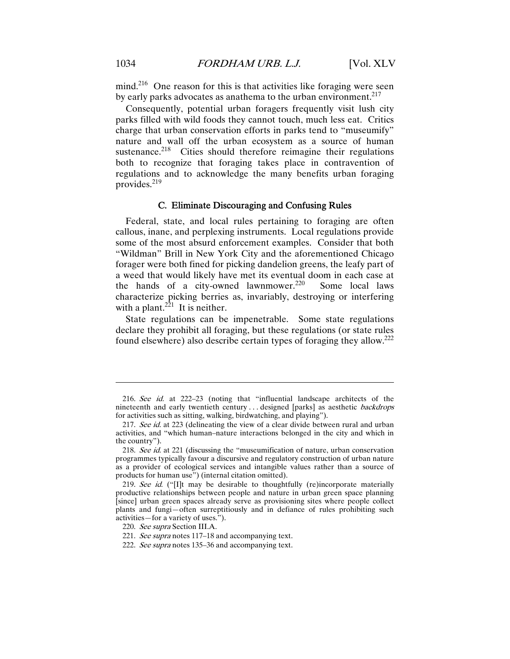mind.<sup>216</sup> One reason for this is that activities like foraging were seen by early parks advocates as anathema to the urban environment. $217$ 

Consequently, potential urban foragers frequently visit lush city parks filled with wild foods they cannot touch, much less eat. Critics charge that urban conservation efforts in parks tend to "museumify" nature and wall off the urban ecosystem as a source of human sustenance.<sup>218</sup> Cities should therefore reimagine their regulations both to recognize that foraging takes place in contravention of regulations and to acknowledge the many benefits urban foraging provides.<sup>219</sup>

#### C. Eliminate Discouraging and Confusing Rules

Federal, state, and local rules pertaining to foraging are often callous, inane, and perplexing instruments. Local regulations provide some of the most absurd enforcement examples. Consider that both "Wildman" Brill in New York City and the aforementioned Chicago forager were both fined for picking dandelion greens, the leafy part of a weed that would likely have met its eventual doom in each case at the hands of a city-owned lawnmower.<sup>220</sup> Some local laws characterize picking berries as, invariably, destroying or interfering with a plant.<sup>221</sup> It is neither.

State regulations can be impenetrable. Some state regulations declare they prohibit all foraging, but these regulations (or state rules found elsewhere) also describe certain types of foraging they allow.222

<sup>216.</sup> See id. at 222–23 (noting that "influential landscape architects of the nineteenth and early twentieth century ... designed [parks] as aesthetic *backdrops* for activities such as sitting, walking, birdwatching, and playing").

<sup>217.</sup> See id. at 223 (delineating the view of a clear divide between rural and urban activities, and "which human–nature interactions belonged in the city and which in the country").

<sup>218.</sup> See id. at 221 (discussing the "museumification of nature, urban conservation programmes typically favour a discursive and regulatory construction of urban nature as a provider of ecological services and intangible values rather than a source of products for human use") (internal citation omitted).

<sup>219.</sup> See id. ("[I]t may be desirable to thoughtfully (re)incorporate materially productive relationships between people and nature in urban green space planning [since] urban green spaces already serve as provisioning sites where people collect plants and fungi—often surreptitiously and in defiance of rules prohibiting such activities—for a variety of uses.").

<sup>220.</sup> See supra Section III.A.

<sup>221.</sup> See supra notes 117–18 and accompanying text.

<sup>222.</sup> See supra notes 135–36 and accompanying text.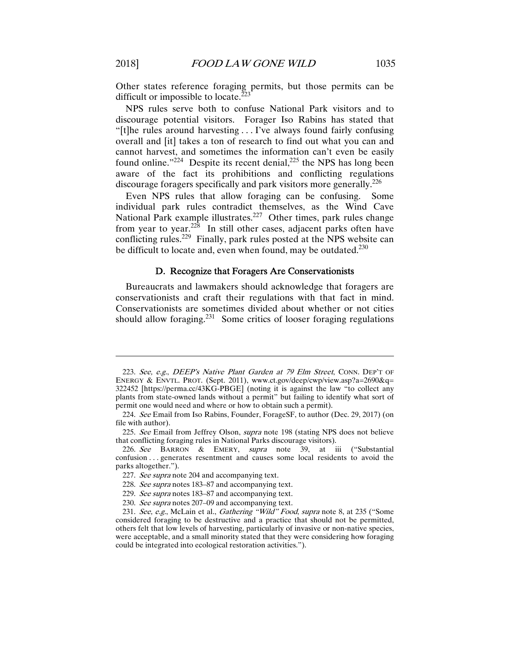Other states reference foraging permits, but those permits can be difficult or impossible to locate. $<sup>2</sup>$ </sup>

NPS rules serve both to confuse National Park visitors and to discourage potential visitors. Forager Iso Rabins has stated that "[t]he rules around harvesting . . . I've always found fairly confusing overall and [it] takes a ton of research to find out what you can and cannot harvest, and sometimes the information can't even be easily found online." $224$  Despite its recent denial, $225$  the NPS has long been aware of the fact its prohibitions and conflicting regulations discourage foragers specifically and park visitors more generally.<sup>226</sup>

Even NPS rules that allow foraging can be confusing. Some individual park rules contradict themselves, as the Wind Cave National Park example illustrates.<sup>227</sup> Other times, park rules change from year to year.<sup>228</sup> In still other cases, adjacent parks often have conflicting rules.<sup>229</sup> Finally, park rules posted at the NPS website can be difficult to locate and, even when found, may be outdated.<sup>230</sup>

#### D. Recognize that Foragers Are Conservationists

Bureaucrats and lawmakers should acknowledge that foragers are conservationists and craft their regulations with that fact in mind. Conservationists are sometimes divided about whether or not cities should allow foraging.<sup>231</sup> Some critics of looser foraging regulations

<sup>223.</sup> See, e.g., DEEP's Native Plant Garden at 79 Elm Street, CONN. DEP'T OF ENERGY & ENVTL. PROT. (Sept. 2011), www.ct.gov/deep/cwp/view.asp?a=2690&q= 322452 [https://perma.cc/43KG-PBGE] (noting it is against the law "to collect any plants from state-owned lands without a permit" but failing to identify what sort of permit one would need and where or how to obtain such a permit).

<sup>224.</sup> See Email from Iso Rabins, Founder, ForageSF, to author (Dec. 29, 2017) (on file with author).

<sup>225.</sup> See Email from Jeffrey Olson, *supra* note 198 (stating NPS does not believe that conflicting foraging rules in National Parks discourage visitors).

<sup>226.</sup> See BARRON & EMERY, supra note 39, at iii ("Substantial confusion . . . generates resentment and causes some local residents to avoid the parks altogether.").

<sup>227.</sup> See supra note 204 and accompanying text.

<sup>228.</sup> See supra notes 183–87 and accompanying text.

<sup>229.</sup> See supra notes 183–87 and accompanying text.

<sup>230.</sup> See supra notes 207–09 and accompanying text.

<sup>231.</sup> See, e.g., McLain et al., *Gathering "Wild" Food, supra* note 8, at 235 ("Some considered foraging to be destructive and a practice that should not be permitted, others felt that low levels of harvesting, particularly of invasive or non-native species, were acceptable, and a small minority stated that they were considering how foraging could be integrated into ecological restoration activities.").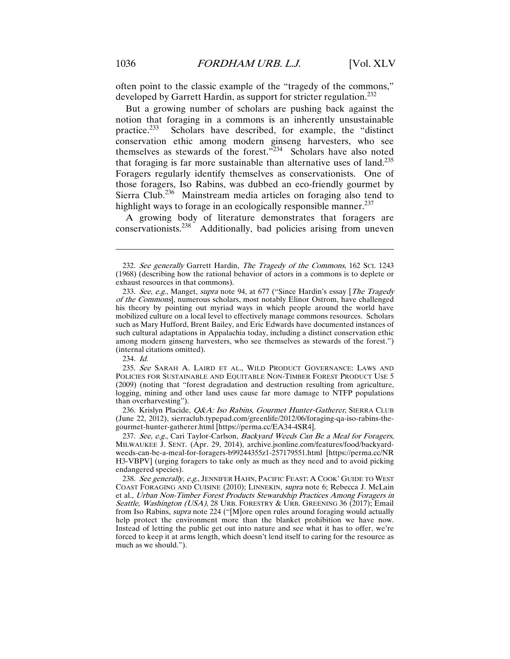often point to the classic example of the "tragedy of the commons," developed by Garrett Hardin, as support for stricter regulation.<sup>232</sup>

But a growing number of scholars are pushing back against the notion that foraging in a commons is an inherently unsustainable practice.233 Scholars have described, for example, the "distinct conservation ethic among modern ginseng harvesters, who see themselves as stewards of the forest. $\frac{3234}{2}$  Scholars have also noted that foraging is far more sustainable than alternative uses of land.<sup>235</sup> Foragers regularly identify themselves as conservationists. One of those foragers, Iso Rabins, was dubbed an eco-friendly gourmet by Sierra Club.<sup>236</sup> Mainstream media articles on foraging also tend to highlight ways to forage in an ecologically responsible manner.<sup>237</sup>

A growing body of literature demonstrates that foragers are conservationists.<sup>238</sup> Additionally, bad policies arising from uneven

 $\overline{a}$ 

236. Krislyn Placide, *Q&A: Iso Rabins, Gourmet Hunter-Gatherer*, SIERRA CLUB (June 22, 2012), sierraclub.typepad.com/greenlife/2012/06/foraging-qa-iso-rabins-thegourmet-hunter-gatherer.html [https://perma.cc/EA34-4SR4].

237. See, e.g., Cari Taylor-Carlson, Backyard Weeds Can Be a Meal for Foragers, MILWAUKEE J. SENT. (Apr. 29, 2014), archive.jsonline.com/features/food/backyardweeds-can-be-a-meal-for-foragers-b99244355z1-257179551.html [https://perma.cc/NR H3-VBPV] (urging foragers to take only as much as they need and to avoid picking endangered species).

<sup>232.</sup> See generally Garrett Hardin, The Tragedy of the Commons, 162 Sci. 1243 (1968) (describing how the rational behavior of actors in a commons is to deplete or exhaust resources in that commons).

<sup>233.</sup> See, e.g., Manget, supra note 94, at 677 ("Since Hardin's essay [The Tragedy of the Commons], numerous scholars, most notably Elinor Ostrom, have challenged his theory by pointing out myriad ways in which people around the world have mobilized culture on a local level to effectively manage commons resources. Scholars such as Mary Hufford, Brent Bailey, and Eric Edwards have documented instances of such cultural adaptations in Appalachia today, including a distinct conservation ethic among modern ginseng harvesters, who see themselves as stewards of the forest.") (internal citations omitted).

<sup>234.</sup> Id.

 <sup>235.</sup> See SARAH A. LAIRD ET AL., WILD PRODUCT GOVERNANCE: LAWS AND POLICIES FOR SUSTAINABLE AND EQUITABLE NON-TIMBER FOREST PRODUCT USE 5 (2009) (noting that "forest degradation and destruction resulting from agriculture, logging, mining and other land uses cause far more damage to NTFP populations than overharvesting").

<sup>238.</sup> See generally, e.g., JENNIFER HAHN, PACIFIC FEAST: A COOK' GUIDE TO WEST COAST FORAGING AND CUISINE (2010); LINNEKIN, supra note 6; Rebecca J. McLain et al., Urban Non-Timber Forest Products Stewardship Practices Among Foragers in Seattle, Washington (USA), 28 URB. FORESTRY & URB. GREENING 36 (2017); Email from Iso Rabins, supra note 224 ("[M]ore open rules around foraging would actually help protect the environment more than the blanket prohibition we have now. Instead of letting the public get out into nature and see what it has to offer, we're forced to keep it at arms length, which doesn't lend itself to caring for the resource as much as we should.").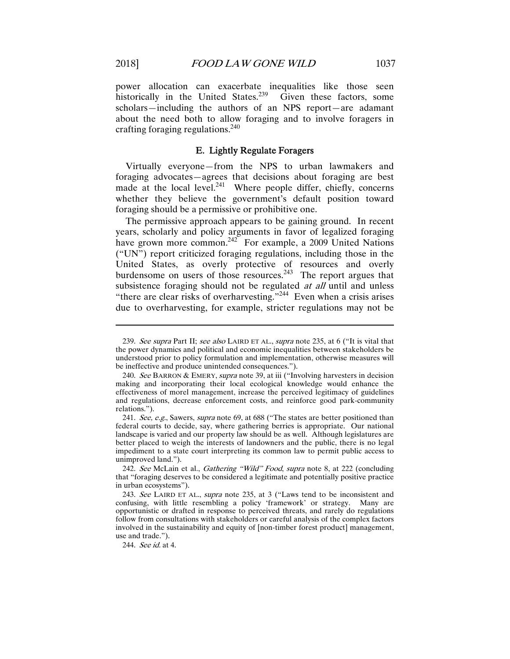power allocation can exacerbate inequalities like those seen historically in the United States.<sup>239</sup> Given these factors, some scholars—including the authors of an NPS report—are adamant about the need both to allow foraging and to involve foragers in crafting foraging regulations.240

#### E. Lightly Regulate Foragers

Virtually everyone—from the NPS to urban lawmakers and foraging advocates—agrees that decisions about foraging are best made at the local level. $^{241}$  Where people differ, chiefly, concerns whether they believe the government's default position toward foraging should be a permissive or prohibitive one.

The permissive approach appears to be gaining ground. In recent years, scholarly and policy arguments in favor of legalized foraging have grown more common.<sup>242</sup> For example, a 2009 United Nations  $("UN")$  report criticized foraging regulations, including those in the United States, as overly protective of resources and overly burdensome on users of those resources.<sup>243</sup> The report argues that subsistence foraging should not be regulated *at all* until and unless "there are clear risks of overharvesting."<sup>244</sup> Even when a crisis arises due to overharvesting, for example, stricter regulations may not be

<sup>239.</sup> See supra Part II; see also LAIRD ET AL., supra note 235, at 6 ("It is vital that the power dynamics and political and economic inequalities between stakeholders be understood prior to policy formulation and implementation, otherwise measures will be ineffective and produce unintended consequences.").

<sup>240.</sup> See BARRON & EMERY, supra note 39, at iii ("Involving harvesters in decision") making and incorporating their local ecological knowledge would enhance the effectiveness of morel management, increase the perceived legitimacy of guidelines and regulations, decrease enforcement costs, and reinforce good park-community relations.").

<sup>241.</sup> See, e.g., Sawers, supra note 69, at 688 ("The states are better positioned than federal courts to decide, say, where gathering berries is appropriate. Our national landscape is varied and our property law should be as well. Although legislatures are better placed to weigh the interests of landowners and the public, there is no legal impediment to a state court interpreting its common law to permit public access to unimproved land.").

<sup>242.</sup> See McLain et al., Gathering "Wild" Food, supra note 8, at 222 (concluding that "foraging deserves to be considered a legitimate and potentially positive practice in urban ecosystems").

<sup>243.</sup> See LAIRD ET AL., *supra* note 235, at 3 ("Laws tend to be inconsistent and confusing, with little resembling a policy 'framework' or strategy. Many are opportunistic or drafted in response to perceived threats, and rarely do regulations follow from consultations with stakeholders or careful analysis of the complex factors involved in the sustainability and equity of [non-timber forest product] management, use and trade.").

<sup>244.</sup> See id. at 4.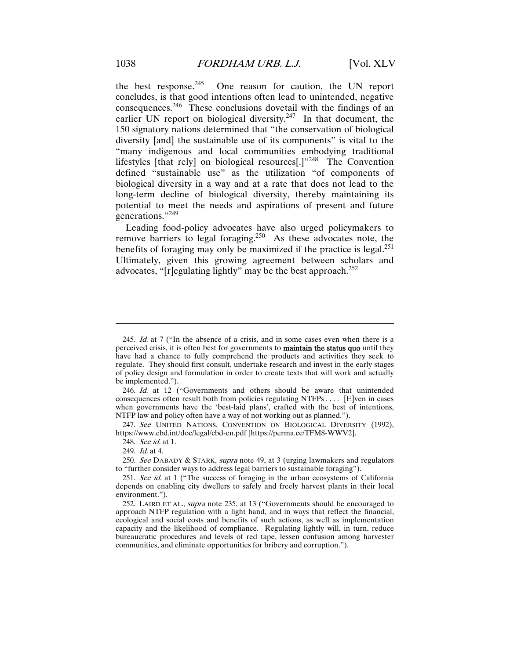the best response.<sup>245</sup> One reason for caution, the UN report concludes, is that good intentions often lead to unintended, negative consequences.246 These conclusions dovetail with the findings of an earlier UN report on biological diversity.<sup>247</sup> In that document, the 150 signatory nations determined that "the conservation of biological diversity [and] the sustainable use of its components" is vital to the "many indigenous and local communities embodying traditional lifestyles [that rely] on biological resources[.]"248 The Convention defined "sustainable use" as the utilization "of components of biological diversity in a way and at a rate that does not lead to the long-term decline of biological diversity, thereby maintaining its potential to meet the needs and aspirations of present and future generations."<sup>249</sup>

Leading food-policy advocates have also urged policymakers to remove barriers to legal foraging.<sup>250</sup> As these advocates note, the benefits of foraging may only be maximized if the practice is legal. $^{251}$ Ultimately, given this growing agreement between scholars and advocates, "[r]egulating lightly" may be the best approach. $^{252}$ 

247. See UNITED NATIONS, CONVENTION ON BIOLOGICAL DIVERSITY (1992), https://www.cbd.int/doc/legal/cbd-en.pdf [https://perma.cc/TFM8-WWV2].

248. See id. at 1.

249. Id. at 4.

 $\overline{a}$ 

250. See DABADY & STARK, supra note 49, at 3 (urging lawmakers and regulators to "further consider ways to address legal barriers to sustainable foraging").

<sup>245.</sup> Id. at 7 ("In the absence of a crisis, and in some cases even when there is a perceived crisis, it is often best for governments to maintain the status quo until they have had a chance to fully comprehend the products and activities they seek to regulate. They should first consult, undertake research and invest in the early stages of policy design and formulation in order to create texts that will work and actually be implemented.").

<sup>246.</sup> Id. at 12 ("Governments and others should be aware that unintended consequences often result both from policies regulating NTFPs . . . . [E]ven in cases when governments have the 'best-laid plans', crafted with the best of intentions, NTFP law and policy often have a way of not working out as planned.").

<sup>251.</sup> See id. at 1 ("The success of foraging in the urban ecosystems of California depends on enabling city dwellers to safely and freely harvest plants in their local environment.").

 <sup>252.</sup> LAIRD ET AL., supra note 235, at 13 ("Governments should be encouraged to approach NTFP regulation with a light hand, and in ways that reflect the financial, ecological and social costs and benefits of such actions, as well as implementation capacity and the likelihood of compliance. Regulating lightly will, in turn, reduce bureaucratic procedures and levels of red tape, lessen confusion among harvester communities, and eliminate opportunities for bribery and corruption.").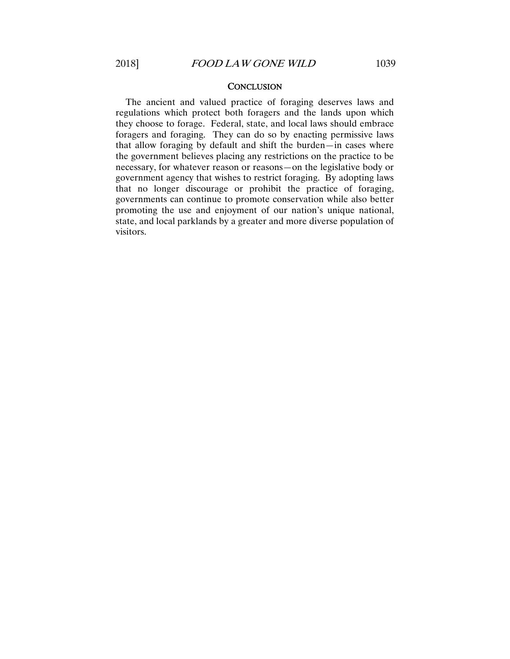#### **CONCLUSION**

The ancient and valued practice of foraging deserves laws and regulations which protect both foragers and the lands upon which they choose to forage. Federal, state, and local laws should embrace foragers and foraging. They can do so by enacting permissive laws that allow foraging by default and shift the burden—in cases where the government believes placing any restrictions on the practice to be necessary, for whatever reason or reasons—on the legislative body or government agency that wishes to restrict foraging. By adopting laws that no longer discourage or prohibit the practice of foraging, governments can continue to promote conservation while also better promoting the use and enjoyment of our nation's unique national, state, and local parklands by a greater and more diverse population of visitors.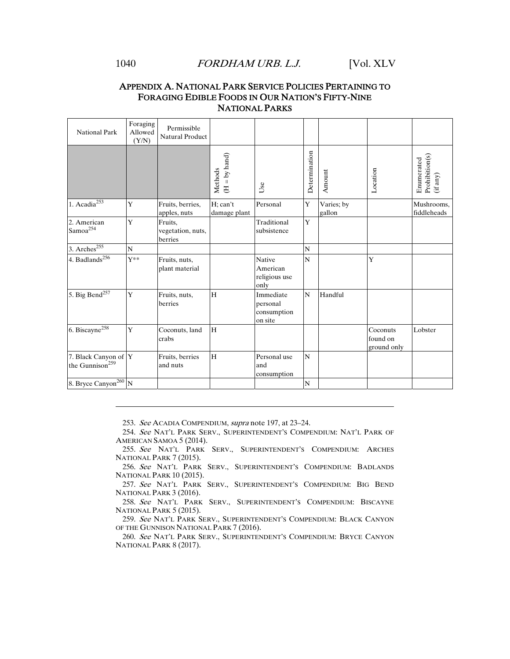#### 1040 *FORDHAM URB. L.J.* [Vol. XLV

#### APPENDIX A. NATIONAL PARK SERVICE POLICIES PERTAINING TO FORAGING EDIBLE FOODS IN OUR NATION'S FIFTY-NINE NATIONAL PARKS

| <b>National Park</b>                                | Foraging<br>Allowed<br>(Y/N) | Permissible<br><b>Natural Product</b>   |                              |                                                    |               |                      |                                     |                                                                                     |
|-----------------------------------------------------|------------------------------|-----------------------------------------|------------------------------|----------------------------------------------------|---------------|----------------------|-------------------------------------|-------------------------------------------------------------------------------------|
|                                                     |                              |                                         | $=$ by hand)<br>Methods<br>E | Use                                                | Determination | Amount               | Location                            | $\begin{array}{l} {\rm Prohibition}(s)\\ {\rm (if\ any)} \end{array}$<br>Enumerated |
| 1. Acadia $\overline{^{253}}$                       | Y                            | Fruits, berries,<br>apples, nuts        | H; can't<br>damage plant     | Personal                                           | $\mathbf Y$   | Varies; by<br>gallon |                                     | Mushrooms,<br>fiddleheads                                                           |
| 2. American<br>Samoa <sup>254</sup>                 | Y                            | Fruits.<br>vegetation, nuts,<br>berries |                              | Traditional<br>subsistence                         | Y             |                      |                                     |                                                                                     |
| 3. Arches $255$                                     | N                            |                                         |                              |                                                    | $\mathbf N$   |                      |                                     |                                                                                     |
| 4. Badlands <sup>256</sup>                          | $Y^{\ast\ast}$               | Fruits, nuts,<br>plant material         |                              | <b>Native</b><br>American<br>religious use<br>only | N             |                      | Y                                   |                                                                                     |
| 5. Big Bend <sup>257</sup>                          | Y                            | Fruits, nuts,<br>berries                | H                            | Immediate<br>personal<br>consumption<br>on site    | N             | Handful              |                                     |                                                                                     |
| 6. Biscayne $\sqrt{258}$                            | Y                            | Coconuts, land<br>crabs                 | H                            |                                                    |               |                      | Coconuts<br>found on<br>ground only | Lobster                                                                             |
| 7. Black Canyon of Y<br>the Gunnison <sup>259</sup> |                              | Fruits, berries<br>and nuts             | H                            | Personal use<br>and<br>consumption                 | N             |                      |                                     |                                                                                     |
| 8. Bryce Canyon <sup>260</sup> N                    |                              |                                         |                              |                                                    | ${\bf N}$     |                      |                                     |                                                                                     |

253. See ACADIA COMPENDIUM, supra note 197, at 23–24.

 254. See NAT'L PARK SERV., SUPERINTENDENT'S COMPENDIUM: NAT'L PARK OF AMERICAN SAMOA 5 (2014).

 255. See NAT'L PARK SERV., SUPERINTENDENT'S COMPENDIUM: ARCHES NATIONAL PARK 7 (2015).

 256. See NAT'L PARK SERV., SUPERINTENDENT'S COMPENDIUM: BADLANDS NATIONAL PARK 10 (2015).

 257. See NAT'L PARK SERV., SUPERINTENDENT'S COMPENDIUM: BIG BEND NATIONAL PARK 3 (2016).

 258. See NAT'L PARK SERV., SUPERINTENDENT'S COMPENDIUM: BISCAYNE NATIONAL PARK 5 (2015).

 259. See NAT'L PARK SERV., SUPERINTENDENT'S COMPENDIUM: BLACK CANYON OF THE GUNNISON NATIONAL PARK 7 (2016).

 260. See NAT'L PARK SERV., SUPERINTENDENT'S COMPENDIUM: BRYCE CANYON NATIONAL PARK 8 (2017).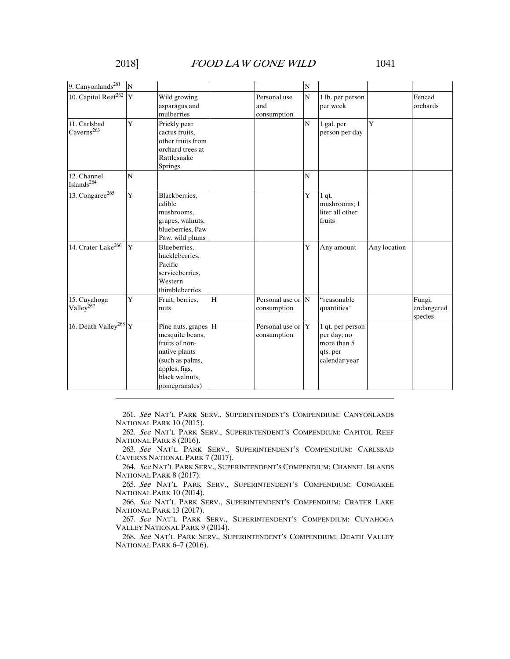| 9. Canyonlands <sup>261</sup>          | $\overline{N}$ |                                                                                                                                                  |   |                                                | $\mathbf N$    |                                                                             |              |                                 |
|----------------------------------------|----------------|--------------------------------------------------------------------------------------------------------------------------------------------------|---|------------------------------------------------|----------------|-----------------------------------------------------------------------------|--------------|---------------------------------|
| 10. Capitol Reef <sup>262</sup>        | $\mathbf{Y}$   | Wild growing<br>asparagus and<br>mulberries                                                                                                      |   | Personal use<br>and<br>consumption             | $\overline{N}$ | 1 lb. per person<br>per week                                                |              | Fenced<br>orchards              |
| 11. Carlsbad<br>Caverns <sup>263</sup> | Y              | Prickly pear<br>cactus fruits.<br>other fruits from<br>orchard trees at<br>Rattlesnake<br>Springs                                                |   |                                                | $\mathbf N$    | 1 gal. per<br>person per day                                                | $\mathbf{Y}$ |                                 |
| 12. Channel<br>Islands <sup>264</sup>  | N              |                                                                                                                                                  |   |                                                | N              |                                                                             |              |                                 |
| 13. Congaree $\sqrt{265}$              | $\mathbf Y$    | Blackberries,<br>edible<br>mushrooms,<br>grapes, walnuts,<br>blueberries, Paw<br>Paw, wild plums                                                 |   |                                                | $\mathbf Y$    | $1$ qt.<br>mushrooms; 1<br>liter all other<br>fruits                        |              |                                 |
| 14. Crater Lake <sup>266</sup>         | Y              | Blueberries,<br>huckleberries,<br>Pacific<br>serviceberries,<br>Western<br>thimbleberries                                                        |   |                                                | Y              | Any amount                                                                  | Any location |                                 |
| 15. Cuyahoga<br>Valley <sup>267</sup>  | Y              | Fruit, berries,<br>nuts                                                                                                                          | H | Personal use or $\vert N \vert$<br>consumption |                | "reasonable<br>quantities"                                                  |              | Fungi,<br>endangered<br>species |
| 16. Death Valley <sup>268</sup> Y      |                | Pine nuts, grapes H<br>mesquite beans,<br>fruits of non-<br>native plants<br>(such as palms,<br>apples, figs,<br>black walnuts,<br>pomegranates) |   | Personal use or Y<br>consumption               |                | 1 qt. per person<br>per day; no<br>more than 5<br>qts. per<br>calendar year |              |                                 |

 261. See NAT'L PARK SERV., SUPERINTENDENT'S COMPENDIUM: CANYONLANDS NATIONAL PARK 10 (2015).

 262. See NAT'L PARK SERV., SUPERINTENDENT'S COMPENDIUM: CAPITOL REEF NATIONAL PARK 8 (2016).

 263. See NAT'L PARK SERV., SUPERINTENDENT'S COMPENDIUM: CARLSBAD CAVERNS NATIONAL PARK 7 (2017).

 264. See NAT'L PARK SERV., SUPERINTENDENT'S COMPENDIUM: CHANNEL ISLANDS NATIONAL PARK 8 (2017).

 265. See NAT'L PARK SERV., SUPERINTENDENT'S COMPENDIUM: CONGAREE NATIONAL PARK 10 (2014).

 266. See NAT'L PARK SERV., SUPERINTENDENT'S COMPENDIUM: CRATER LAKE NATIONAL PARK 13 (2017).

 267. See NAT'L PARK SERV., SUPERINTENDENT'S COMPENDIUM: CUYAHOGA VALLEY NATIONAL PARK 9 (2014).

 268. See NAT'L PARK SERV., SUPERINTENDENT'S COMPENDIUM: DEATH VALLEY NATIONAL PARK 6–7 (2016).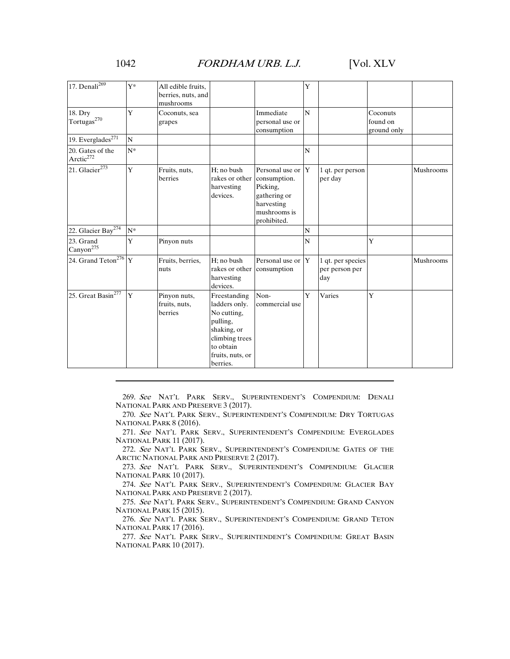#### 1042 *FORDHAM URB. L.J.* [Vol. XLV

| 17. Denali $^{269}$                        | $Y^*$ | All edible fruits.<br>berries, nuts, and<br>mushrooms |                                                                                                                                        |                                                                                                                | Y |                                            |                                     |           |
|--------------------------------------------|-------|-------------------------------------------------------|----------------------------------------------------------------------------------------------------------------------------------------|----------------------------------------------------------------------------------------------------------------|---|--------------------------------------------|-------------------------------------|-----------|
| 18. Dry<br>$\operatorname{Tortugas}^{270}$ | Ý     | Coconuts, sea<br>grapes                               |                                                                                                                                        | Immediate<br>personal use or<br>consumption                                                                    | N |                                            | Coconuts<br>found on<br>ground only |           |
| 19. Everglades $^{271}$                    | N     |                                                       |                                                                                                                                        |                                                                                                                |   |                                            |                                     |           |
| 20. Gates of the<br>Arctic <sup>272</sup>  | $N^*$ |                                                       |                                                                                                                                        |                                                                                                                | N |                                            |                                     |           |
| 21. Glacier <sup>273</sup>                 | Y     | Fruits, nuts,<br>berries                              | H; no bush<br>rakes or other<br>harvesting<br>devices.                                                                                 | Personal use or $ Y $<br>consumption.<br>Picking,<br>gathering or<br>harvesting<br>mushrooms is<br>prohibited. |   | 1 qt. per person<br>per day                |                                     | Mushrooms |
| 22. Glacier Bay <sup>274</sup>             | $N^*$ |                                                       |                                                                                                                                        |                                                                                                                | N |                                            |                                     |           |
| 23. Grand<br>Canyon <sup>275</sup>         | Y     | Pinyon nuts                                           |                                                                                                                                        |                                                                                                                | N |                                            | Y                                   |           |
| 24. Grand Teton <sup>276</sup> Y           |       | Fruits, berries,<br>nuts                              | $H: no$ bush<br>rakes or other<br>harvesting<br>devices.                                                                               | Personal use or $Y$<br>consumption                                                                             |   | 1 qt. per species<br>per person per<br>day |                                     | Mushrooms |
| 25. Great Basin <sup>277</sup>             | Y     | Pinyon nuts,<br>fruits, nuts,<br>berries              | Freestanding<br>ladders only.<br>No cutting,<br>pulling,<br>shaking, or<br>climbing trees<br>to obtain<br>fruits, nuts, or<br>berries. | Non-<br>commercial use                                                                                         | Y | Varies                                     | Ÿ                                   |           |

 269. See NAT'L PARK SERV., SUPERINTENDENT'S COMPENDIUM: DENALI NATIONAL PARK AND PRESERVE 3 (2017).

 270. See NAT'L PARK SERV., SUPERINTENDENT'S COMPENDIUM: DRY TORTUGAS NATIONAL PARK 8 (2016).

 271. See NAT'L PARK SERV., SUPERINTENDENT'S COMPENDIUM: EVERGLADES NATIONAL PARK 11 (2017).

 272. See NAT'L PARK SERV., SUPERINTENDENT'S COMPENDIUM: GATES OF THE ARCTIC NATIONAL PARK AND PRESERVE 2 (2017).

 273. See NAT'L PARK SERV., SUPERINTENDENT'S COMPENDIUM: GLACIER NATIONAL PARK 10 (2017).

 274. See NAT'L PARK SERV., SUPERINTENDENT'S COMPENDIUM: GLACIER BAY NATIONAL PARK AND PRESERVE 2 (2017).

 275. See NAT'L PARK SERV., SUPERINTENDENT'S COMPENDIUM: GRAND CANYON NATIONAL PARK 15 (2015).

 276. See NAT'L PARK SERV., SUPERINTENDENT'S COMPENDIUM: GRAND TETON NATIONAL PARK 17 (2016).

 277. See NAT'L PARK SERV., SUPERINTENDENT'S COMPENDIUM: GREAT BASIN NATIONAL PARK 10 (2017).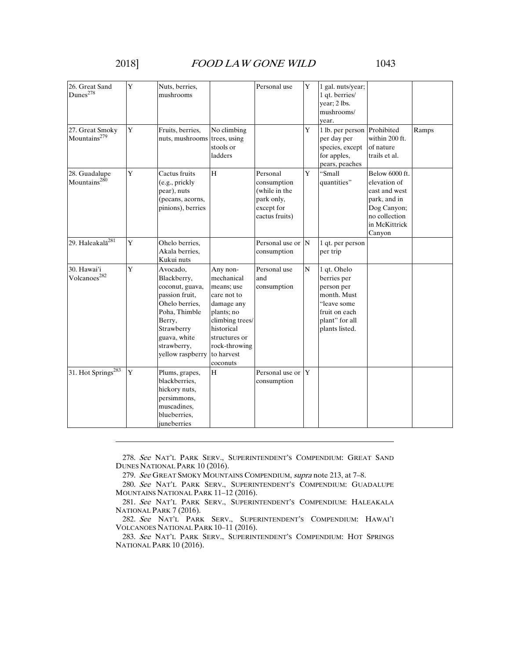| 26. Great Sand<br>Dunes <sup>278</sup>      | Y           | Nuts, berries,<br>mushrooms                                                                                                                                                |                                                                                                                                                                              | Personal use                                                                           | Y              | 1 gal. nuts/year;<br>1 gt. berries/<br>year; 2 lbs.<br>mushrooms/<br>vear.                                                  |                                                                                                                            |       |
|---------------------------------------------|-------------|----------------------------------------------------------------------------------------------------------------------------------------------------------------------------|------------------------------------------------------------------------------------------------------------------------------------------------------------------------------|----------------------------------------------------------------------------------------|----------------|-----------------------------------------------------------------------------------------------------------------------------|----------------------------------------------------------------------------------------------------------------------------|-------|
| 27. Great Smoky<br>Mountains <sup>279</sup> | Y           | Fruits, berries,<br>nuts, mushrooms trees, using                                                                                                                           | No climbing<br>stools or<br>ladders                                                                                                                                          |                                                                                        | Y              | 1 lb. per person Prohibited<br>per day per<br>species, except<br>for apples,<br>pears, peaches                              | within 200 ft.<br>of nature<br>trails et al.                                                                               | Ramps |
| 28. Guadalupe<br>Mountains <sup>280</sup>   | Y           | Cactus fruits<br>(e.g., prickly<br>pear), nuts<br>(pecans, acorns,<br>pinions), berries                                                                                    | H                                                                                                                                                                            | Personal<br>consumption<br>(while in the<br>park only,<br>except for<br>cactus fruits) | Y              | "Small<br>quantities"                                                                                                       | Below 6000 ft.<br>elevation of<br>east and west<br>park, and in<br>Dog Canyon;<br>no collection<br>in McKittrick<br>Canyon |       |
| 29. Haleakalā <sup>281</sup>                | $\mathbf Y$ | Ohelo berries,<br>Akala berries,<br>Kukui nuts                                                                                                                             |                                                                                                                                                                              | Personal use or N<br>consumption                                                       |                | 1 qt. per person<br>per trip                                                                                                |                                                                                                                            |       |
| 30. Hawai'i<br>Volcanoes <sup>282</sup>     | Y           | Avocado,<br>Blackberry,<br>coconut, guava,<br>passion fruit,<br>Ohelo berries,<br>Poha, Thimble<br>Berry,<br>Strawberry<br>guava, white<br>strawberry,<br>yellow raspberry | Any non-<br>mechanical<br>means; use<br>care not to<br>damage any<br>plants; no<br>climbing trees/<br>historical<br>structures or<br>rock-throwing<br>to harvest<br>coconuts | Personal use<br>and<br>consumption                                                     | $\overline{N}$ | 1 qt. Ohelo<br>berries per<br>person per<br>month. Must<br>"leave some<br>fruit on each<br>plant" for all<br>plants listed. |                                                                                                                            |       |
| 31. Hot Springs <sup>283</sup>              | Y           | Plums, grapes,<br>blackberries,<br>hickory nuts,<br>persimmons,<br>muscadines,<br>blueberries.<br>juneberries                                                              | H                                                                                                                                                                            | Personal use or Y<br>consumption                                                       |                |                                                                                                                             |                                                                                                                            |       |

 278. See NAT'L PARK SERV., SUPERINTENDENT'S COMPENDIUM: GREAT SAND DUNES NATIONAL PARK 10 (2016).

279. See GREAT SMOKY MOUNTAINS COMPENDIUM, supra note 213, at 7–8.

 280. See NAT'L PARK SERV., SUPERINTENDENT'S COMPENDIUM: GUADALUPE MOUNTAINS NATIONAL PARK 11–12 (2016).

 281. See NAT'L PARK SERV., SUPERINTENDENT'S COMPENDIUM: HALEAKALA NATIONAL PARK 7 (2016).

 282. See NAT'L PARK SERV., SUPERINTENDENT'S COMPENDIUM: HAWAI'I VOLCANOES NATIONAL PARK 10–11 (2016).

 283. See NAT'L PARK SERV., SUPERINTENDENT'S COMPENDIUM: HOT SPRINGS NATIONAL PARK 10 (2016).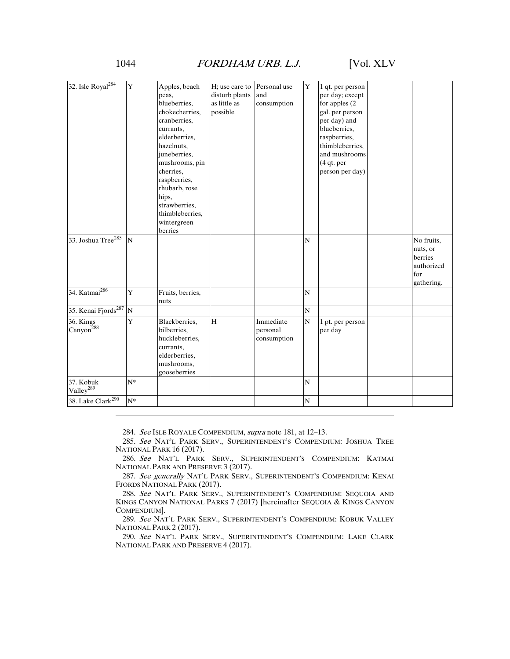#### 1044 *FORDHAM URB. L.J.* [Vol. XLV

| Y<br>Y<br>Personal use<br>Apples, beach<br>H; use care to<br>1 qt. per person<br>disturb plants<br>and<br>per day; except<br>peas,<br>blueberries,<br>as little as<br>consumption<br>for apples (2)<br>possible<br>chokecherries,<br>gal. per person<br>per day) and<br>cranberries,<br>blueberries.<br>currants,<br>elderberries.<br>raspberries,<br>thimbleberries,<br>hazelnuts,<br>juneberries,<br>and mushrooms<br>mushrooms, pin<br>$(4$ qt. per<br>person per day)<br>cherries,<br>raspberries,<br>rhubarb, rose<br>hips,<br>strawberries,<br>thimbleberries.<br>wintergreen<br>berries<br>$\mathbf N$<br>$\overline{N}$<br>No fruits,<br>nuts, or<br>berries<br>authorized<br>for<br>gathering.<br>34. Katmai <sup>286</sup><br>Y<br>$\overline{N}$<br>Fruits, berries,<br>nuts<br>${\bf N}$<br>${\bf N}$<br>Y<br>H<br>${\bf N}$<br>Blackberries,<br>Immediate<br>1 pt. per person<br>bilberries,<br>personal<br>per day<br>huckleberries,<br>consumption<br>currants.<br>elderberries.<br>mushrooms.<br>gooseberries<br>$N^*$<br>$\mathbf N$<br>38. Lake Clark <sup>290</sup><br>$N^*$<br>${\bf N}$ |                                    |  |  |  |  |
|--------------------------------------------------------------------------------------------------------------------------------------------------------------------------------------------------------------------------------------------------------------------------------------------------------------------------------------------------------------------------------------------------------------------------------------------------------------------------------------------------------------------------------------------------------------------------------------------------------------------------------------------------------------------------------------------------------------------------------------------------------------------------------------------------------------------------------------------------------------------------------------------------------------------------------------------------------------------------------------------------------------------------------------------------------------------------------------------------------------|------------------------------------|--|--|--|--|
|                                                                                                                                                                                                                                                                                                                                                                                                                                                                                                                                                                                                                                                                                                                                                                                                                                                                                                                                                                                                                                                                                                              | 32. Isle Royal <sup>284</sup>      |  |  |  |  |
|                                                                                                                                                                                                                                                                                                                                                                                                                                                                                                                                                                                                                                                                                                                                                                                                                                                                                                                                                                                                                                                                                                              | 33. Joshua Tree <sup>285</sup>     |  |  |  |  |
|                                                                                                                                                                                                                                                                                                                                                                                                                                                                                                                                                                                                                                                                                                                                                                                                                                                                                                                                                                                                                                                                                                              |                                    |  |  |  |  |
|                                                                                                                                                                                                                                                                                                                                                                                                                                                                                                                                                                                                                                                                                                                                                                                                                                                                                                                                                                                                                                                                                                              | 35. Kenai Fjords <sup>287</sup>    |  |  |  |  |
|                                                                                                                                                                                                                                                                                                                                                                                                                                                                                                                                                                                                                                                                                                                                                                                                                                                                                                                                                                                                                                                                                                              | 36. Kings<br>Canyon <sup>288</sup> |  |  |  |  |
|                                                                                                                                                                                                                                                                                                                                                                                                                                                                                                                                                                                                                                                                                                                                                                                                                                                                                                                                                                                                                                                                                                              | 37. Kobuk<br>Valley <sup>289</sup> |  |  |  |  |
|                                                                                                                                                                                                                                                                                                                                                                                                                                                                                                                                                                                                                                                                                                                                                                                                                                                                                                                                                                                                                                                                                                              |                                    |  |  |  |  |

284. See ISLE ROYALE COMPENDIUM, supra note 181, at 12–13.

 285. See NAT'L PARK SERV., SUPERINTENDENT'S COMPENDIUM: JOSHUA TREE NATIONAL PARK 16 (2017).

 286. See NAT'L PARK SERV., SUPERINTENDENT'S COMPENDIUM: KATMAI NATIONAL PARK AND PRESERVE 3 (2017).

 287. See generally NAT'L PARK SERV., SUPERINTENDENT'S COMPENDIUM: KENAI FJORDS NATIONAL PARK (2017).

 288. See NAT'L PARK SERV., SUPERINTENDENT'S COMPENDIUM: SEQUOIA AND KINGS CANYON NATIONAL PARKS 7 (2017) [hereinafter SEQUOIA & KINGS CANYON COMPENDIUM].

 289. See NAT'L PARK SERV., SUPERINTENDENT'S COMPENDIUM: KOBUK VALLEY NATIONAL PARK 2 (2017).

 290. See NAT'L PARK SERV., SUPERINTENDENT'S COMPENDIUM: LAKE CLARK NATIONAL PARK AND PRESERVE 4 (2017).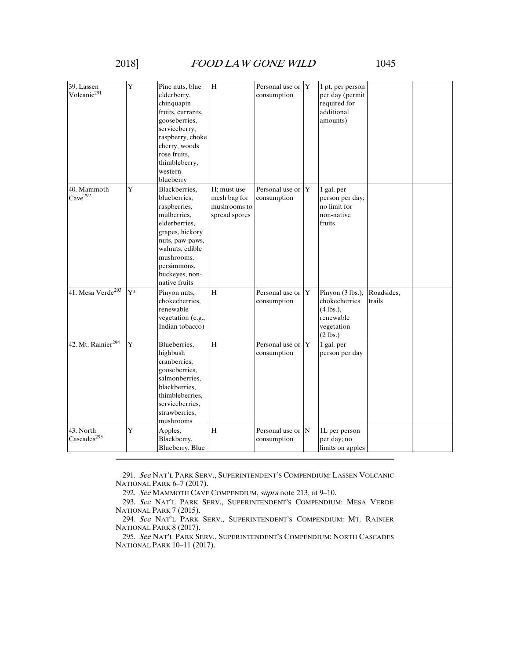| 39. Lassen<br>Volcanic <sup>291</sup> | Y           | Pine nuts, blue<br>elderberry,<br>chinquapin<br>fruits, currants,<br>gooseberries,<br>serviceberry,<br>raspberry, choke<br>cherry, woods<br>rose fruits,<br>thimbleberry,<br>western<br>blueberry      | H                                                            | Personal use or Y<br>consumption     | 1 pt. per person<br>per day (permit<br>required for<br>additional<br>amounts)             |                      |  |
|---------------------------------------|-------------|--------------------------------------------------------------------------------------------------------------------------------------------------------------------------------------------------------|--------------------------------------------------------------|--------------------------------------|-------------------------------------------------------------------------------------------|----------------------|--|
| 40. Mammoth<br>Cave <sup>292</sup>    | Y           | Blackberries,<br>blueberries.<br>raspberries,<br>mulberries,<br>elderberries.<br>grapes, hickory<br>nuts, paw-paws,<br>walnuts, edible<br>mushrooms.<br>persimmons,<br>buckeyes, non-<br>native fruits | H; must use<br>mesh bag for<br>mushrooms to<br>spread spores | Personal use or Y<br>consumption     | 1 gal. per<br>person per day;<br>no limit for<br>non-native<br>fruits                     |                      |  |
| 41. Mesa Verde <sup>293</sup>         | $Y^*$       | Pinyon nuts,<br>chokecherries.<br>renewable<br>vegetation (e.g.,<br>Indian tobacco)                                                                                                                    | $\rm H$                                                      | Personal use or Y<br>consumption     | Pinyon (3 lbs.),<br>chokecherries<br>$(4$ lbs.).<br>renewable<br>vegetation<br>$(2$ lbs.) | Roadsides,<br>trails |  |
| 42. Mt. Rainier <sup>294</sup>        | $\mathbf Y$ | Blueberries,<br>highbush<br>cranberries.<br>gooseberries,<br>salmonberries,<br>blackberries,<br>thimbleberries.<br>serviceberries,<br>strawberries,<br>mushrooms                                       | H                                                            | Personal use or Y<br>consumption     | 1 gal. per<br>person per day                                                              |                      |  |
| 43. North<br>Cascades <sup>295</sup>  | Y           | Apples,<br>Blackberry,<br>Blueberry, Blue                                                                                                                                                              | H                                                            | Personal use or $ N $<br>consumption | 1L per person<br>per day; no<br>limits on apples                                          |                      |  |

 291. See NAT'L PARK SERV., SUPERINTENDENT'S COMPENDIUM: LASSEN VOLCANIC NATIONAL PARK 6-7 (2017).

292. See MAMMOTH CAVE COMPENDIUM, supra note 213, at 9–10.

 293. See NAT'L PARK SERV., SUPERINTENDENT'S COMPENDIUM: MESA VERDE NATIONAL PARK 7 (2015).

 294. See NAT'L PARK SERV., SUPERINTENDENT'S COMPENDIUM: MT. RAINIER NATIONAL PARK 8 (2017).

 295. See NAT'L PARK SERV., SUPERINTENDENT'S COMPENDIUM: NORTH CASCADES NATIONAL PARK 10–11 (2017).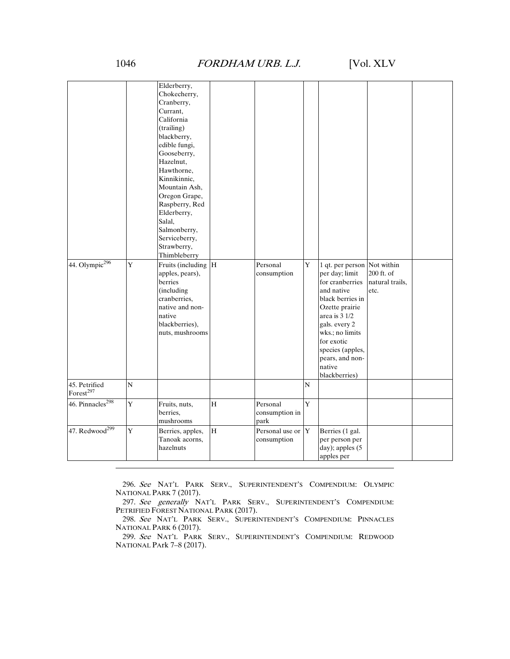#### 1046 *FORDHAM URB. L.J.* [Vol. XLV

| 44. Olympic $296$                      | Y              | Elderberry,<br>Chokecherry,<br>Cranberry,<br>Currant.<br>California<br>(trailing)<br>blackberry,<br>edible fungi,<br>Gooseberry,<br>Hazelnut,<br>Hawthorne,<br>Kinnikinnic,<br>Mountain Ash,<br>Oregon Grape,<br>Raspberry, Red<br>Elderberry,<br>Salal,<br>Salmonberry,<br>Serviceberry,<br>Strawberry,<br>Thimbleberry<br>Fruits (including H |             | Personal                           | $\mathbf Y$ | 1 qt. per person Not within                                                                                                                                                                                                |                                       |  |
|----------------------------------------|----------------|-------------------------------------------------------------------------------------------------------------------------------------------------------------------------------------------------------------------------------------------------------------------------------------------------------------------------------------------------|-------------|------------------------------------|-------------|----------------------------------------------------------------------------------------------------------------------------------------------------------------------------------------------------------------------------|---------------------------------------|--|
|                                        |                | apples, pears),<br>berries<br>(including<br>cranberries,<br>native and non-<br>native<br>blackberries),<br>nuts, mushrooms                                                                                                                                                                                                                      |             | consumption                        |             | per day; limit<br>for cranberries<br>and native<br>black berries in<br>Ozette prairie<br>area is 3 1/2<br>gals. every 2<br>wks.; no limits<br>for exotic<br>species (apples,<br>pears, and non-<br>native<br>blackberries) | 200 ft. of<br>natural trails,<br>etc. |  |
| 45. Petrified<br>Forest <sup>297</sup> | $\overline{N}$ |                                                                                                                                                                                                                                                                                                                                                 |             |                                    | N           |                                                                                                                                                                                                                            |                                       |  |
| 46. Pinnacles <sup>298</sup>           | Y              | Fruits, nuts,<br>berries.<br>mushrooms                                                                                                                                                                                                                                                                                                          | $\mathbf H$ | Personal<br>consumption in<br>park | Y           |                                                                                                                                                                                                                            |                                       |  |
| 47. $Redwood299$                       | Y              | Berries, apples,<br>Tanoak acorns,<br>hazelnuts                                                                                                                                                                                                                                                                                                 | H           | Personal use or Y<br>consumption   |             | Berries (1 gal.<br>per person per<br>day); apples (5<br>apples per                                                                                                                                                         |                                       |  |

 296. See NAT'L PARK SERV., SUPERINTENDENT'S COMPENDIUM: OLYMPIC NATIONAL PARK 7 (2017).

 297. See generally NAT'L PARK SERV., SUPERINTENDENT'S COMPENDIUM: PETRIFIED FOREST NATIONAL PARK (2017).

 298. See NAT'L PARK SERV., SUPERINTENDENT'S COMPENDIUM: PINNACLES NATIONAL PARK 6 (2017).

 299. See NAT'L PARK SERV., SUPERINTENDENT'S COMPENDIUM: REDWOOD NATIONAL PArk 7–8 (2017).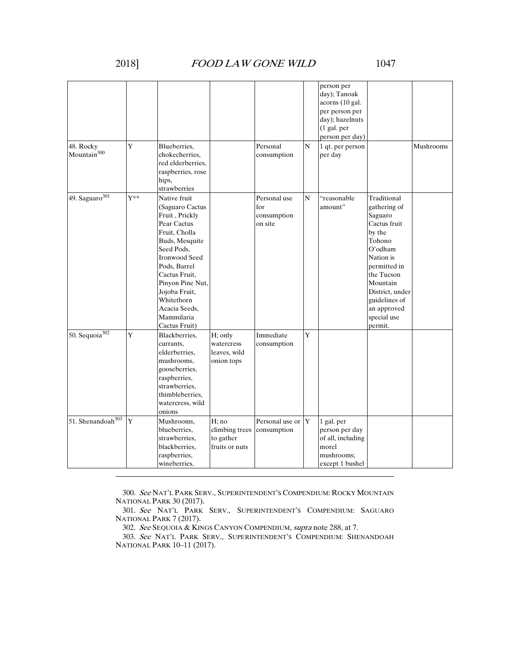# 2018] FOOD LAW GONE WILD 1047

| 48. Rocky                     | Y              | Blueberries,                                                                                                                                                                                                                                                                  |                                                        | Personal                                      | N | person per<br>day); Tanoak<br>acorns (10 gal.<br>per person per<br>day); hazelnuts<br>$(1$ gal. per<br>person per day)<br>1 qt. per person |                                                                                                                                                                                                                           | Mushrooms |
|-------------------------------|----------------|-------------------------------------------------------------------------------------------------------------------------------------------------------------------------------------------------------------------------------------------------------------------------------|--------------------------------------------------------|-----------------------------------------------|---|--------------------------------------------------------------------------------------------------------------------------------------------|---------------------------------------------------------------------------------------------------------------------------------------------------------------------------------------------------------------------------|-----------|
| Mountain $300$                |                | chokecherries.<br>red elderberries,<br>raspberries, rose<br>hips,<br>strawberries                                                                                                                                                                                             |                                                        | consumption                                   |   | per day                                                                                                                                    |                                                                                                                                                                                                                           |           |
| 49. Saguaro $301$             | $Y^{\ast\ast}$ | Native fruit<br>(Saguaro Cactus<br>Fruit, Prickly<br>Pear Cactus<br>Fruit, Cholla<br>Buds, Mesquite<br>Seed Pods.<br><b>Ironwood Seed</b><br>Pods, Barrel<br>Cactus Fruit,<br>Pinyon Pine Nut,<br>Jojoba Fruit,<br>Whitethorn<br>Acacia Seeds,<br>Mammilaria<br>Cactus Fruit) |                                                        | Personal use<br>for<br>consumption<br>on site | N | "reasonable<br>amount"                                                                                                                     | Traditional<br>gathering of<br>Saguaro<br>Cactus fruit<br>by the<br>Tohono<br>O'odham<br>Nation is<br>permitted in<br>the Tucson<br>Mountain<br>District, under<br>guidelines of<br>an approved<br>special use<br>permit. |           |
| 50. Sequoia $302$             | Y              | Blackberries,<br>currants.<br>elderberries.<br>mushrooms,<br>gooseberries,<br>raspberries,<br>strawberries,<br>thimbleberries,<br>watercress, wild<br>onions                                                                                                                  | H; only<br>watercress<br>leaves, wild<br>onion tops    | Immediate<br>consumption                      | Y |                                                                                                                                            |                                                                                                                                                                                                                           |           |
| 51. Shenandoah <sup>303</sup> | Y              | Mushrooms,<br>blueberries.<br>strawberries.<br>blackberries,<br>raspberries,<br>wineberries,                                                                                                                                                                                  | H; no<br>climbing trees<br>to gather<br>fruits or nuts | Personal use or $ Y $<br>consumption          |   | 1 gal. per<br>person per day<br>of all, including<br>morel<br>mushrooms;<br>except 1 bushel                                                |                                                                                                                                                                                                                           |           |

 300. See NAT'L PARK SERV., SUPERINTENDENT'S COMPENDIUM: ROCKY MOUNTAIN NATIONAL PARK 30 (2017).

 301. See NAT'L PARK SERV., SUPERINTENDENT'S COMPENDIUM: SAGUARO NATIONAL PARK 7 (2017).

302. See SEQUOIA & KINGS CANYON COMPENDIUM, supra note 288, at 7.

 303. See NAT'L PARK SERV., SUPERINTENDENT'S COMPENDIUM: SHENANDOAH NATIONAL PARK 10–11 (2017).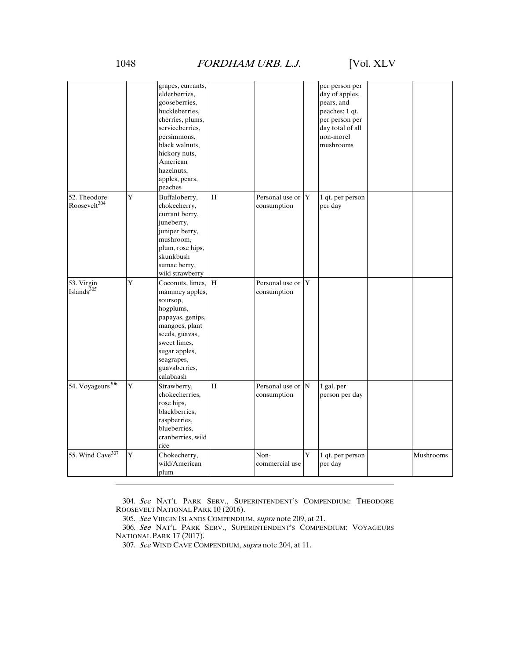# 1048 FORDHAM URB. L.J. [Vol. XLV

| grapes, currants,<br>per person per                                                |           |
|------------------------------------------------------------------------------------|-----------|
| day of apples,<br>elderberries.                                                    |           |
| gooseberries,<br>pears, and                                                        |           |
| huckleberries,<br>peaches; 1 qt.                                                   |           |
| cherries, plums,<br>per person per                                                 |           |
| serviceberries,<br>day total of all                                                |           |
| persimmons,<br>non-morel                                                           |           |
| black walnuts,<br>mushrooms                                                        |           |
| hickory nuts,                                                                      |           |
| American                                                                           |           |
| hazelnuts.                                                                         |           |
| apples, pears,                                                                     |           |
| peaches                                                                            |           |
| 52. Theodore<br>Y<br>H<br>Personal use or Y                                        |           |
| Buffaloberry,<br>1 qt. per person<br>Roosevelt <sup>304</sup>                      |           |
| chokecherry,<br>consumption<br>per day                                             |           |
| currant berry,                                                                     |           |
| juneberry,                                                                         |           |
| juniper berry,                                                                     |           |
| mushroom,                                                                          |           |
| plum, rose hips,                                                                   |           |
| skunkbush                                                                          |           |
| sumac berry,                                                                       |           |
| wild strawberry                                                                    |           |
| Y<br>Coconuts, limes, H<br>Personal use or Y<br>53. Virgin                         |           |
| Islands <sup>305</sup><br>mammey apples,<br>consumption                            |           |
| soursop,                                                                           |           |
| hogplums,                                                                          |           |
| papayas, genips,                                                                   |           |
| mangoes, plant                                                                     |           |
| seeds, guavas,                                                                     |           |
| sweet limes,                                                                       |           |
| sugar apples,                                                                      |           |
| seagrapes,                                                                         |           |
| guavaberries,                                                                      |           |
| calabaash                                                                          |           |
| 54. Voyageurs <sup>306</sup><br>Y<br>H<br>Personal use or N                        |           |
| Strawberry,<br>1 gal. per                                                          |           |
| chokecherries,<br>consumption<br>person per day                                    |           |
| rose hips,                                                                         |           |
| blackberries,                                                                      |           |
| raspberries,                                                                       |           |
| blueberries.                                                                       |           |
| cranberries, wild                                                                  |           |
| rice                                                                               |           |
|                                                                                    |           |
| 55. Wind Cave <sup>307</sup><br>Y<br>Chokecherry,<br>Non-<br>Y<br>1 qt. per person | Mushrooms |
| wild/American<br>commercial use<br>per day                                         |           |

 304. See NAT'L PARK SERV., SUPERINTENDENT'S COMPENDIUM: THEODORE ROOSEVELT NATIONAL PARK 10 (2016).

305. See VIRGIN ISLANDS COMPENDIUM, supra note 209, at 21.

 306. See NAT'L PARK SERV., SUPERINTENDENT'S COMPENDIUM: VOYAGEURS NATIONAL PARK 17 (2017).

307. See WIND CAVE COMPENDIUM, supra note 204, at 11.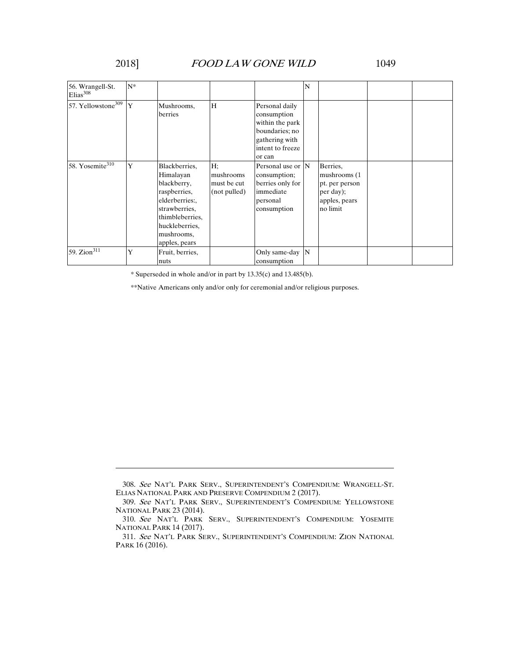## 2018] FOOD LAW GONE WILD 1049

| 56. Wrangell-St.<br>Elias <sup>308</sup> | $N^*$ |                                                                                                                                                                 |                                                |                                                                                                                    | N |                                                                                      |  |
|------------------------------------------|-------|-----------------------------------------------------------------------------------------------------------------------------------------------------------------|------------------------------------------------|--------------------------------------------------------------------------------------------------------------------|---|--------------------------------------------------------------------------------------|--|
| 57. Yellowstone <sup>309</sup> Y         |       | Mushrooms,<br>berries                                                                                                                                           | H                                              | Personal daily<br>consumption<br>within the park<br>boundaries; no<br>gathering with<br>intent to freeze<br>or can |   |                                                                                      |  |
| 58. Yosemite <sup>310</sup>              | Y     | Blackberries,<br>Himalayan<br>blackberry,<br>raspberries,<br>elderberries:<br>strawberries.<br>thimbleberries,<br>huckleberries.<br>mushrooms,<br>apples, pears | H:<br>mushrooms<br>must be cut<br>(not pulled) | Personal use or $ N $<br>consumption;<br>berries only for<br>immediate<br>personal<br>consumption                  |   | Berries,<br>mushrooms (1<br>pt. per person<br>per day);<br>apples, pears<br>no limit |  |
| 59. Zion $\overline{311}$                | Ý     | Fruit, berries,<br>nuts                                                                                                                                         |                                                | Only same-day N<br>consumption                                                                                     |   |                                                                                      |  |

\* Superseded in whole and/or in part by 13.35(c) and 13.485(b).

\*\*Native Americans only and/or only for ceremonial and/or religious purposes.

 <sup>308.</sup> See NAT'L PARK SERV., SUPERINTENDENT'S COMPENDIUM: WRANGELL-ST. ELIAS NATIONAL PARK AND PRESERVE COMPENDIUM 2 (2017).

 <sup>309.</sup> See NAT'L PARK SERV., SUPERINTENDENT'S COMPENDIUM: YELLOWSTONE NATIONAL PARK 23 (2014).

 <sup>310.</sup> See NAT'L PARK SERV., SUPERINTENDENT'S COMPENDIUM: YOSEMITE NATIONAL PARK 14 (2017).

 <sup>311.</sup> See NAT'L PARK SERV., SUPERINTENDENT'S COMPENDIUM: ZION NATIONAL PARK 16 (2016).